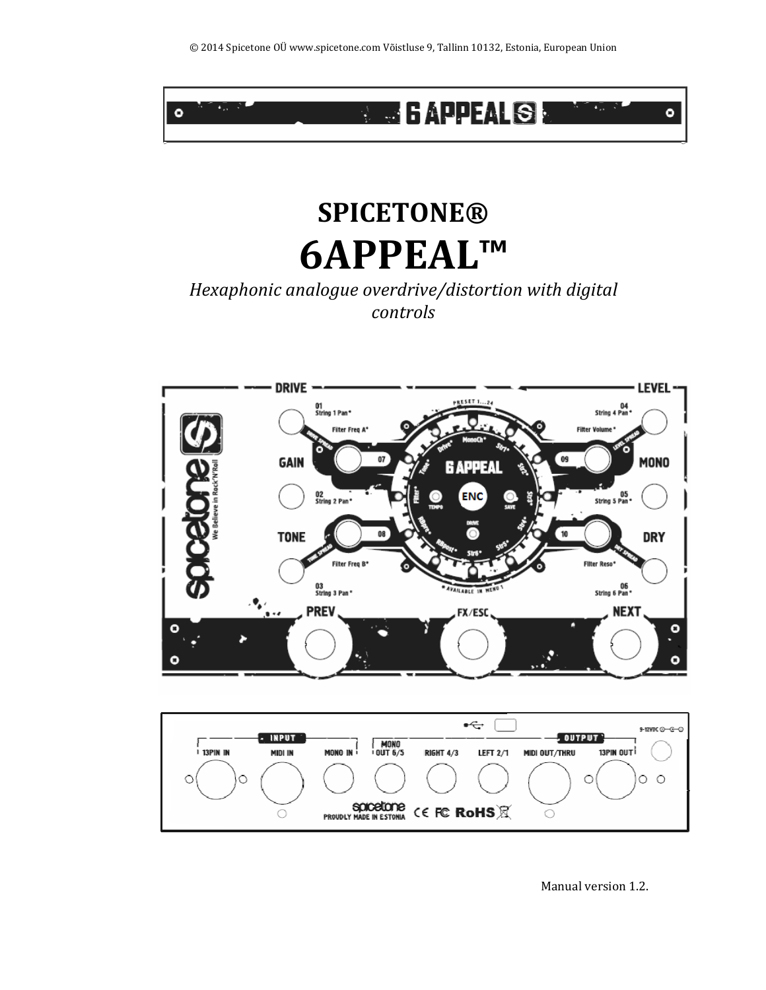

# **SPICETONE® 6APPEAL™**

# *Hexaphonic analogue overdrive/distortion with digital controls*





Manual version 1.2.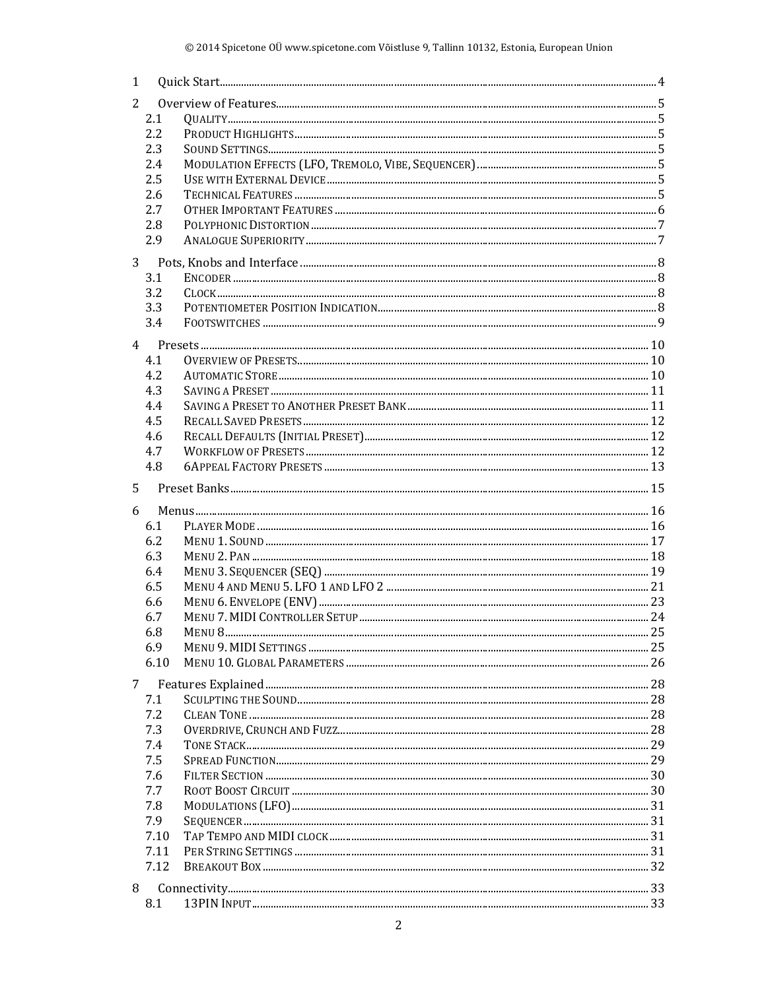| 1 |            |  |  |  |  |  |  |  |  |
|---|------------|--|--|--|--|--|--|--|--|
| 2 |            |  |  |  |  |  |  |  |  |
|   | 2.1        |  |  |  |  |  |  |  |  |
|   | 2.2        |  |  |  |  |  |  |  |  |
|   | 2.3        |  |  |  |  |  |  |  |  |
|   | 2.4        |  |  |  |  |  |  |  |  |
|   | 2.5        |  |  |  |  |  |  |  |  |
|   | 2.6        |  |  |  |  |  |  |  |  |
|   | 2.7        |  |  |  |  |  |  |  |  |
|   | 2.8        |  |  |  |  |  |  |  |  |
|   |            |  |  |  |  |  |  |  |  |
|   | 2.9        |  |  |  |  |  |  |  |  |
|   |            |  |  |  |  |  |  |  |  |
|   | 3.1        |  |  |  |  |  |  |  |  |
|   | 3.2        |  |  |  |  |  |  |  |  |
|   | 3.3        |  |  |  |  |  |  |  |  |
|   | 3.4        |  |  |  |  |  |  |  |  |
|   |            |  |  |  |  |  |  |  |  |
|   | 4.1        |  |  |  |  |  |  |  |  |
|   | 4.2        |  |  |  |  |  |  |  |  |
|   |            |  |  |  |  |  |  |  |  |
|   | 4.3        |  |  |  |  |  |  |  |  |
|   | 4.4        |  |  |  |  |  |  |  |  |
|   | 4.5        |  |  |  |  |  |  |  |  |
|   | 4.6        |  |  |  |  |  |  |  |  |
|   | 4.7        |  |  |  |  |  |  |  |  |
|   | 4.8        |  |  |  |  |  |  |  |  |
| 5 |            |  |  |  |  |  |  |  |  |
|   |            |  |  |  |  |  |  |  |  |
|   |            |  |  |  |  |  |  |  |  |
| 6 |            |  |  |  |  |  |  |  |  |
|   | 6.1        |  |  |  |  |  |  |  |  |
|   | 6.2        |  |  |  |  |  |  |  |  |
|   | 6.3        |  |  |  |  |  |  |  |  |
|   | 6.4        |  |  |  |  |  |  |  |  |
|   | 6.5        |  |  |  |  |  |  |  |  |
|   | 6.6        |  |  |  |  |  |  |  |  |
|   | 6.7        |  |  |  |  |  |  |  |  |
|   | 6.8        |  |  |  |  |  |  |  |  |
|   | 6.9        |  |  |  |  |  |  |  |  |
|   | 6.10       |  |  |  |  |  |  |  |  |
| 7 |            |  |  |  |  |  |  |  |  |
|   | 7.1        |  |  |  |  |  |  |  |  |
|   | 7.2        |  |  |  |  |  |  |  |  |
|   |            |  |  |  |  |  |  |  |  |
|   | 7.3<br>7.4 |  |  |  |  |  |  |  |  |
|   | 7.5        |  |  |  |  |  |  |  |  |
|   |            |  |  |  |  |  |  |  |  |
|   | 7.6<br>7.7 |  |  |  |  |  |  |  |  |
|   |            |  |  |  |  |  |  |  |  |
|   | 7.8<br>7.9 |  |  |  |  |  |  |  |  |
|   | 7.10       |  |  |  |  |  |  |  |  |
|   | 7.11       |  |  |  |  |  |  |  |  |
|   | 7.12       |  |  |  |  |  |  |  |  |
|   |            |  |  |  |  |  |  |  |  |
| 8 | 8.1        |  |  |  |  |  |  |  |  |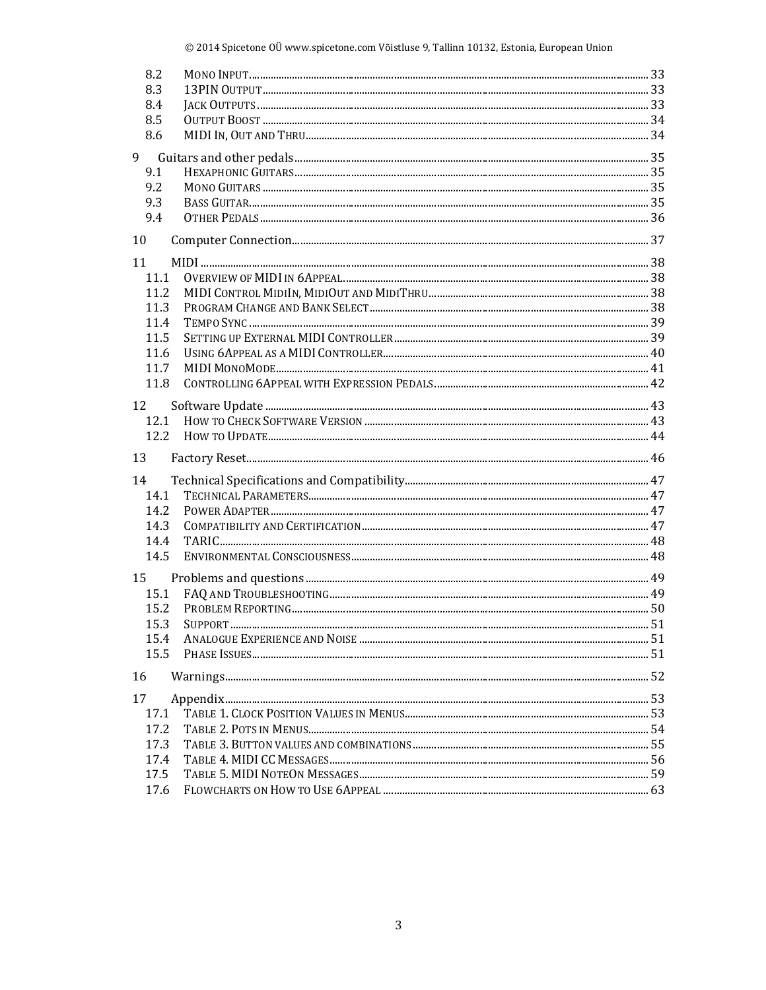| 8.2  |  |
|------|--|
| 8.3  |  |
| 8.4  |  |
| 8.5  |  |
| 8.6  |  |
| 9    |  |
| 9.1  |  |
| 9.2  |  |
| 9.3  |  |
| 9.4  |  |
| 10   |  |
| 11   |  |
| 11.1 |  |
| 11.2 |  |
| 11.3 |  |
| 11.4 |  |
| 11.5 |  |
| 11.6 |  |
| 11.7 |  |
| 11.8 |  |
| 12   |  |
| 12.1 |  |
| 12.2 |  |
| 13   |  |
| 14   |  |
| 14.1 |  |
| 14.2 |  |
| 14.3 |  |
| 14.4 |  |
| 14.5 |  |
| 15   |  |
| 15.1 |  |
| 15.2 |  |
| 15.3 |  |
| 15.4 |  |
| 15.5 |  |
| 16   |  |
| 17   |  |
| 17.1 |  |
| 17.2 |  |
| 17.3 |  |
| 17.4 |  |
| 17.5 |  |
| 17.6 |  |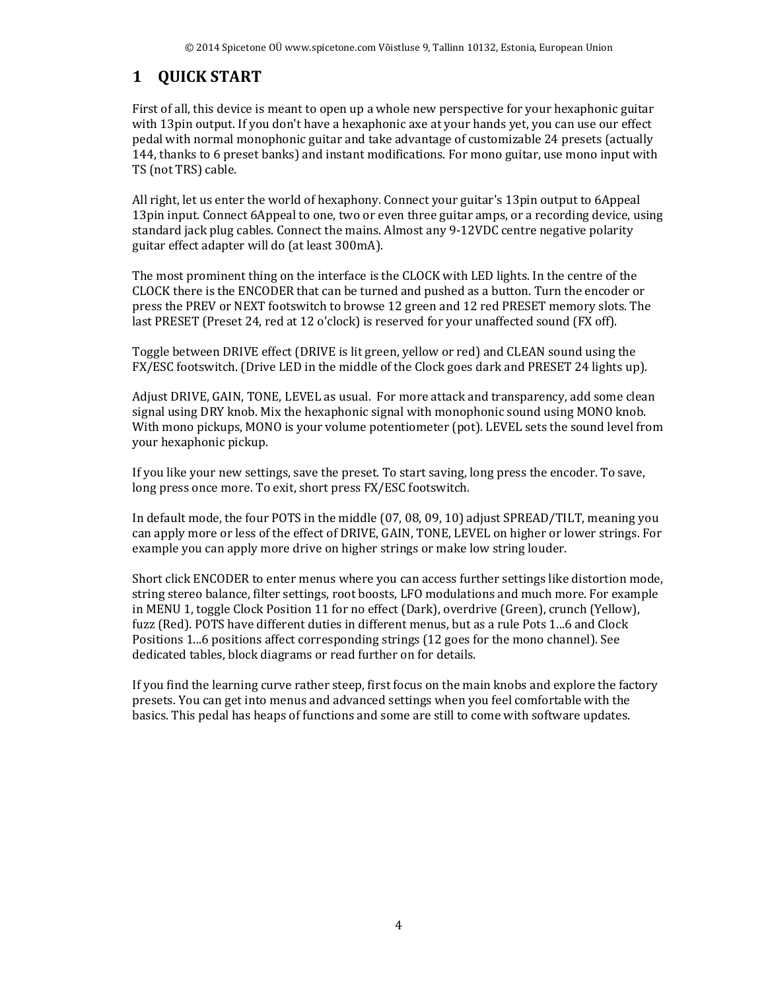# **1 QUICK START**

First of all, this device is meant to open up a whole new perspective for your hexaphonic guitar with 13pin output. If you don't have a hexaphonic axe at your hands yet, you can use our effect pedal with normal monophonic guitar and take advantage of customizable 24 presets (actually 144, thanks to 6 preset banks) and instant modifications. For mono guitar, use mono input with TS (not TRS) cable.

All right, let us enter the world of hexaphony. Connect your guitar's 13pin output to 6Appeal 13pin input. Connect 6Appeal to one, two or even three guitar amps, or a recording device, using standard jack plug cables. Connect the mains. Almost any 9-12VDC centre negative polarity guitar effect adapter will do (at least 300mA).

The most prominent thing on the interface is the CLOCK with LED lights. In the centre of the CLOCK there is the ENCODER that can be turned and pushed as a button. Turn the encoder or press the PREV or NEXT footswitch to browse 12 green and 12 red PRESET memory slots. The last PRESET (Preset 24, red at 12 o'clock) is reserved for your unaffected sound (FX off).

Toggle between DRIVE effect (DRIVE is lit green, yellow or red) and CLEAN sound using the FX/ESC footswitch. (Drive LED in the middle of the Clock goes dark and PRESET 24 lights up).

Adjust DRIVE, GAIN, TONE, LEVEL as usual. For more attack and transparency, add some clean signal using DRY knob. Mix the hexaphonic signal with monophonic sound using MONO knob. With mono pickups, MONO is your volume potentiometer (pot). LEVEL sets the sound level from your hexaphonic pickup.

If you like your new settings, save the preset. To start saving, long press the encoder. To save, long press once more. To exit, short press FX/ESC footswitch.

In default mode, the four POTS in the middle (07, 08, 09, 10) adjust SPREAD/TILT, meaning you can apply more or less of the effect of DRIVE, GAIN, TONE, LEVEL on higher or lower strings. For example you can apply more drive on higher strings or make low string louder.

Short click ENCODER to enter menus where you can access further settings like distortion mode, string stereo balance, filter settings, root boosts, LFO modulations and much more. For example in MENU 1, toggle Clock Position 11 for no effect (Dark), overdrive (Green), crunch (Yellow), fuzz (Red). POTS have different duties in different menus, but as a rule Pots 1...6 and Clock Positions 1...6 positions affect corresponding strings (12 goes for the mono channel). See dedicated tables, block diagrams or read further on for details.

If you find the learning curve rather steep, first focus on the main knobs and explore the factory presets. You can get into menus and advanced settings when you feel comfortable with the basics. This pedal has heaps of functions and some are still to come with software updates.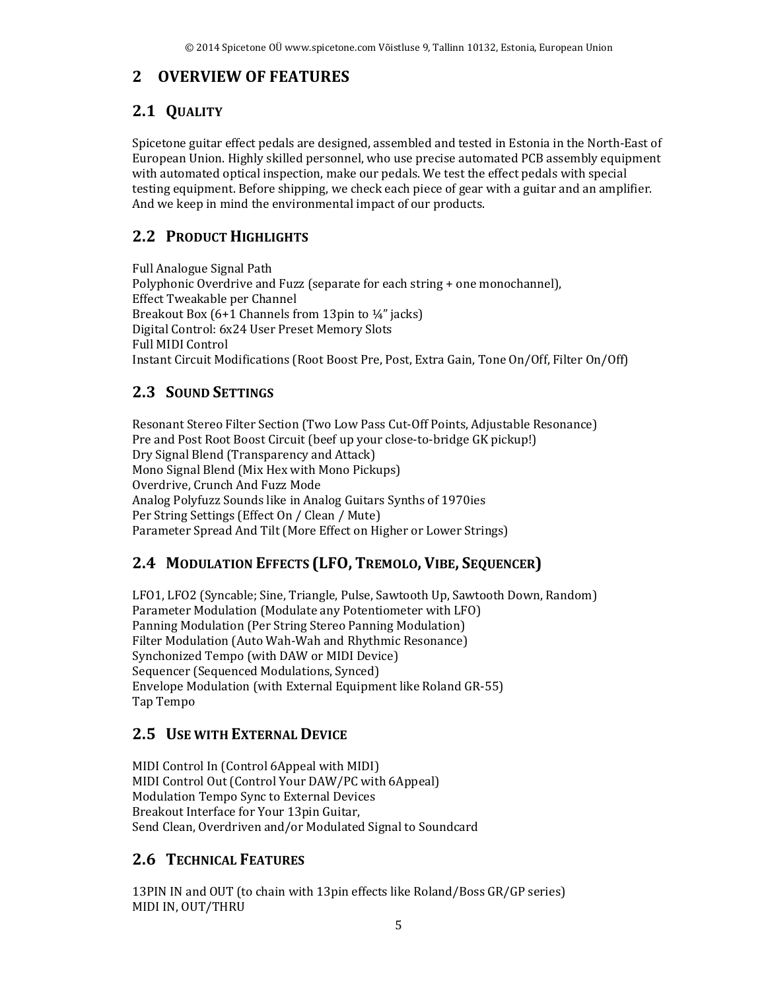## **2 OVERVIEW OF FEATURES**

## **2.1 QUALITY**

Spicetone guitar effect pedals are designed, assembled and tested in Estonia in the North-East of European Union. Highly skilled personnel, who use precise automated PCB assembly equipment with automated optical inspection, make our pedals. We test the effect pedals with special testing equipment. Before shipping, we check each piece of gear with a guitar and an amplifier. And we keep in mind the environmental impact of our products.

## **2.2 PRODUCT HIGHLIGHTS**

Full Analogue Signal Path Polyphonic Overdrive and Fuzz (separate for each string + one monochannel), Effect Tweakable per Channel Breakout Box (6+1 Channels from 13pin to ¼" jacks) Digital Control: 6x24 User Preset Memory Slots Full MIDI Control Instant Circuit Modifications (Root Boost Pre, Post, Extra Gain, Tone On/Off, Filter On/Off)

## **2.3 SOUND SETTINGS**

Resonant Stereo Filter Section (Two Low Pass Cut-Off Points, Adjustable Resonance) Pre and Post Root Boost Circuit (beef up your close-to-bridge GK pickup!) Dry Signal Blend (Transparency and Attack) Mono Signal Blend (Mix Hex with Mono Pickups) Overdrive, Crunch And Fuzz Mode Analog Polyfuzz Sounds like in Analog Guitars Synths of 1970ies Per String Settings (Effect On / Clean / Mute) Parameter Spread And Tilt (More Effect on Higher or Lower Strings)

## **2.4 MODULATION EFFECTS (LFO, TREMOLO, VIBE, SEQUENCER)**

LFO1, LFO2 (Syncable; Sine, Triangle, Pulse, Sawtooth Up, Sawtooth Down, Random) Parameter Modulation (Modulate any Potentiometer with LFO) Panning Modulation (Per String Stereo Panning Modulation) Filter Modulation (Auto Wah-Wah and Rhythmic Resonance) Synchonized Tempo (with DAW or MIDI Device) Sequencer (Sequenced Modulations, Synced) Envelope Modulation (with External Equipment like Roland GR-55) Tap Tempo

## **2.5 USE WITH EXTERNAL DEVICE**

MIDI Control In (Control 6Appeal with MIDI) MIDI Control Out (Control Your DAW/PC with 6Appeal) Modulation Tempo Sync to External Devices Breakout Interface for Your 13pin Guitar, Send Clean, Overdriven and/or Modulated Signal to Soundcard

## **2.6 TECHNICAL FEATURES**

13PIN IN and OUT (to chain with 13pin effects like Roland/Boss GR/GP series) MIDI IN, OUT/THRU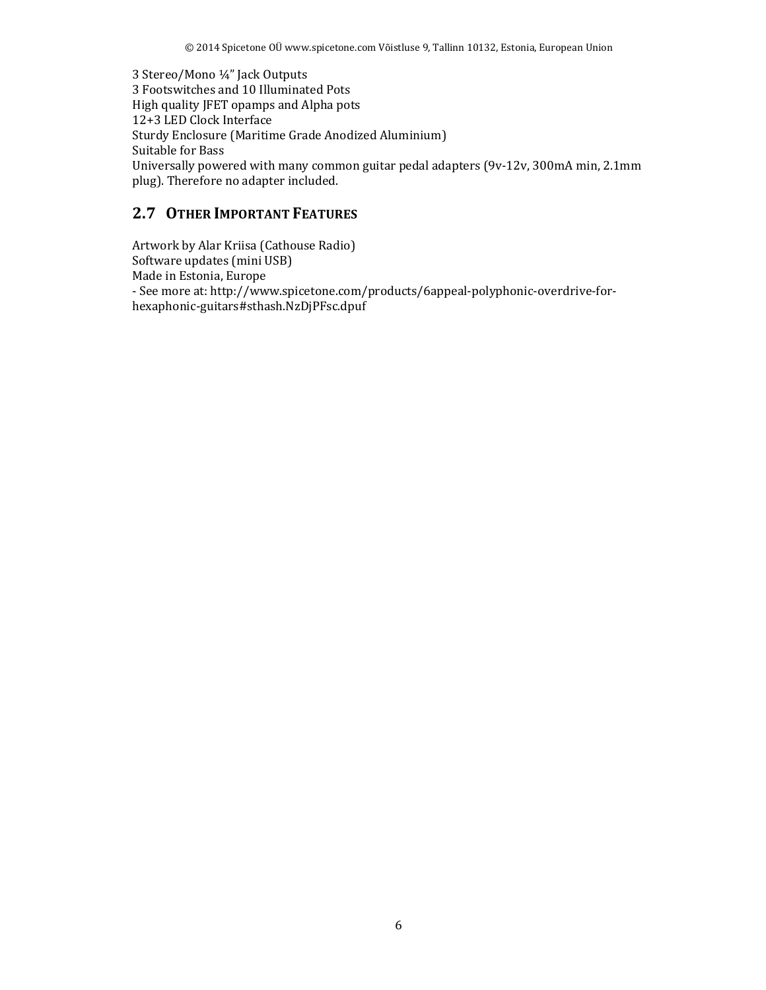3 Stereo/Mono ¼" Jack Outputs 3 Footswitches and 10 Illuminated Pots High quality JFET opamps and Alpha pots 12+3 LED Clock Interface Sturdy Enclosure (Maritime Grade Anodized Aluminium) Suitable for Bass Universally powered with many common guitar pedal adapters (9v-12v, 300mA min, 2.1mm plug). Therefore no adapter included.

#### **2.7 OTHER IMPORTANT FEATURES**

Artwork by Alar Kriisa (Cathouse Radio) Software updates (mini USB) Made in Estonia, Europe - See more at: http://www.spicetone.com/products/6appeal-polyphonic-overdrive-forhexaphonic-guitars#sthash.NzDjPFsc.dpuf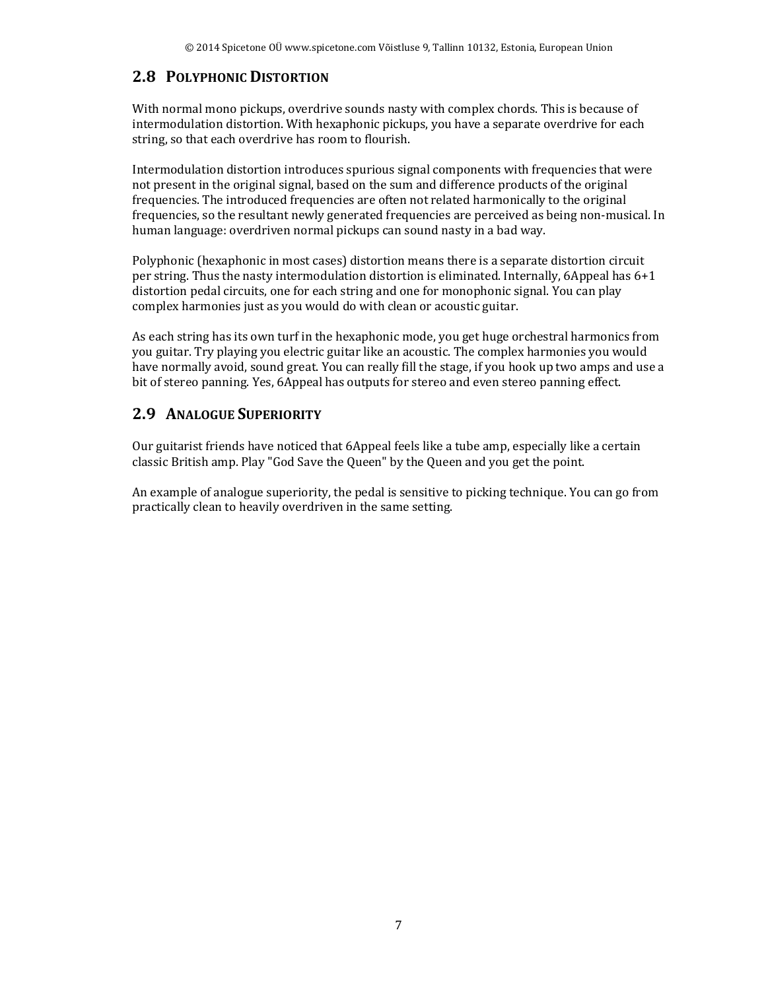## **2.8 POLYPHONIC DISTORTION**

With normal mono pickups, overdrive sounds nasty with complex chords. This is because of intermodulation distortion. With hexaphonic pickups, you have a separate overdrive for each string, so that each overdrive has room to flourish.

Intermodulation distortion introduces spurious signal components with frequencies that were not present in the original signal, based on the sum and difference products of the original frequencies. The introduced frequencies are often not related harmonically to the original frequencies, so the resultant newly generated frequencies are perceived as being non-musical. In human language: overdriven normal pickups can sound nasty in a bad way.

Polyphonic (hexaphonic in most cases) distortion means there is a separate distortion circuit per string. Thus the nasty intermodulation distortion is eliminated. Internally, 6Appeal has 6+1 distortion pedal circuits, one for each string and one for monophonic signal. You can play complex harmonies just as you would do with clean or acoustic guitar.

As each string has its own turf in the hexaphonic mode, you get huge orchestral harmonics from you guitar. Try playing you electric guitar like an acoustic. The complex harmonies you would have normally avoid, sound great. You can really fill the stage, if you hook up two amps and use a bit of stereo panning. Yes, 6Appeal has outputs for stereo and even stereo panning effect.

## **2.9 ANALOGUE SUPERIORITY**

Our guitarist friends have noticed that 6Appeal feels like a tube amp, especially like a certain classic British amp. Play "God Save the Queen" by the Queen and you get the point.

An example of analogue superiority, the pedal is sensitive to picking technique. You can go from practically clean to heavily overdriven in the same setting.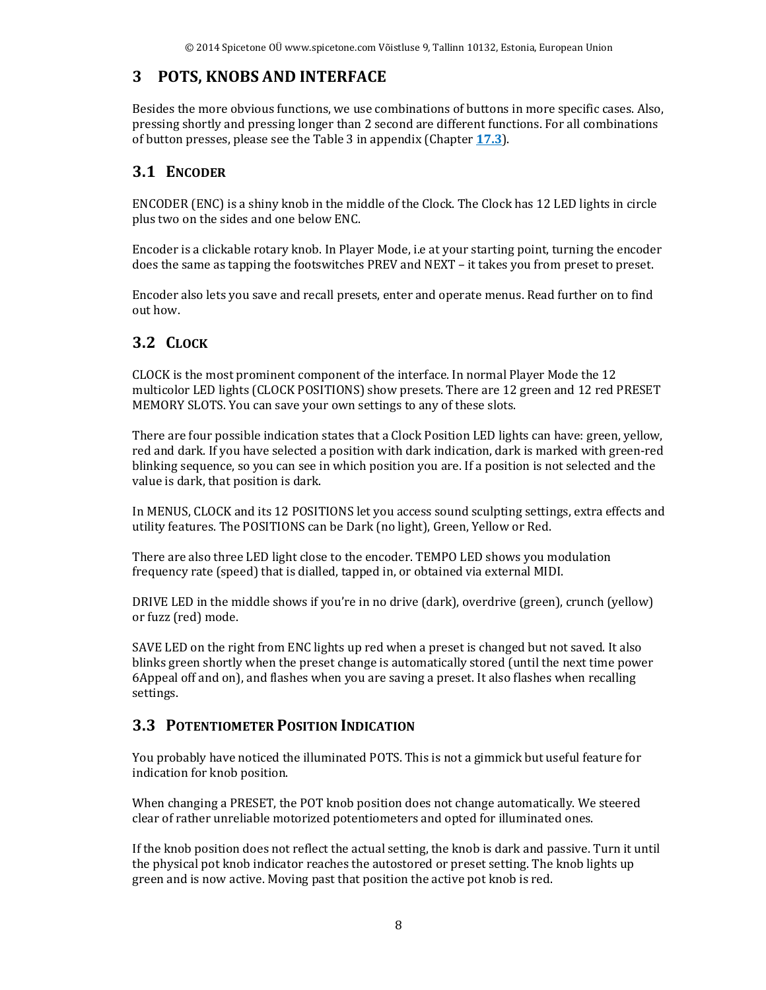## **3 POTS, KNOBS AND INTERFACE**

Besides the more obvious functions, we use combinations of buttons in more specific cases. Also, pressing shortly and pressing longer than 2 second are different functions. For all combinations of button presses, please see the Table 3 in appendix (Chapter **17.3**).

#### **3.1 ENCODER**

ENCODER (ENC) is a shiny knob in the middle of the Clock. The Clock has 12 LED lights in circle plus two on the sides and one below ENC.

Encoder is a clickable rotary knob. In Player Mode, i.e at your starting point, turning the encoder does the same as tapping the footswitches PREV and NEXT – it takes you from preset to preset.

Encoder also lets you save and recall presets, enter and operate menus. Read further on to find out how.

## **3.2 CLOCK**

CLOCK is the most prominent component of the interface. In normal Player Mode the 12 multicolor LED lights (CLOCK POSITIONS) show presets. There are 12 green and 12 red PRESET MEMORY SLOTS. You can save your own settings to any of these slots.

There are four possible indication states that a Clock Position LED lights can have: green, yellow, red and dark. If you have selected a position with dark indication, dark is marked with green-red blinking sequence, so you can see in which position you are. If a position is not selected and the value is dark, that position is dark.

In MENUS, CLOCK and its 12 POSITIONS let you access sound sculpting settings, extra effects and utility features. The POSITIONS can be Dark (no light), Green, Yellow or Red.

There are also three LED light close to the encoder. TEMPO LED shows you modulation frequency rate (speed) that is dialled, tapped in, or obtained via external MIDI.

DRIVE LED in the middle shows if you're in no drive (dark), overdrive (green), crunch (yellow) or fuzz (red) mode.

SAVE LED on the right from ENC lights up red when a preset is changed but not saved. It also blinks green shortly when the preset change is automatically stored (until the next time power 6Appeal off and on), and flashes when you are saving a preset. It also flashes when recalling settings.

#### **3.3 POTENTIOMETER POSITION INDICATION**

You probably have noticed the illuminated POTS. This is not a gimmick but useful feature for indication for knob position.

When changing a PRESET, the POT knob position does not change automatically. We steered clear of rather unreliable motorized potentiometers and opted for illuminated ones.

If the knob position does not reflect the actual setting, the knob is dark and passive. Turn it until the physical pot knob indicator reaches the autostored or preset setting. The knob lights up green and is now active. Moving past that position the active pot knob is red.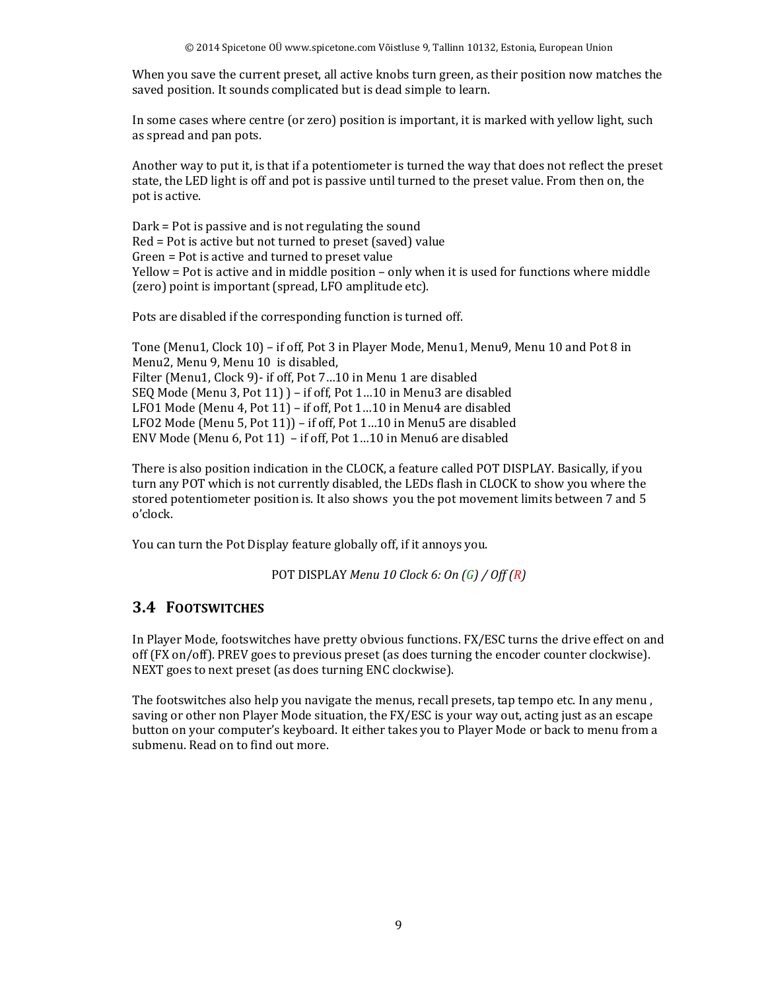When you save the current preset, all active knobs turn green, as their position now matches the saved position. It sounds complicated but is dead simple to learn.

In some cases where centre (or zero) position is important, it is marked with yellow light, such as spread and pan pots.

Another way to put it, is that if a potentiometer is turned the way that does not reflect the preset state, the LED light is off and pot is passive until turned to the preset value. From then on, the pot is active.

Dark = Pot is passive and is not regulating the sound Red = Pot is active but not turned to preset (saved) value Green = Pot is active and turned to preset value Yellow = Pot is active and in middle position – only when it is used for functions where middle (zero) point is important (spread, LFO amplitude etc).

Pots are disabled if the corresponding function is turned off.

Tone (Menu1, Clock 10) – if off, Pot 3 in Player Mode, Menu1, Menu9, Menu 10 and Pot 8 in Menu2, Menu 9, Menu 10 is disabled, Filter (Menu1, Clock 9)- if off, Pot 7…10 in Menu 1 are disabled SEQ Mode (Menu 3, Pot 11) ) – if off, Pot 1…10 in Menu3 are disabled LFO1 Mode (Menu 4, Pot 11) – if off, Pot 1…10 in Menu4 are disabled LFO2 Mode (Menu 5, Pot 11)) – if off, Pot 1…10 in Menu5 are disabled ENV Mode (Menu 6, Pot 11) – if off, Pot 1…10 in Menu6 are disabled

There is also position indication in the CLOCK, a feature called POT DISPLAY. Basically, if you turn any POT which is not currently disabled, the LEDs flash in CLOCK to show you where the stored potentiometer position is. It also shows you the pot movement limits between 7 and 5 o'clock.

You can turn the Pot Display feature globally off, if it annoys you.

POT DISPLAY *Menu 10 Clock 6: On (G) / Off (R)*

#### **3.4 FOOTSWITCHES**

In Player Mode, footswitches have pretty obvious functions. FX/ESC turns the drive effect on and off (FX on/off). PREV goes to previous preset (as does turning the encoder counter clockwise). NEXT goes to next preset (as does turning ENC clockwise).

The footswitches also help you navigate the menus, recall presets, tap tempo etc. In any menu , saving or other non Player Mode situation, the FX/ESC is your way out, acting just as an escape button on your computer's keyboard. It either takes you to Player Mode or back to menu from a submenu. Read on to find out more.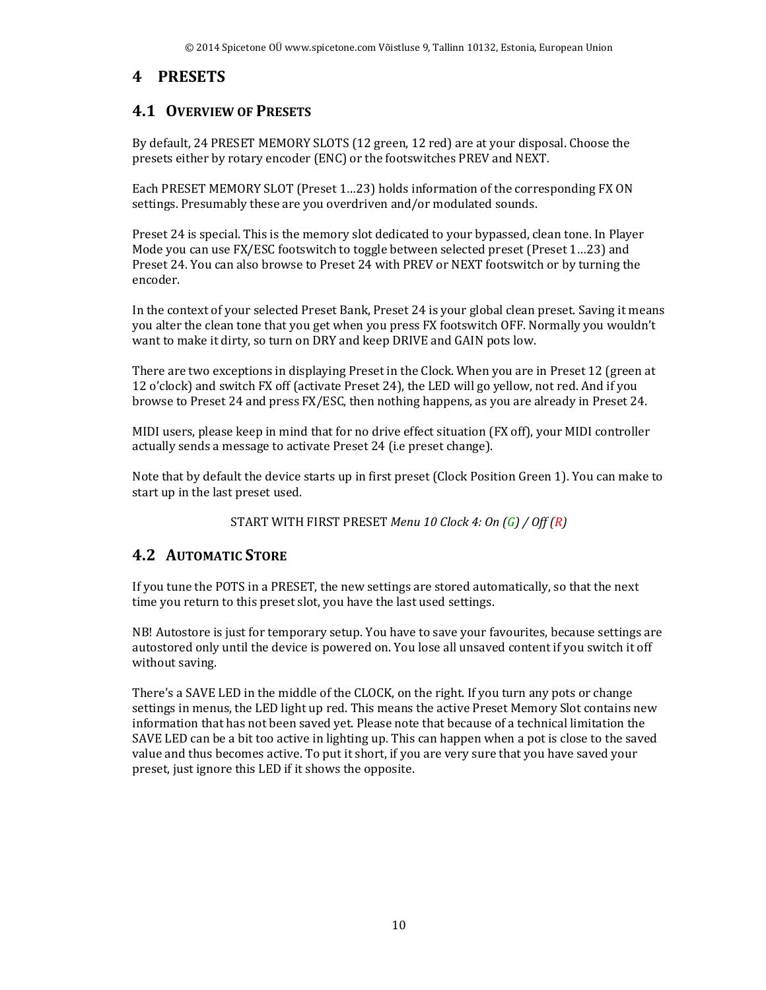## **4 PRESETS**

#### **4.1 OVERVIEW OF PRESETS**

By default, 24 PRESET MEMORY SLOTS (12 green, 12 red) are at your disposal. Choose the presets either by rotary encoder (ENC) or the footswitches PREV and NEXT.

Each PRESET MEMORY SLOT (Preset 1…23) holds information of the corresponding FX ON settings. Presumably these are you overdriven and/or modulated sounds.

Preset 24 is special. This is the memory slot dedicated to your bypassed, clean tone. In Player Mode you can use FX/ESC footswitch to toggle between selected preset (Preset 1…23) and Preset 24. You can also browse to Preset 24 with PREV or NEXT footswitch or by turning the encoder.

In the context of your selected Preset Bank, Preset 24 is your global clean preset. Saving it means you alter the clean tone that you get when you press FX footswitch OFF. Normally you wouldn't want to make it dirty, so turn on DRY and keep DRIVE and GAIN pots low.

There are two exceptions in displaying Preset in the Clock. When you are in Preset 12 (green at 12 o'clock) and switch FX off (activate Preset 24), the LED will go yellow, not red. And if you browse to Preset 24 and press FX/ESC, then nothing happens, as you are already in Preset 24.

MIDI users, please keep in mind that for no drive effect situation (FX off), your MIDI controller actually sends a message to activate Preset 24 (i.e preset change).

Note that by default the device starts up in first preset (Clock Position Green 1). You can make to start up in the last preset used.

START WITH FIRST PRESET *Menu 10 Clock 4: On (G) / Off (R)*

#### **4.2 AUTOMATIC STORE**

If you tune the POTS in a PRESET, the new settings are stored automatically, so that the next time you return to this preset slot, you have the last used settings.

NB! Autostore is just for temporary setup. You have to save your favourites, because settings are autostored only until the device is powered on. You lose all unsaved content if you switch it off without saving.

There's a SAVE LED in the middle of the CLOCK, on the right. If you turn any pots or change settings in menus, the LED light up red. This means the active Preset Memory Slot contains new information that has not been saved yet. Please note that because of a technical limitation the SAVE LED can be a bit too active in lighting up. This can happen when a pot is close to the saved value and thus becomes active. To put it short, if you are very sure that you have saved your preset, just ignore this LED if it shows the opposite.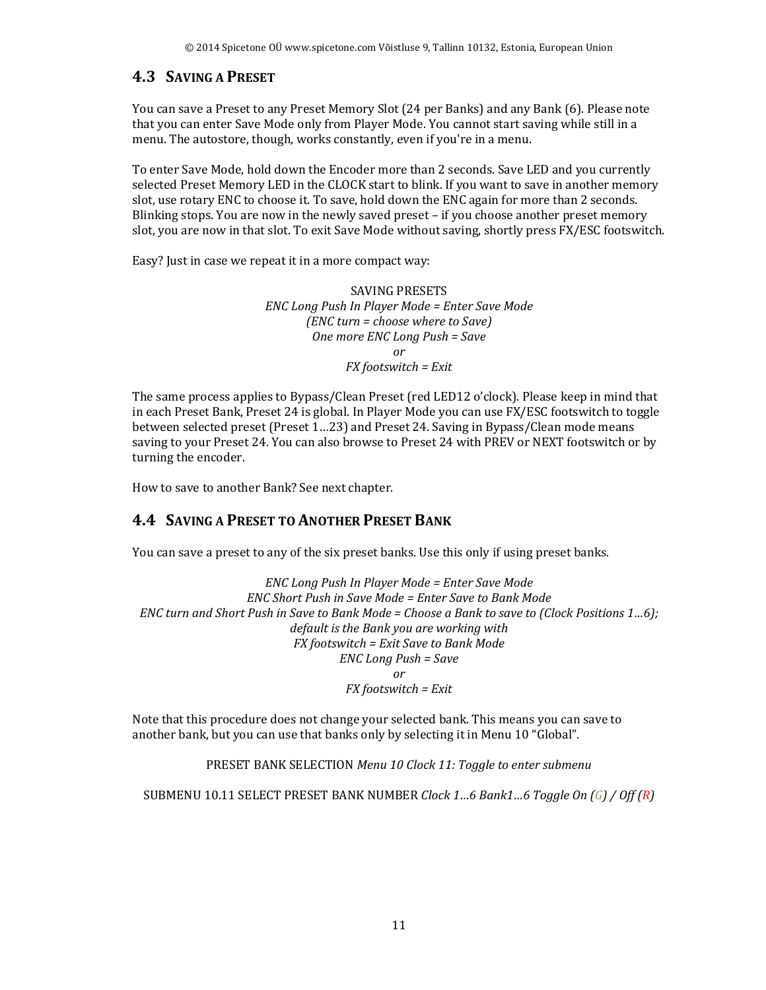#### **4.3 SAVING A PRESET**

You can save a Preset to any Preset Memory Slot (24 per Banks) and any Bank (6). Please note that you can enter Save Mode only from Player Mode. You cannot start saving while still in a menu. The autostore, though, works constantly, even if you're in a menu.

To enter Save Mode, hold down the Encoder more than 2 seconds. Save LED and you currently selected Preset Memory LED in the CLOCK start to blink. If you want to save in another memory slot, use rotary ENC to choose it. To save, hold down the ENC again for more than 2 seconds. Blinking stops. You are now in the newly saved preset – if you choose another preset memory slot, you are now in that slot. To exit Save Mode without saving, shortly press FX/ESC footswitch.

Easy? Just in case we repeat it in a more compact way:

SAVING PRESETS *ENC Long Push In Player Mode = Enter Save Mode (ENC turn = choose where to Save) One more ENC Long Push = Save or* 

*FX footswitch = Exit*

The same process applies to Bypass/Clean Preset (red LED12 o'clock). Please keep in mind that in each Preset Bank, Preset 24 is global. In Player Mode you can use FX/ESC footswitch to toggle between selected preset (Preset 1…23) and Preset 24. Saving in Bypass/Clean mode means saving to your Preset 24. You can also browse to Preset 24 with PREV or NEXT footswitch or by turning the encoder.

How to save to another Bank? See next chapter.

## **4.4 SAVING A PRESET TO ANOTHER PRESET BANK**

You can save a preset to any of the six preset banks. Use this only if using preset banks.

*ENC Long Push In Player Mode = Enter Save Mode ENC Short Push in Save Mode = Enter Save to Bank Mode ENC turn and Short Push in Save to Bank Mode = Choose a Bank to save to (Clock Positions 1…6); default is the Bank you are working with FX footswitch = Exit Save to Bank Mode ENC Long Push = Save or FX footswitch = Exit*

Note that this procedure does not change your selected bank. This means you can save to another bank, but you can use that banks only by selecting it in Menu 10 "Global".

PRESET BANK SELECTION *Menu 10 Clock 11: Toggle to enter submenu*

SUBMENU 10.11 SELECT PRESET BANK NUMBER *Clock 1…6 Bank1…6 Toggle On (G) / Off (R)*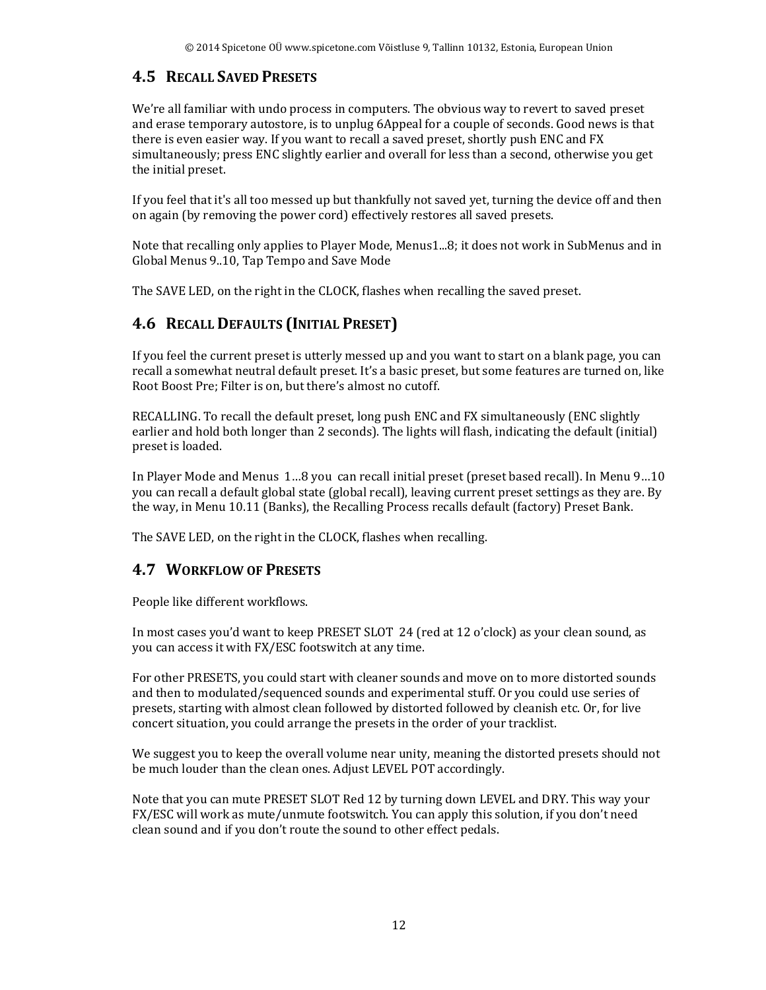#### **4.5 RECALL SAVED PRESETS**

We're all familiar with undo process in computers. The obvious way to revert to saved preset and erase temporary autostore, is to unplug 6Appeal for a couple of seconds. Good news is that there is even easier way. If you want to recall a saved preset, shortly push ENC and FX simultaneously; press ENC slightly earlier and overall for less than a second, otherwise you get the initial preset.

If you feel that it's all too messed up but thankfully not saved yet, turning the device off and then on again (by removing the power cord) effectively restores all saved presets.

Note that recalling only applies to Player Mode, Menus1...8; it does not work in SubMenus and in Global Menus 9..10, Tap Tempo and Save Mode

The SAVE LED, on the right in the CLOCK, flashes when recalling the saved preset.

## **4.6 RECALL DEFAULTS (INITIAL PRESET)**

If you feel the current preset is utterly messed up and you want to start on a blank page, you can recall a somewhat neutral default preset. It's a basic preset, but some features are turned on, like Root Boost Pre; Filter is on, but there's almost no cutoff.

RECALLING. To recall the default preset, long push ENC and FX simultaneously (ENC slightly earlier and hold both longer than 2 seconds). The lights will flash, indicating the default (initial) preset is loaded.

In Player Mode and Menus 1…8 you can recall initial preset (preset based recall). In Menu 9…10 you can recall a default global state (global recall), leaving current preset settings as they are. By the way, in Menu 10.11 (Banks), the Recalling Process recalls default (factory) Preset Bank.

The SAVE LED, on the right in the CLOCK, flashes when recalling.

#### **4.7 WORKFLOW OF PRESETS**

People like different workflows.

In most cases you'd want to keep PRESET SLOT 24 (red at 12 o'clock) as your clean sound, as you can access it with FX/ESC footswitch at any time.

For other PRESETS, you could start with cleaner sounds and move on to more distorted sounds and then to modulated/sequenced sounds and experimental stuff. Or you could use series of presets, starting with almost clean followed by distorted followed by cleanish etc. Or, for live concert situation, you could arrange the presets in the order of your tracklist.

We suggest you to keep the overall volume near unity, meaning the distorted presets should not be much louder than the clean ones. Adjust LEVEL POT accordingly.

Note that you can mute PRESET SLOT Red 12 by turning down LEVEL and DRY. This way your FX/ESC will work as mute/unmute footswitch. You can apply this solution, if you don't need clean sound and if you don't route the sound to other effect pedals.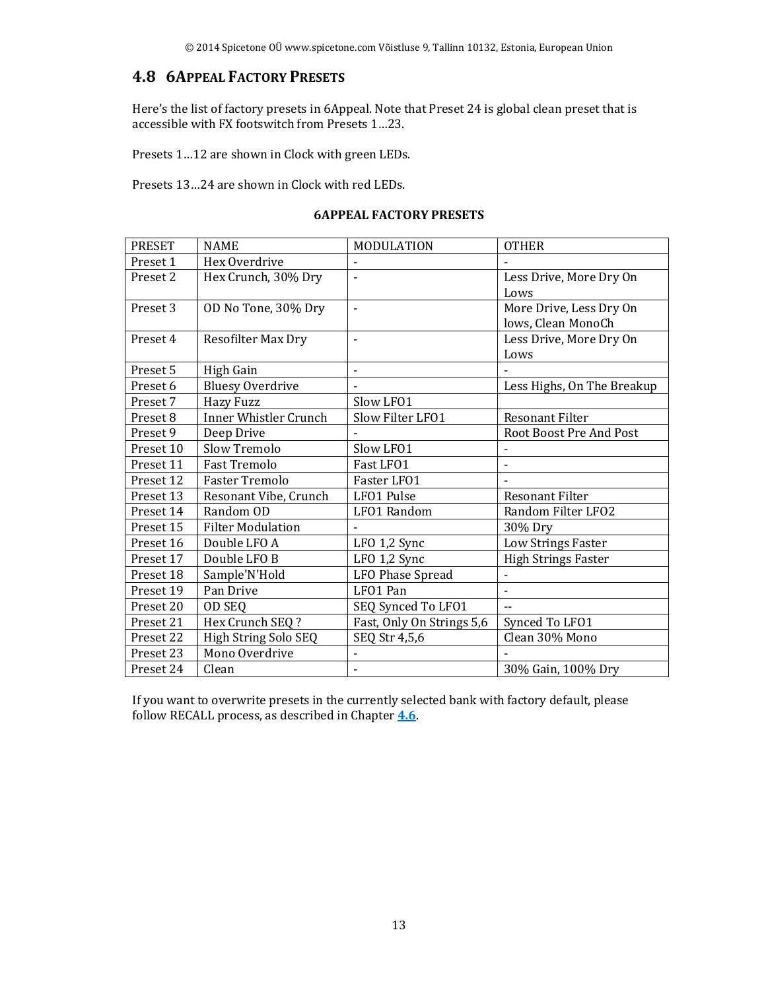#### **4.8 6APPEAL FACTORY PRESETS**

Here's the list of factory presets in 6Appeal. Note that Preset 24 is global clean preset that is accessible with FX footswitch from Presets 1…23.

Presets 1…12 are shown in Clock with green LEDs.

Presets 13…24 are shown in Clock with red LEDs.

#### **6APPEAL FACTORY PRESETS**

| <b>PRESET</b> | <b>NAME</b>                  | <b>MODULATION</b>         | <b>OTHER</b>                                  |
|---------------|------------------------------|---------------------------|-----------------------------------------------|
| Preset 1      | Hex Overdrive                |                           |                                               |
| Preset 2      | Hex Crunch, 30% Dry          | $\blacksquare$            | Less Drive, More Dry On<br>Lows               |
| Preset 3      | OD No Tone, 30% Dry          | $\blacksquare$            | More Drive, Less Dry On<br>lows, Clean MonoCh |
| Preset 4      | Resofilter Max Dry           | $\blacksquare$            | Less Drive, More Dry On<br>Lows               |
| Preset 5      | High Gain                    | $\blacksquare$            |                                               |
| Preset 6      | <b>Bluesy Overdrive</b>      |                           | Less Highs, On The Breakup                    |
| Preset 7      | <b>Hazy Fuzz</b>             | Slow LFO1                 |                                               |
| Preset 8      | <b>Inner Whistler Crunch</b> | Slow Filter LFO1          | <b>Resonant Filter</b>                        |
| Preset 9      | Deep Drive                   |                           | Root Boost Pre And Post                       |
| Preset 10     | Slow Tremolo                 | Slow LF01                 | $\overline{a}$                                |
| Preset 11     | <b>Fast Tremolo</b>          | Fast LFO1                 | $\blacksquare$                                |
| Preset 12     | <b>Faster Tremolo</b>        | Faster LFO1               |                                               |
| Preset 13     | Resonant Vibe, Crunch        | LFO1 Pulse                | <b>Resonant Filter</b>                        |
| Preset 14     | Random OD                    | LFO1 Random               | Random Filter LFO2                            |
| Preset 15     | <b>Filter Modulation</b>     |                           | 30% Dry                                       |
| Preset 16     | Double LFO A                 | LFO 1,2 Sync              | Low Strings Faster                            |
| Preset 17     | Double LFO B                 | LFO 1,2 Sync              | <b>High Strings Faster</b>                    |
| Preset 18     | Sample'N'Hold                | LFO Phase Spread          |                                               |
| Preset 19     | Pan Drive                    | LFO1 Pan                  | $\blacksquare$                                |
| Preset 20     | OD SEQ                       | SEQ Synced To LFO1        |                                               |
| Preset 21     | Hex Crunch SEQ ?             | Fast, Only On Strings 5,6 | Synced To LFO1                                |
| Preset 22     | High String Solo SEQ         | SEQ Str 4,5,6             | Clean 30% Mono                                |
| Preset 23     | Mono Overdrive               |                           |                                               |
| Preset 24     | Clean                        |                           | 30% Gain, 100% Dry                            |

If you want to overwrite presets in the currently selected bank with factory default, please follow RECALL process, as described in Chapter **4.6**.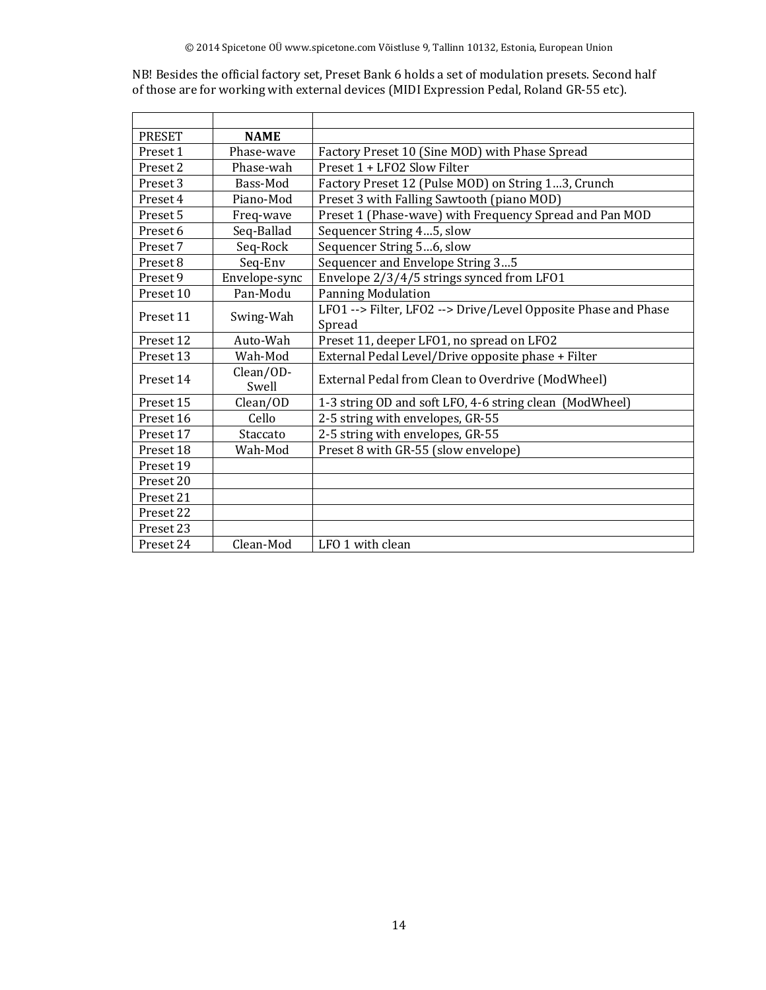NB! Besides the official factory set, Preset Bank 6 holds a set of modulation presets. Second half of those are for working with external devices (MIDI Expression Pedal, Roland GR-55 etc).

| <b>PRESET</b>         | <b>NAME</b>   |                                                                |  |  |  |  |  |
|-----------------------|---------------|----------------------------------------------------------------|--|--|--|--|--|
| Preset 1              | Phase-wave    | Factory Preset 10 (Sine MOD) with Phase Spread                 |  |  |  |  |  |
| Preset 2              | Phase-wah     | Preset 1 + LFO2 Slow Filter                                    |  |  |  |  |  |
| Preset 3              | Bass-Mod      | Factory Preset 12 (Pulse MOD) on String 13, Crunch             |  |  |  |  |  |
| Preset 4<br>Piano-Mod |               | Preset 3 with Falling Sawtooth (piano MOD)                     |  |  |  |  |  |
| Preset 5              | Freq-wave     | Preset 1 (Phase-wave) with Frequency Spread and Pan MOD        |  |  |  |  |  |
| Preset 6              | Seq-Ballad    | Sequencer String 45, slow                                      |  |  |  |  |  |
| Preset 7              | Seq-Rock      | Sequencer String 56, slow                                      |  |  |  |  |  |
| Preset 8              | Seq-Env       | Sequencer and Envelope String 35                               |  |  |  |  |  |
| Preset 9              | Envelope-sync | Envelope 2/3/4/5 strings synced from LF01                      |  |  |  |  |  |
| Preset 10             | Pan-Modu      | <b>Panning Modulation</b>                                      |  |  |  |  |  |
| Preset 11             | Swing-Wah     | LFO1 --> Filter, LFO2 --> Drive/Level Opposite Phase and Phase |  |  |  |  |  |
|                       |               | Spread                                                         |  |  |  |  |  |
| Preset 12             | Auto-Wah      | Preset 11, deeper LFO1, no spread on LFO2                      |  |  |  |  |  |
| Preset 13             | Wah-Mod       | External Pedal Level/Drive opposite phase + Filter             |  |  |  |  |  |
| Preset 14             | Clean/OD-     | External Pedal from Clean to Overdrive (ModWheel)              |  |  |  |  |  |
|                       | Swell         |                                                                |  |  |  |  |  |
| Preset 15             | Clean/OD      | 1-3 string OD and soft LFO, 4-6 string clean (ModWheel)        |  |  |  |  |  |
| Preset 16             | Cello         | 2-5 string with envelopes, GR-55                               |  |  |  |  |  |
| Preset 17             | Staccato      | 2-5 string with envelopes, GR-55                               |  |  |  |  |  |
| Preset 18             | Wah-Mod       | Preset 8 with GR-55 (slow envelope)                            |  |  |  |  |  |
| Preset 19             |               |                                                                |  |  |  |  |  |
| Preset 20             |               |                                                                |  |  |  |  |  |
| Preset 21             |               |                                                                |  |  |  |  |  |
| Preset 22             |               |                                                                |  |  |  |  |  |
| Preset 23             |               |                                                                |  |  |  |  |  |
| Preset 24             | Clean-Mod     | LFO 1 with clean                                               |  |  |  |  |  |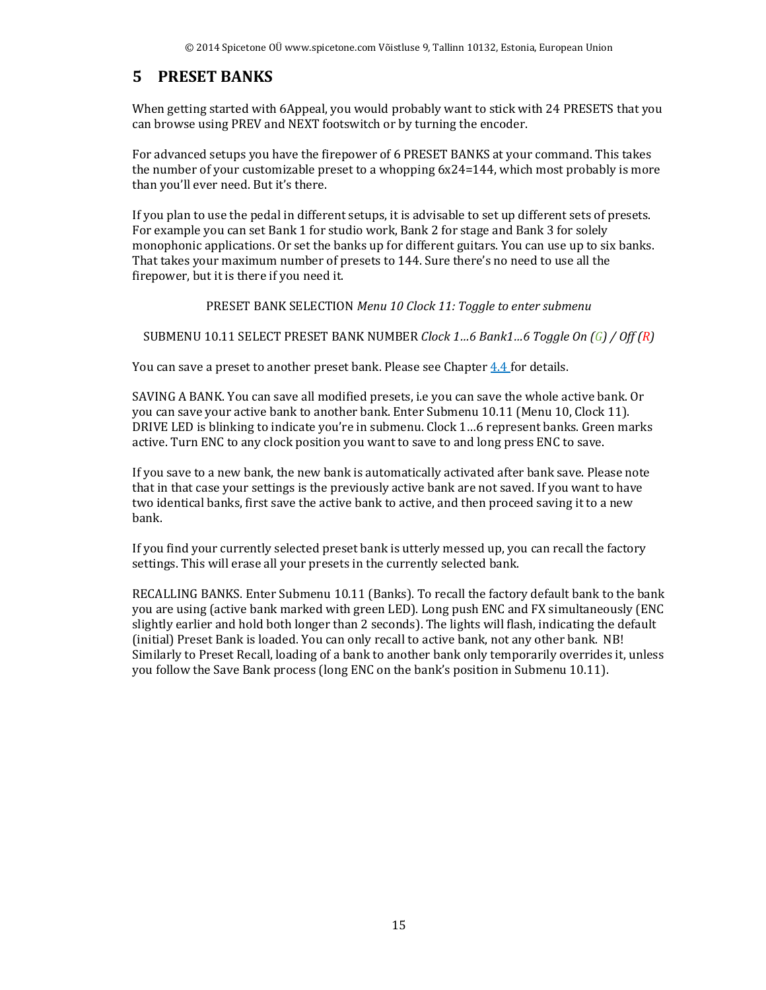## **5 PRESET BANKS**

When getting started with 6Appeal, you would probably want to stick with 24 PRESETS that you can browse using PREV and NEXT footswitch or by turning the encoder.

For advanced setups you have the firepower of 6 PRESET BANKS at your command. This takes the number of your customizable preset to a whopping 6x24=144, which most probably is more than you'll ever need. But it's there.

If you plan to use the pedal in different setups, it is advisable to set up different sets of presets. For example you can set Bank 1 for studio work, Bank 2 for stage and Bank 3 for solely monophonic applications. Or set the banks up for different guitars. You can use up to six banks. That takes your maximum number of presets to 144. Sure there's no need to use all the firepower, but it is there if you need it.

PRESET BANK SELECTION *Menu 10 Clock 11: Toggle to enter submenu*

SUBMENU 10.11 SELECT PRESET BANK NUMBER *Clock 1…6 Bank1…6 Toggle On (G) / Off (R)*

You can save a preset to another preset bank. Please see Chapter 4.4 for details.

SAVING A BANK. You can save all modified presets, i.e you can save the whole active bank. Or you can save your active bank to another bank. Enter Submenu 10.11 (Menu 10, Clock 11). DRIVE LED is blinking to indicate you're in submenu. Clock 1…6 represent banks. Green marks active. Turn ENC to any clock position you want to save to and long press ENC to save.

If you save to a new bank, the new bank is automatically activated after bank save. Please note that in that case your settings is the previously active bank are not saved. If you want to have two identical banks, first save the active bank to active, and then proceed saving it to a new bank.

If you find your currently selected preset bank is utterly messed up, you can recall the factory settings. This will erase all your presets in the currently selected bank.

RECALLING BANKS. Enter Submenu 10.11 (Banks). To recall the factory default bank to the bank you are using (active bank marked with green LED). Long push ENC and FX simultaneously (ENC slightly earlier and hold both longer than 2 seconds). The lights will flash, indicating the default (initial) Preset Bank is loaded. You can only recall to active bank, not any other bank. NB! Similarly to Preset Recall, loading of a bank to another bank only temporarily overrides it, unless you follow the Save Bank process (long ENC on the bank's position in Submenu 10.11).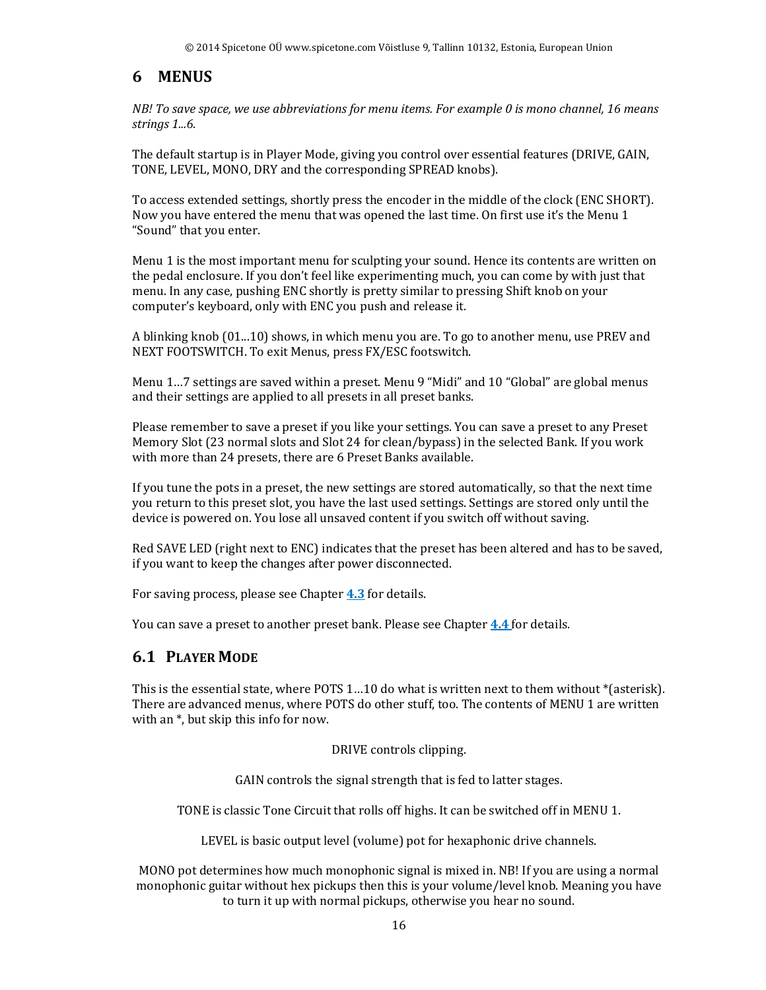## **6 MENUS**

*NB! To save space, we use abbreviations for menu items. For example 0 is mono channel, 16 means strings 1...6.*

The default startup is in Player Mode, giving you control over essential features (DRIVE, GAIN, TONE, LEVEL, MONO, DRY and the corresponding SPREAD knobs).

To access extended settings, shortly press the encoder in the middle of the clock (ENC SHORT). Now you have entered the menu that was opened the last time. On first use it's the Menu 1 "Sound" that you enter.

Menu 1 is the most important menu for sculpting your sound. Hence its contents are written on the pedal enclosure. If you don't feel like experimenting much, you can come by with just that menu. In any case, pushing ENC shortly is pretty similar to pressing Shift knob on your computer's keyboard, only with ENC you push and release it.

A blinking knob (01...10) shows, in which menu you are. To go to another menu, use PREV and NEXT FOOTSWITCH. To exit Menus, press FX/ESC footswitch.

Menu 1…7 settings are saved within a preset. Menu 9 "Midi" and 10 "Global" are global menus and their settings are applied to all presets in all preset banks.

Please remember to save a preset if you like your settings. You can save a preset to any Preset Memory Slot (23 normal slots and Slot 24 for clean/bypass) in the selected Bank. If you work with more than 24 presets, there are 6 Preset Banks available.

If you tune the pots in a preset, the new settings are stored automatically, so that the next time you return to this preset slot, you have the last used settings. Settings are stored only until the device is powered on. You lose all unsaved content if you switch off without saving.

Red SAVE LED (right next to ENC) indicates that the preset has been altered and has to be saved, if you want to keep the changes after power disconnected.

For saving process, please see Chapter **4.3** for details.

You can save a preset to another preset bank. Please see Chapter **4.4** for details.

#### **6.1 PLAYER MODE**

This is the essential state, where POTS 1…10 do what is written next to them without \*(asterisk). There are advanced menus, where POTS do other stuff, too. The contents of MENU 1 are written with an \*, but skip this info for now.

DRIVE controls clipping.

GAIN controls the signal strength that is fed to latter stages.

TONE is classic Tone Circuit that rolls off highs. It can be switched off in MENU 1.

LEVEL is basic output level (volume) pot for hexaphonic drive channels.

MONO pot determines how much monophonic signal is mixed in. NB! If you are using a normal monophonic guitar without hex pickups then this is your volume/level knob. Meaning you have to turn it up with normal pickups, otherwise you hear no sound.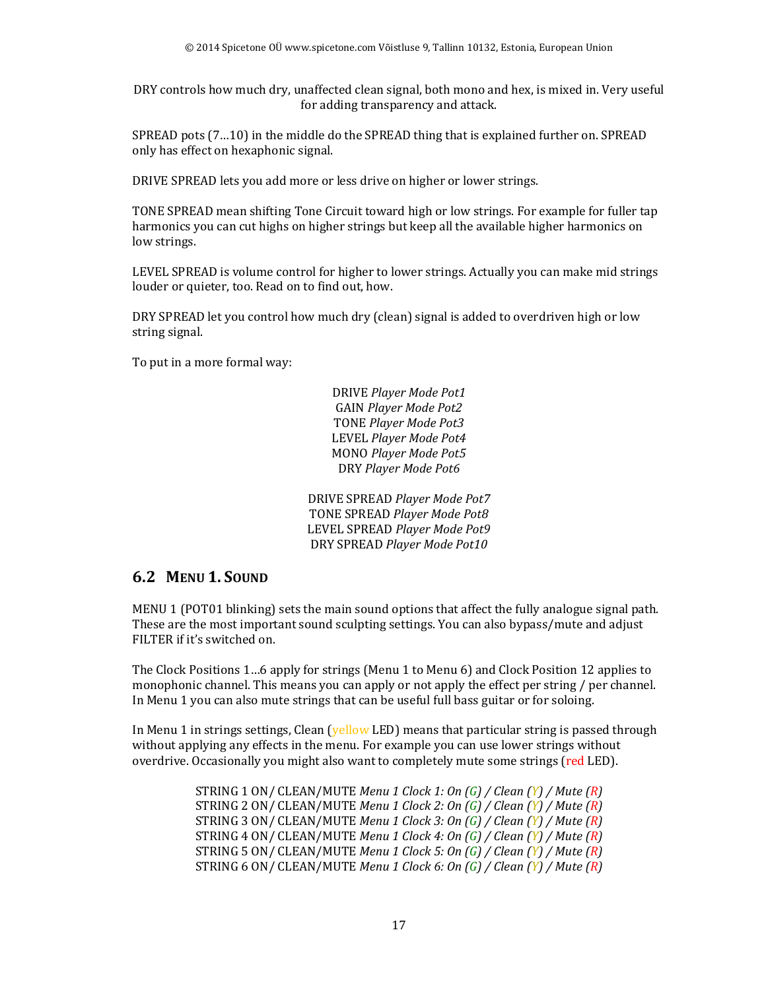DRY controls how much dry, unaffected clean signal, both mono and hex, is mixed in. Very useful for adding transparency and attack.

SPREAD pots (7…10) in the middle do the SPREAD thing that is explained further on. SPREAD only has effect on hexaphonic signal.

DRIVE SPREAD lets you add more or less drive on higher or lower strings.

TONE SPREAD mean shifting Tone Circuit toward high or low strings. For example for fuller tap harmonics you can cut highs on higher strings but keep all the available higher harmonics on low strings.

LEVEL SPREAD is volume control for higher to lower strings. Actually you can make mid strings louder or quieter, too. Read on to find out, how.

DRY SPREAD let you control how much dry (clean) signal is added to overdriven high or low string signal.

To put in a more formal way:

DRIVE *Player Mode Pot1* GAIN *Player Mode Pot2* TONE *Player Mode Pot3* LEVEL *Player Mode Pot4* MONO *Player Mode Pot5* DRY *Player Mode Pot6* 

DRIVE SPREAD *Player Mode Pot7* TONE SPREAD *Player Mode Pot8* LEVEL SPREAD *Player Mode Pot9* DRY SPREAD *Player Mode Pot10*

#### **6.2 MENU 1. SOUND**

MENU 1 (POT01 blinking) sets the main sound options that affect the fully analogue signal path. These are the most important sound sculpting settings. You can also bypass/mute and adjust FILTER if it's switched on.

The Clock Positions 1…6 apply for strings (Menu 1 to Menu 6) and Clock Position 12 applies to monophonic channel. This means you can apply or not apply the effect per string / per channel. In Menu 1 you can also mute strings that can be useful full bass guitar or for soloing.

In Menu 1 in strings settings, Clean (yellow LED) means that particular string is passed through without applying any effects in the menu. For example you can use lower strings without overdrive. Occasionally you might also want to completely mute some strings (red LED).

> STRING 1 ON/ CLEAN/MUTE *Menu 1 Clock 1: On (G) / Clean (Y) / Mute (R)* STRING 2 ON/ CLEAN/MUTE *Menu 1 Clock 2: On (G) / Clean (Y) / Mute (R)* STRING 3 ON/ CLEAN/MUTE *Menu 1 Clock 3: On (G) / Clean (Y) / Mute (R)* STRING 4 ON/ CLEAN/MUTE *Menu 1 Clock 4: On (G) / Clean (Y) / Mute (R)* STRING 5 ON/ CLEAN/MUTE *Menu 1 Clock 5: On (G) / Clean (Y) / Mute (R)* STRING 6 ON/ CLEAN/MUTE *Menu 1 Clock 6: On (G) / Clean (Y) / Mute (R)*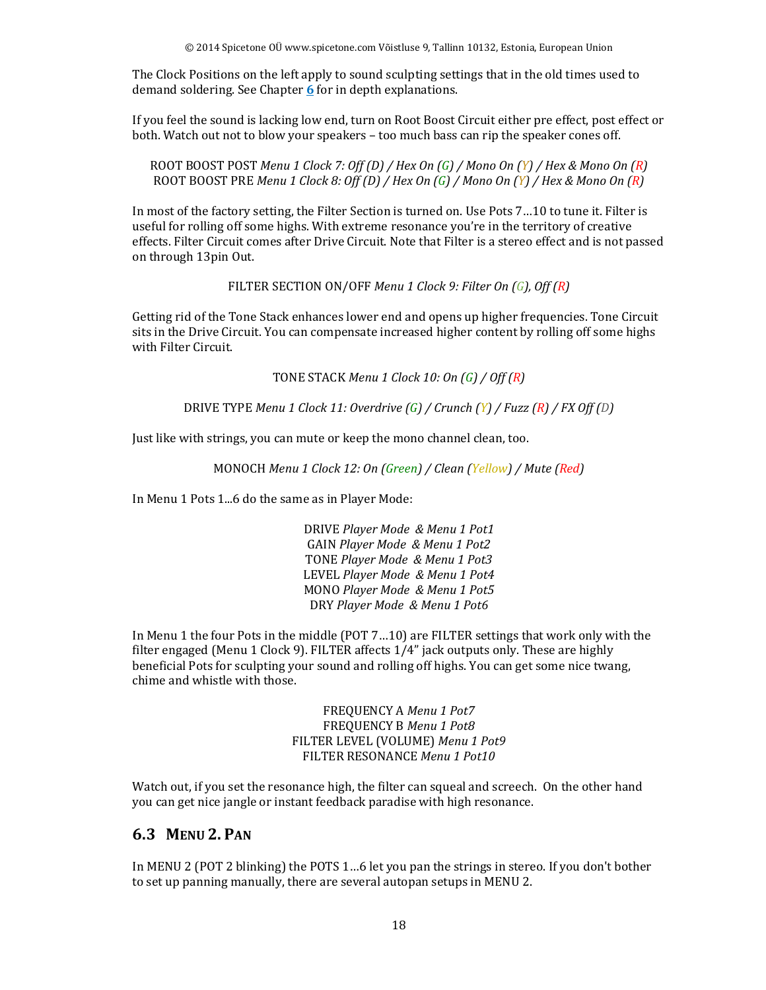The Clock Positions on the left apply to sound sculpting settings that in the old times used to demand soldering. See Chapter **6** for in depth explanations.

If you feel the sound is lacking low end, turn on Root Boost Circuit either pre effect, post effect or both. Watch out not to blow your speakers – too much bass can rip the speaker cones off.

ROOT BOOST POST *Menu 1 Clock 7: Off (D) / Hex On (G) / Mono On (Y) / Hex & Mono On (R)* ROOT BOOST PRE *Menu 1 Clock 8: Off (D) / Hex On (G) / Mono On (Y) / Hex & Mono On (R)*

In most of the factory setting, the Filter Section is turned on. Use Pots 7…10 to tune it. Filter is useful for rolling off some highs. With extreme resonance you're in the territory of creative effects. Filter Circuit comes after Drive Circuit. Note that Filter is a stereo effect and is not passed on through 13pin Out.

FILTER SECTION ON/OFF *Menu 1 Clock 9: Filter On (G), Off (R)*

Getting rid of the Tone Stack enhances lower end and opens up higher frequencies. Tone Circuit sits in the Drive Circuit. You can compensate increased higher content by rolling off some highs with Filter Circuit.

TONE STACK *Menu 1 Clock 10: On (G) / Off (R)*

DRIVE TYPE *Menu 1 Clock 11: Overdrive (G) / Crunch (Y) / Fuzz (R) / FX Off (D)*

Just like with strings, you can mute or keep the mono channel clean, too.

MONOCH *Menu 1 Clock 12: On (Green) / Clean (Yellow) / Mute (Red)* 

In Menu 1 Pots 1...6 do the same as in Player Mode:

DRIVE *Player Mode & Menu 1 Pot1* GAIN *Player Mode & Menu 1 Pot2* TONE *Player Mode & Menu 1 Pot3* LEVEL *Player Mode & Menu 1 Pot4* MONO *Player Mode & Menu 1 Pot5* DRY *Player Mode & Menu 1 Pot6* 

In Menu 1 the four Pots in the middle (POT 7…10) are FILTER settings that work only with the filter engaged (Menu 1 Clock 9). FILTER affects 1/4" jack outputs only. These are highly beneficial Pots for sculpting your sound and rolling off highs. You can get some nice twang, chime and whistle with those.

> FREQUENCY A *Menu 1 Pot7* FREQUENCY B *Menu 1 Pot8* FILTER LEVEL (VOLUME) *Menu 1 Pot9* FILTER RESONANCE *Menu 1 Pot10*

Watch out, if you set the resonance high, the filter can squeal and screech. On the other hand you can get nice jangle or instant feedback paradise with high resonance.

#### **6.3 MENU 2. PAN**

In MENU 2 (POT 2 blinking) the POTS 1…6 let you pan the strings in stereo. If you don't bother to set up panning manually, there are several autopan setups in MENU 2.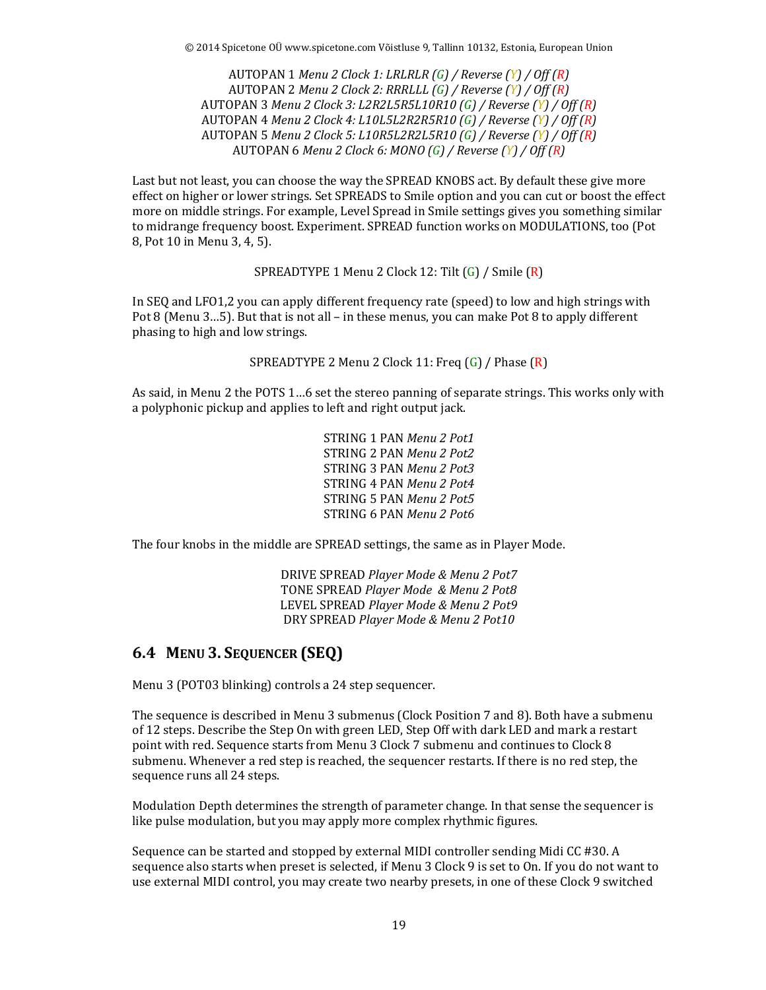AUTOPAN 1 *Menu 2 Clock 1: LRLRLR (G) / Reverse (Y) / Off (R)* AUTOPAN 2 *Menu 2 Clock 2: RRRLLL (G) / Reverse (Y) / Off (R)* AUTOPAN 3 *Menu 2 Clock 3: L2R2L5R5L10R10 (G) / Reverse (Y) / Off (R)* AUTOPAN 4 *Menu 2 Clock 4: L10L5L2R2R5R10 (G) / Reverse (Y) / Off (R)* AUTOPAN 5 *Menu 2 Clock 5: L10R5L2R2L5R10 (G) / Reverse (Y) / Off (R)* AUTOPAN 6 *Menu 2 Clock 6: MONO (G) / Reverse (Y) / Off (R)*

Last but not least, you can choose the way the SPREAD KNOBS act. By default these give more effect on higher or lower strings. Set SPREADS to Smile option and you can cut or boost the effect more on middle strings. For example, Level Spread in Smile settings gives you something similar to midrange frequency boost. Experiment. SPREAD function works on MODULATIONS, too (Pot 8, Pot 10 in Menu 3, 4, 5).

SPREADTYPE 1 Menu 2 Clock 12: Tilt (G) / Smile (R)

In SEQ and LFO1,2 you can apply different frequency rate (speed) to low and high strings with Pot 8 (Menu 3…5). But that is not all – in these menus, you can make Pot 8 to apply different phasing to high and low strings.

SPREADTYPE 2 Menu 2 Clock 11: Freq (G) / Phase (R)

As said, in Menu 2 the POTS 1…6 set the stereo panning of separate strings. This works only with a polyphonic pickup and applies to left and right output jack.

> STRING 1 PAN *Menu 2 Pot1* STRING 2 PAN *Menu 2 Pot2* STRING 3 PAN *Menu 2 Pot3* STRING 4 PAN *Menu 2 Pot4* STRING 5 PAN *Menu 2 Pot5* STRING 6 PAN *Menu 2 Pot6*

The four knobs in the middle are SPREAD settings, the same as in Player Mode.

DRIVE SPREAD *Player Mode & Menu 2 Pot7* TONE SPREAD *Player Mode & Menu 2 Pot8* LEVEL SPREAD *Player Mode & Menu 2 Pot9* DRY SPREAD *Player Mode & Menu 2 Pot10*

#### **6.4 MENU 3. SEQUENCER (SEQ)**

Menu 3 (POT03 blinking) controls a 24 step sequencer.

The sequence is described in Menu 3 submenus (Clock Position 7 and 8). Both have a submenu of 12 steps. Describe the Step On with green LED, Step Off with dark LED and mark a restart point with red. Sequence starts from Menu 3 Clock 7 submenu and continues to Clock 8 submenu. Whenever a red step is reached, the sequencer restarts. If there is no red step, the sequence runs all 24 steps.

Modulation Depth determines the strength of parameter change. In that sense the sequencer is like pulse modulation, but you may apply more complex rhythmic figures.

Sequence can be started and stopped by external MIDI controller sending Midi CC #30. A sequence also starts when preset is selected, if Menu 3 Clock 9 is set to On. If you do not want to use external MIDI control, you may create two nearby presets, in one of these Clock 9 switched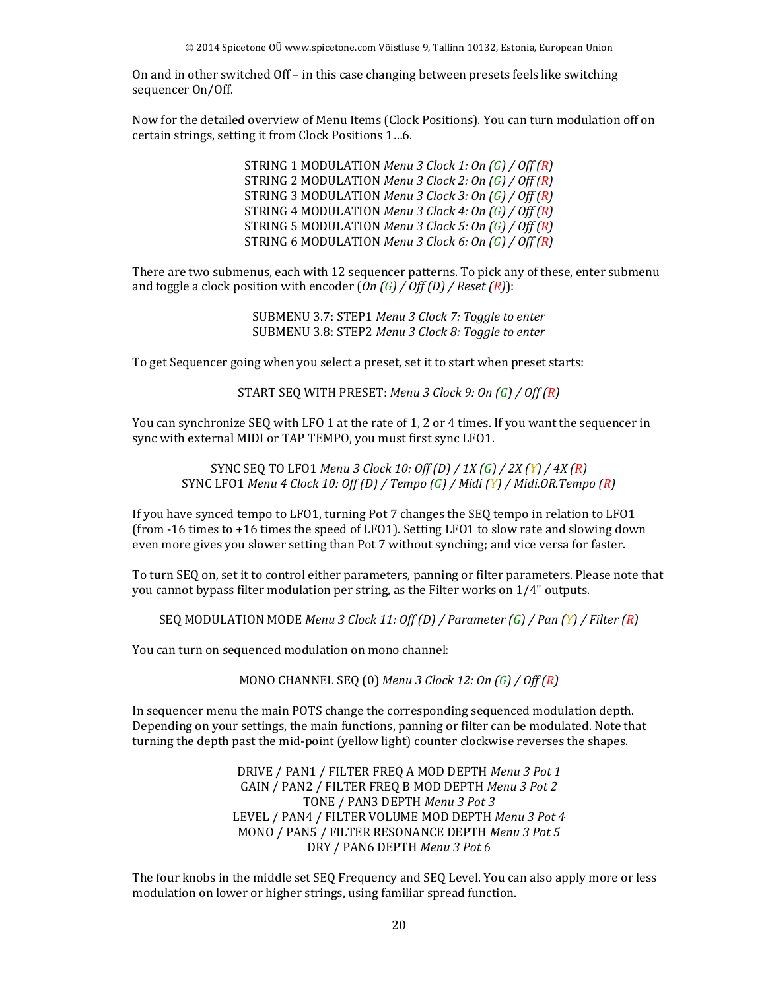On and in other switched Off – in this case changing between presets feels like switching sequencer On/Off.

Now for the detailed overview of Menu Items (Clock Positions). You can turn modulation off on certain strings, setting it from Clock Positions 1…6.

> STRING 1 MODULATION *Menu 3 Clock 1: On (G) / Off (R)* STRING 2 MODULATION *Menu 3 Clock 2: On (G) / Off (R)* STRING 3 MODULATION *Menu 3 Clock 3: On (G) / Off (R)* STRING 4 MODULATION *Menu 3 Clock 4: On (G) / Off (R)* STRING 5 MODULATION *Menu 3 Clock 5: On (G) / Off (R)* STRING 6 MODULATION *Menu 3 Clock 6: On (G) / Off (R)*

There are two submenus, each with 12 sequencer patterns. To pick any of these, enter submenu and toggle a clock position with encoder (*On (G) / Off (D) / Reset (R)*):

> SUBMENU 3.7: STEP1 *Menu 3 Clock 7: Toggle to enter* SUBMENU 3.8: STEP2 *Menu 3 Clock 8: Toggle to enter*

To get Sequencer going when you select a preset, set it to start when preset starts:

START SEQ WITH PRESET: *Menu 3 Clock 9: On (G) / Off (R)*

You can synchronize SEQ with LFO 1 at the rate of 1, 2 or 4 times. If you want the sequencer in sync with external MIDI or TAP TEMPO, you must first sync LFO1.

SYNC SEQ TO LFO1 *Menu 3 Clock 10: Off (D) / 1X (G) / 2X (Y) / 4X (R)* SYNC LFO1 *Menu 4 Clock 10: Off (D) / Tempo (G) / Midi (Y) / Midi.OR.Tempo (R)*

If you have synced tempo to LFO1, turning Pot 7 changes the SEQ tempo in relation to LFO1 (from -16 times to +16 times the speed of LFO1). Setting LFO1 to slow rate and slowing down even more gives you slower setting than Pot 7 without synching; and vice versa for faster.

To turn SEQ on, set it to control either parameters, panning or filter parameters. Please note that you cannot bypass filter modulation per string, as the Filter works on 1/4" outputs.

SEQ MODULATION MODE *Menu 3 Clock 11: Off (D) / Parameter (G) / Pan (Y) / Filter (R)*

You can turn on sequenced modulation on mono channel:

MONO CHANNEL SEQ (0) *Menu 3 Clock 12: On (G) / Off (R)*

In sequencer menu the main POTS change the corresponding sequenced modulation depth. Depending on your settings, the main functions, panning or filter can be modulated. Note that turning the depth past the mid-point (yellow light) counter clockwise reverses the shapes.

> DRIVE / PAN1 / FILTER FREQ A MOD DEPTH *Menu 3 Pot 1* GAIN / PAN2 / FILTER FREQ B MOD DEPTH *Menu 3 Pot 2* TONE / PAN3 DEPTH *Menu 3 Pot 3* LEVEL / PAN4 / FILTER VOLUME MOD DEPTH *Menu 3 Pot 4* MONO / PAN5 / FILTER RESONANCE DEPTH *Menu 3 Pot 5* DRY / PAN6 DEPTH *Menu 3 Pot 6*

The four knobs in the middle set SEQ Frequency and SEQ Level. You can also apply more or less modulation on lower or higher strings, using familiar spread function.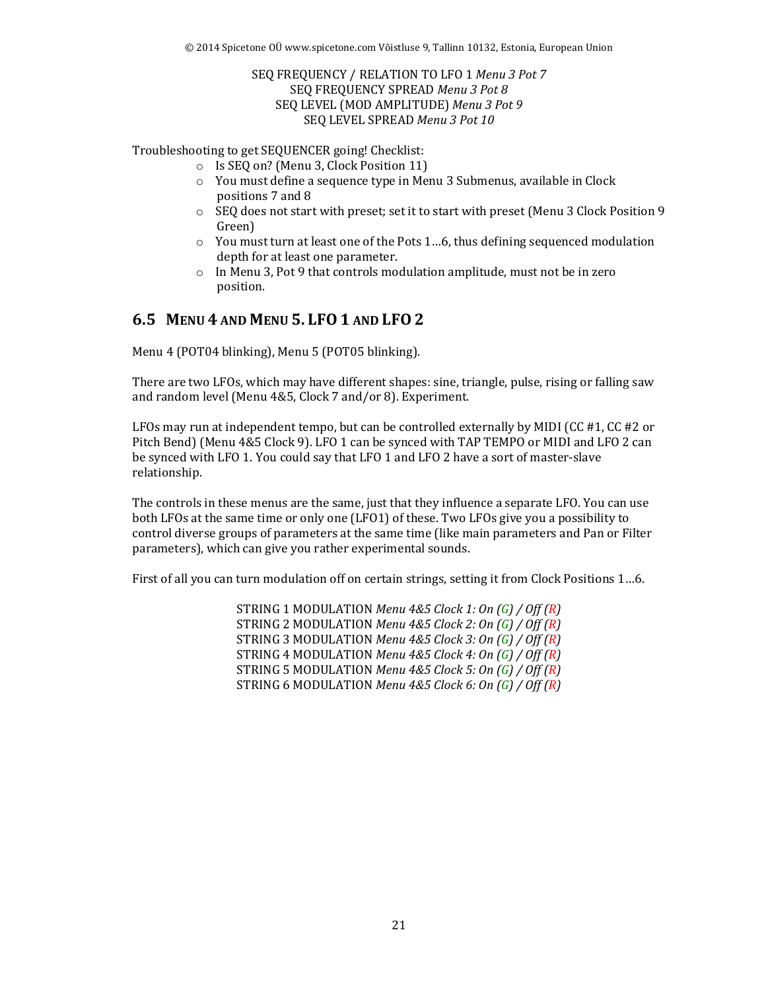#### SEQ FREQUENCY / RELATION TO LFO 1 *Menu 3 Pot 7* SEQ FREQUENCY SPREAD *Menu 3 Pot 8* SEQ LEVEL (MOD AMPLITUDE) *Menu 3 Pot 9* SEQ LEVEL SPREAD *Menu 3 Pot 10*

Troubleshooting to get SEQUENCER going! Checklist:

- o Is SEQ on? (Menu 3, Clock Position 11)
- o You must define a sequence type in Menu 3 Submenus, available in Clock positions 7 and 8
- $\circ$  SEQ does not start with preset; set it to start with preset (Menu 3 Clock Position 9 Green)
- o You must turn at least one of the Pots 1…6, thus defining sequenced modulation depth for at least one parameter.
- o In Menu 3, Pot 9 that controls modulation amplitude, must not be in zero position.

#### **6.5 MENU 4 AND MENU 5. LFO1 AND LFO2**

Menu 4 (POT04 blinking), Menu 5 (POT05 blinking).

There are two LFOs, which may have different shapes: sine, triangle, pulse, rising or falling saw and random level (Menu 4&5, Clock 7 and/or 8). Experiment.

LFOs may run at independent tempo, but can be controlled externally by MIDI (CC #1, CC #2 or Pitch Bend) (Menu 4&5 Clock 9). LFO 1 can be synced with TAP TEMPO or MIDI and LFO 2 can be synced with LFO 1. You could say that LFO 1 and LFO 2 have a sort of master-slave relationship.

The controls in these menus are the same, just that they influence a separate LFO. You can use both LFOs at the same time or only one (LFO1) of these. Two LFOs give you a possibility to control diverse groups of parameters at the same time (like main parameters and Pan or Filter parameters), which can give you rather experimental sounds.

First of all you can turn modulation off on certain strings, setting it from Clock Positions 1…6.

STRING 1 MODULATION *Menu 4&5 Clock 1: On (G) / Off (R)* STRING 2 MODULATION *Menu 4&5 Clock 2: On (G) / Off (R)* STRING 3 MODULATION *Menu 4&5 Clock 3: On (G) / Off (R)* STRING 4 MODULATION *Menu 4&5 Clock 4: On (G) / Off (R)* STRING 5 MODULATION *Menu 4&5 Clock 5: On (G) / Off (R)* STRING 6 MODULATION *Menu 4&5 Clock 6: On (G) / Off (R)*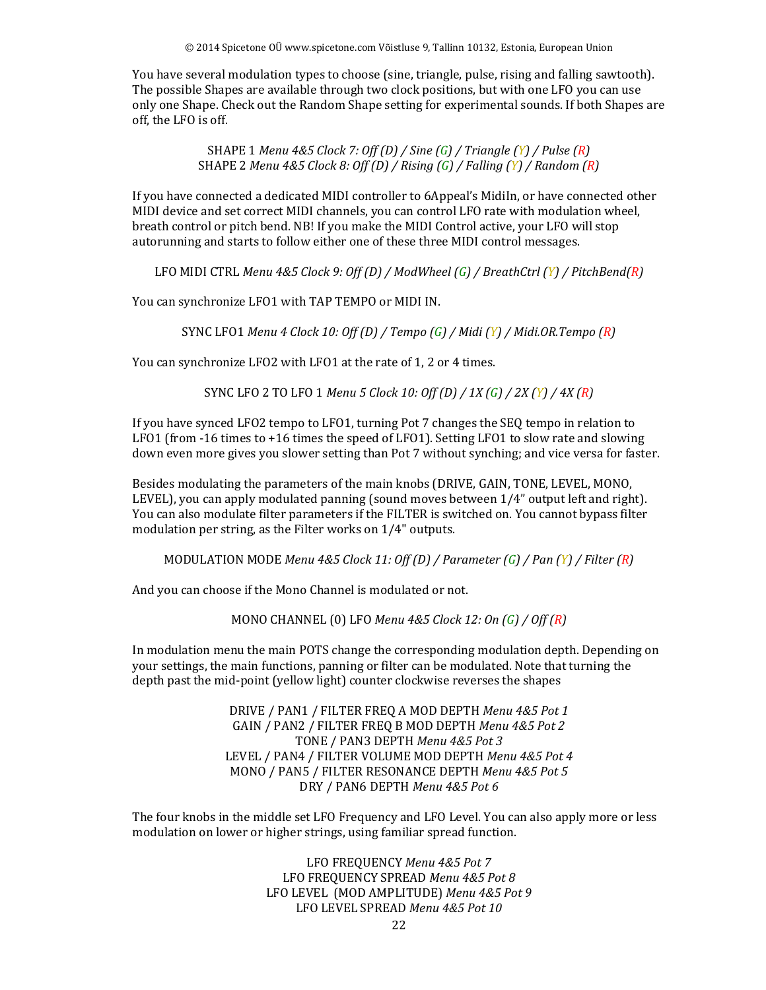You have several modulation types to choose (sine, triangle, pulse, rising and falling sawtooth). The possible Shapes are available through two clock positions, but with one LFO you can use only one Shape. Check out the Random Shape setting for experimental sounds. If both Shapes are off, the LFO is off.

> SHAPE 1 *Menu 4&5 Clock 7: Off (D) / Sine (G) / Triangle (Y) / Pulse (R)* SHAPE 2 *Menu 4&5 Clock 8: Off (D) / Rising (G) / Falling (Y) / Random (R)*

If you have connected a dedicated MIDI controller to 6Appeal's MidiIn, or have connected other MIDI device and set correct MIDI channels, you can control LFO rate with modulation wheel, breath control or pitch bend. NB! If you make the MIDI Control active, your LFO will stop autorunning and starts to follow either one of these three MIDI control messages.

LFO MIDI CTRL *Menu 4&5 Clock 9: Off (D) / ModWheel (G) / BreathCtrl (Y) / PitchBend(R)*

You can synchronize LFO1 with TAP TEMPO or MIDI IN.

SYNC LFO1 *Menu 4 Clock 10: Off (D) / Tempo (G) / Midi (Y) / Midi.OR.Tempo (R)*

You can synchronize LFO2 with LFO1 at the rate of 1, 2 or 4 times.

SYNC LFO 2 TO LFO 1 *Menu 5 Clock 10: Off (D) / 1X (G) / 2X (Y) / 4X (R)*

If you have synced LFO2 tempo to LFO1, turning Pot 7 changes the SEQ tempo in relation to LFO1 (from -16 times to +16 times the speed of LFO1). Setting LFO1 to slow rate and slowing down even more gives you slower setting than Pot 7 without synching; and vice versa for faster.

Besides modulating the parameters of the main knobs (DRIVE, GAIN, TONE, LEVEL, MONO, LEVEL), you can apply modulated panning (sound moves between 1/4" output left and right). You can also modulate filter parameters if the FILTER is switched on. You cannot bypass filter modulation per string, as the Filter works on 1/4" outputs.

MODULATION MODE *Menu 4&5 Clock 11: Off (D) / Parameter (G) / Pan (Y) / Filter (R)* 

And you can choose if the Mono Channel is modulated or not.

MONO CHANNEL (0) LFO *Menu 4&5 Clock 12: On (G) / Off (R)*

In modulation menu the main POTS change the corresponding modulation depth. Depending on your settings, the main functions, panning or filter can be modulated. Note that turning the depth past the mid-point (yellow light) counter clockwise reverses the shapes

> DRIVE / PAN1 / FILTER FREQ A MOD DEPTH *Menu 4&5 Pot 1* GAIN / PAN2 / FILTER FREQ B MOD DEPTH *Menu 4&5 Pot 2* TONE / PAN3 DEPTH *Menu 4&5 Pot 3* LEVEL / PAN4 / FILTER VOLUME MOD DEPTH *Menu 4&5 Pot 4* MONO / PAN5 / FILTER RESONANCE DEPTH *Menu 4&5 Pot 5* DRY / PAN6 DEPTH *Menu 4&5 Pot 6*

The four knobs in the middle set LFO Frequency and LFO Level. You can also apply more or less modulation on lower or higher strings, using familiar spread function.

> LFO FREQUENCY *Menu 4&5 Pot 7* LFO FREQUENCY SPREAD *Menu 4&5 Pot 8* LFO LEVEL (MOD AMPLITUDE) *Menu 4&5 Pot 9* LFO LEVEL SPREAD *Menu 4&5 Pot 10*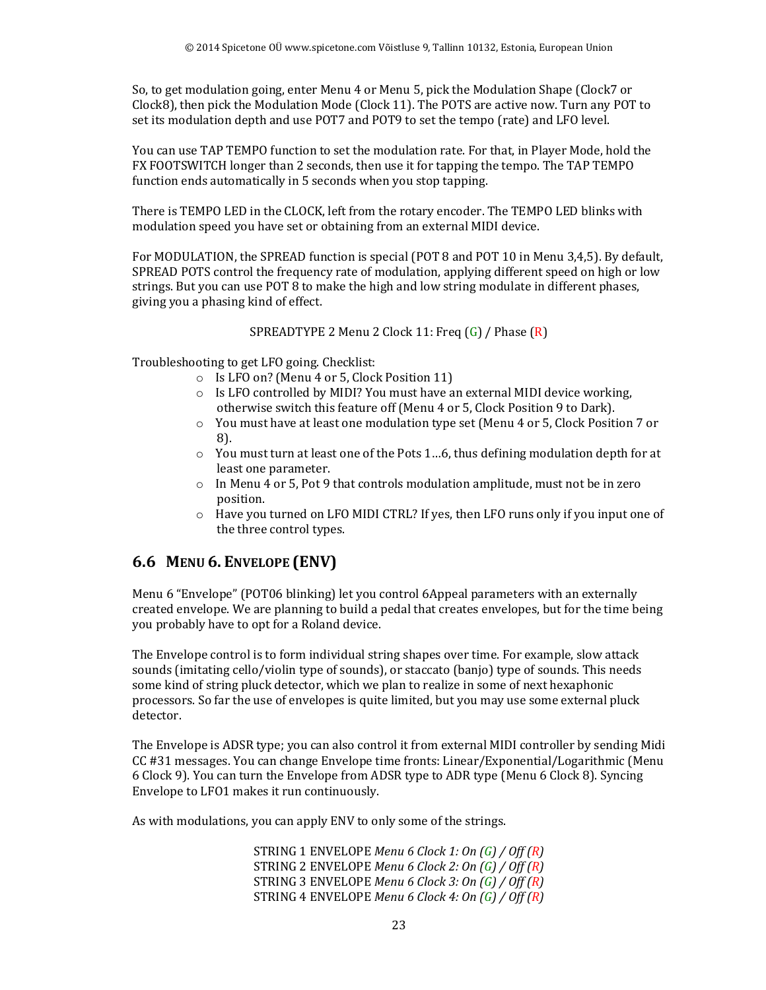So, to get modulation going, enter Menu 4 or Menu 5, pick the Modulation Shape (Clock7 or Clock8), then pick the Modulation Mode (Clock 11). The POTS are active now. Turn any POT to set its modulation depth and use POT7 and POT9 to set the tempo (rate) and LFO level.

You can use TAP TEMPO function to set the modulation rate. For that, in Player Mode, hold the FX FOOTSWITCH longer than 2 seconds, then use it for tapping the tempo. The TAP TEMPO function ends automatically in 5 seconds when you stop tapping.

There is TEMPO LED in the CLOCK, left from the rotary encoder. The TEMPO LED blinks with modulation speed you have set or obtaining from an external MIDI device.

For MODULATION, the SPREAD function is special (POT 8 and POT 10 in Menu 3,4,5). By default, SPREAD POTS control the frequency rate of modulation, applying different speed on high or low strings. But you can use POT 8 to make the high and low string modulate in different phases, giving you a phasing kind of effect.

SPREADTYPE 2 Menu 2 Clock 11: Freq (G) / Phase (R)

Troubleshooting to get LFO going. Checklist:

- o Is LFO on? (Menu 4 or 5, Clock Position 11)
- o Is LFO controlled by MIDI? You must have an external MIDI device working, otherwise switch this feature off (Menu 4 or 5, Clock Position 9 to Dark).
- $\circ$  You must have at least one modulation type set (Menu 4 or 5, Clock Position 7 or 8).
- o You must turn at least one of the Pots 1…6, thus defining modulation depth for at least one parameter.
- $\circ$  In Menu 4 or 5, Pot 9 that controls modulation amplitude, must not be in zero position.
- $\circ$  Have you turned on LFO MIDI CTRL? If yes, then LFO runs only if you input one of the three control types.

## **6.6 MENU 6. ENVELOPE (ENV)**

Menu 6 "Envelope" (POT06 blinking) let you control 6Appeal parameters with an externally created envelope. We are planning to build a pedal that creates envelopes, but for the time being you probably have to opt for a Roland device.

The Envelope control is to form individual string shapes over time. For example, slow attack sounds (imitating cello/violin type of sounds), or staccato (banjo) type of sounds. This needs some kind of string pluck detector, which we plan to realize in some of next hexaphonic processors. So far the use of envelopes is quite limited, but you may use some external pluck detector.

The Envelope is ADSR type; you can also control it from external MIDI controller by sending Midi CC #31 messages. You can change Envelope time fronts: Linear/Exponential/Logarithmic (Menu 6 Clock 9). You can turn the Envelope from ADSR type to ADR type (Menu 6 Clock 8). Syncing Envelope to LFO1 makes it run continuously.

As with modulations, you can apply ENV to only some of the strings.

STRING 1 ENVELOPE *Menu 6 Clock 1: On (G) / Off (R)* STRING 2 ENVELOPE *Menu 6 Clock 2: On (G) / Off (R)* STRING 3 ENVELOPE *Menu 6 Clock 3: On (G) / Off (R)* STRING 4 ENVELOPE *Menu 6 Clock 4: On (G) / Off (R)*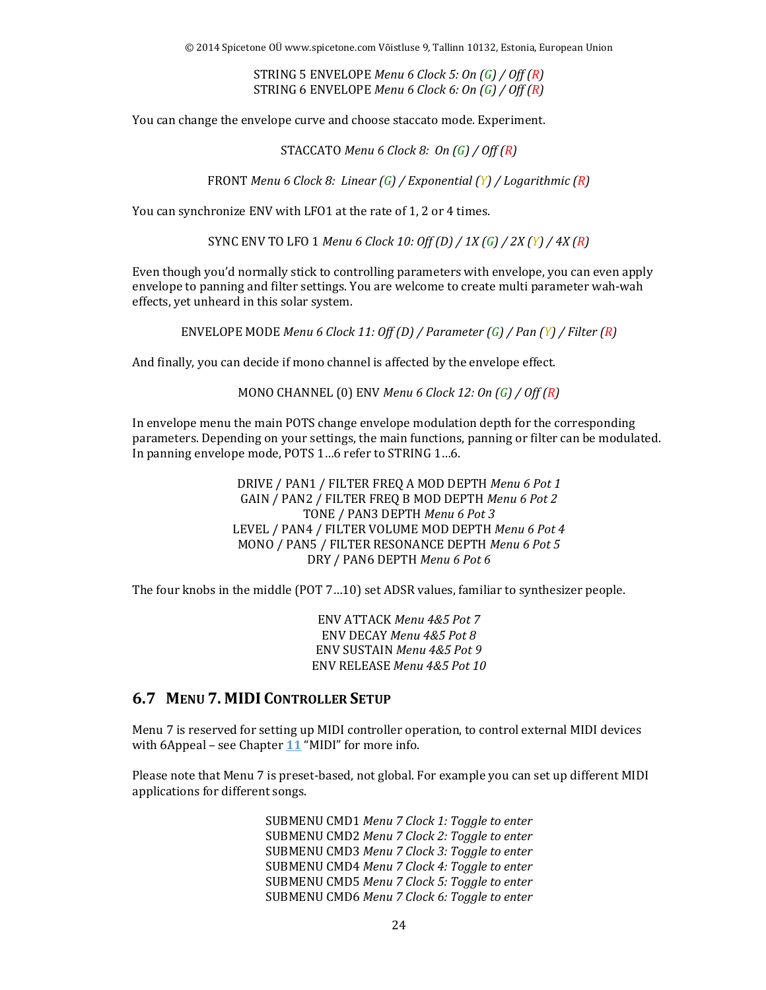© 2014 Spicetone OÜ www.spicetone.com Võistluse 9, Tallinn 10132, Estonia, European Union

STRING 5 ENVELOPE *Menu 6 Clock 5: On (G) / Off (R)* STRING 6 ENVELOPE *Menu 6 Clock 6: On (G) / Off (R)*

You can change the envelope curve and choose staccato mode. Experiment.

STACCATO *Menu 6 Clock 8: On (G) / Off (R)*

FRONT *Menu 6 Clock 8: Linear (G) / Exponential (Y) / Logarithmic (R)* 

You can synchronize ENV with LFO1 at the rate of 1, 2 or 4 times.

SYNC ENV TO LFO 1 *Menu 6 Clock 10: Off (D) / 1X (G) / 2X (Y) / 4X (R)*

Even though you'd normally stick to controlling parameters with envelope, you can even apply envelope to panning and filter settings. You are welcome to create multi parameter wah-wah effects, yet unheard in this solar system.

ENVELOPE MODE *Menu 6 Clock 11: Off (D) / Parameter (G) / Pan (Y) / Filter (R)*

And finally, you can decide if mono channel is affected by the envelope effect.

MONO CHANNEL (0) ENV *Menu 6 Clock 12: On (G) / Off (R)*

In envelope menu the main POTS change envelope modulation depth for the corresponding parameters. Depending on your settings, the main functions, panning or filter can be modulated. In panning envelope mode, POTS 1…6 refer to STRING 1…6.

> DRIVE / PAN1 / FILTER FREQ A MOD DEPTH *Menu 6 Pot 1* GAIN / PAN2 / FILTER FREQ B MOD DEPTH *Menu 6 Pot 2* TONE / PAN3 DEPTH *Menu 6 Pot 3* LEVEL / PAN4 / FILTER VOLUME MOD DEPTH *Menu 6 Pot 4* MONO / PAN5 / FILTER RESONANCE DEPTH *Menu 6 Pot 5* DRY / PAN6 DEPTH *Menu 6 Pot 6*

The four knobs in the middle (POT 7…10) set ADSR values, familiar to synthesizer people.

ENV ATTACK *Menu 4&5 Pot 7* ENV DECAY *Menu 4&5 Pot 8* ENV SUSTAIN *Menu 4&5 Pot 9* ENV RELEASE *Menu 4&5 Pot 10*

#### **6.7 MENU 7. MIDI CONTROLLER SETUP**

Menu 7 is reserved for setting up MIDI controller operation, to control external MIDI devices with 6Appeal – see Chapter **11** "MIDI" for more info.

Please note that Menu 7 is preset-based, not global. For example you can set up different MIDI applications for different songs.

> SUBMENU CMD1 *Menu 7 Clock 1: Toggle to enter* SUBMENU CMD2 *Menu 7 Clock 2: Toggle to enter* SUBMENU CMD3 *Menu 7 Clock 3: Toggle to enter* SUBMENU CMD4 *Menu 7 Clock 4: Toggle to enter* SUBMENU CMD5 *Menu 7 Clock 5: Toggle to enter* SUBMENU CMD6 *Menu 7 Clock 6: Toggle to enter*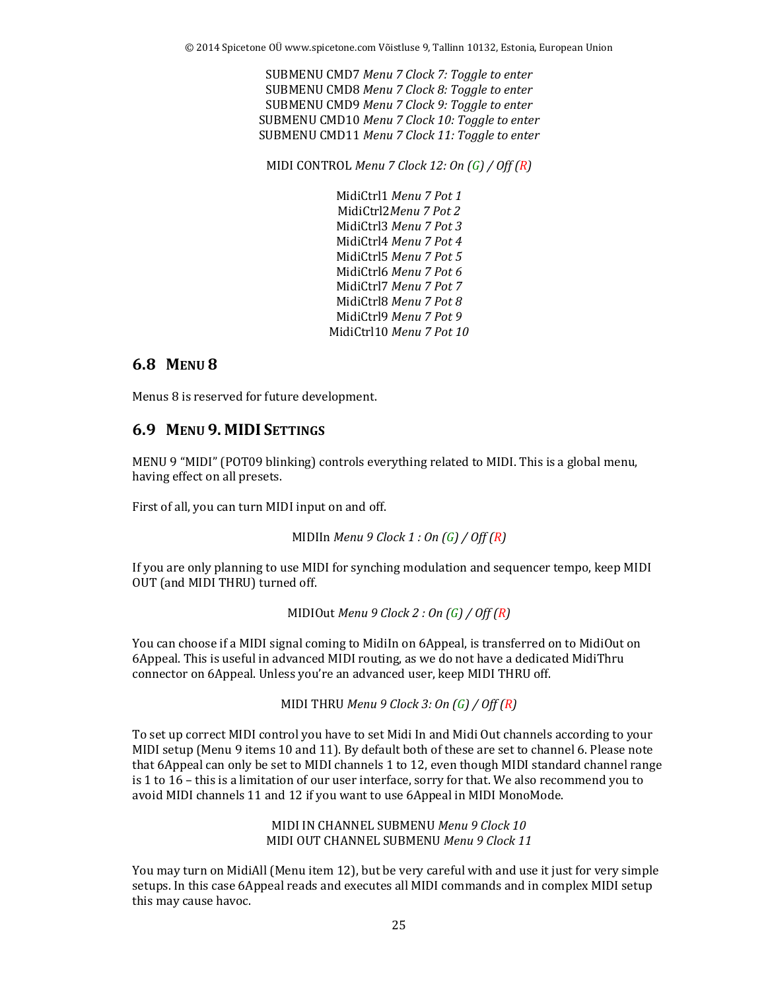SUBMENU CMD7 *Menu 7 Clock 7: Toggle to enter* SUBMENU CMD8 *Menu 7 Clock 8: Toggle to enter* SUBMENU CMD9 *Menu 7 Clock 9: Toggle to enter* SUBMENU CMD10 *Menu 7 Clock 10: Toggle to enter* SUBMENU CMD11 *Menu 7 Clock 11: Toggle to enter*

MIDI CONTROL *Menu 7 Clock 12: On (G) / Off (R)*

MidiCtrl1 *Menu 7 Pot 1* MidiCtrl2*Menu 7 Pot 2* MidiCtrl3 *Menu 7 Pot 3* MidiCtrl4 *Menu 7 Pot 4* MidiCtrl5 *Menu 7 Pot 5* MidiCtrl6 *Menu 7 Pot 6* MidiCtrl7 *Menu 7 Pot 7* MidiCtrl8 *Menu 7 Pot 8* MidiCtrl9 *Menu 7 Pot 9* MidiCtrl10 *Menu 7 Pot 10*

#### **6.8 MENU 8**

Menus 8 is reserved for future development.

#### **6.9 MENU 9. MIDI SETTINGS**

MENU 9 "MIDI" (POT09 blinking) controls everything related to MIDI. This is a global menu, having effect on all presets.

First of all, you can turn MIDI input on and off.

MIDIIn *Menu 9 Clock 1 : On (G) / Off (R)*

If you are only planning to use MIDI for synching modulation and sequencer tempo, keep MIDI OUT (and MIDI THRU) turned off.

MIDIOut *Menu 9 Clock 2 : On (G) / Off (R)*

You can choose if a MIDI signal coming to MidiIn on 6Appeal, is transferred on to MidiOut on 6Appeal. This is useful in advanced MIDI routing, as we do not have a dedicated MidiThru connector on 6Appeal. Unless you're an advanced user, keep MIDI THRU off.

MIDI THRU *Menu 9 Clock 3: On (G) / Off (R)*

To set up correct MIDI control you have to set Midi In and Midi Out channels according to your MIDI setup (Menu 9 items 10 and 11). By default both of these are set to channel 6. Please note that 6Appeal can only be set to MIDI channels 1 to 12, even though MIDI standard channel range is 1 to 16 – this is a limitation of our user interface, sorry for that. We also recommend you to avoid MIDI channels 11 and 12 if you want to use 6Appeal in MIDI MonoMode.

> MIDI IN CHANNEL SUBMENU *Menu 9 Clock 10* MIDI OUT CHANNEL SUBMENU *Menu 9 Clock 11*

You may turn on MidiAll (Menu item 12), but be very careful with and use it just for very simple setups. In this case 6Appeal reads and executes all MIDI commands and in complex MIDI setup this may cause havoc.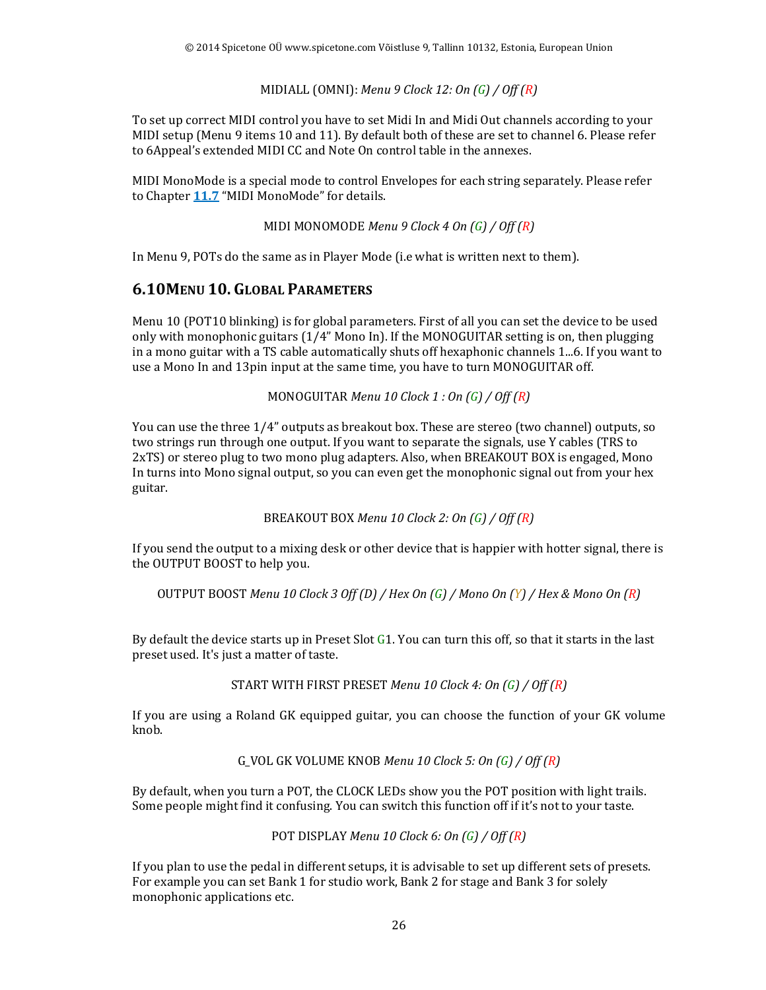#### MIDIALL (OMNI): *Menu 9 Clock 12: On (G) / Off (R)*

To set up correct MIDI control you have to set Midi In and Midi Out channels according to your MIDI setup (Menu 9 items 10 and 11). By default both of these are set to channel 6. Please refer to 6Appeal's extended MIDI CC and Note On control table in the annexes.

MIDI MonoMode is a special mode to control Envelopes for each string separately. Please refer to Chapter **11.7** "MIDI MonoMode" for details.

MIDI MONOMODE *Menu 9 Clock 4 On (G) / Off (R)*

In Menu 9, POTs do the same as in Player Mode (i.e what is written next to them).

#### **6.10MENU 10. GLOBAL PARAMETERS**

Menu 10 (POT10 blinking) is for global parameters. First of all you can set the device to be used only with monophonic guitars (1/4" Mono In). If the MONOGUITAR setting is on, then plugging in a mono guitar with a TS cable automatically shuts off hexaphonic channels 1...6. If you want to use a Mono In and 13pin input at the same time, you have to turn MONOGUITAR off.

MONOGUITAR *Menu 10 Clock 1 : On (G) / Off (R)*

You can use the three 1/4" outputs as breakout box. These are stereo (two channel) outputs, so two strings run through one output. If you want to separate the signals, use Y cables (TRS to 2xTS) or stereo plug to two mono plug adapters. Also, when BREAKOUT BOX is engaged, Mono In turns into Mono signal output, so you can even get the monophonic signal out from your hex guitar.

BREAKOUT BOX *Menu 10 Clock 2: On (G) / Off (R)*

If you send the output to a mixing desk or other device that is happier with hotter signal, there is the OUTPUT BOOST to help you.

OUTPUT BOOST *Menu 10 Clock 3 Off (D) / Hex On (G) / Mono On (Y) / Hex & Mono On (R)*

By default the device starts up in Preset Slot G1. You can turn this off, so that it starts in the last preset used. It's just a matter of taste.

START WITH FIRST PRESET *Menu 10 Clock 4: On (G) / Off (R)*

If you are using a Roland GK equipped guitar, you can choose the function of your GK volume knob.

G\_VOL GK VOLUME KNOB *Menu 10 Clock 5: On (G) / Off (R)*

By default, when you turn a POT, the CLOCK LEDs show you the POT position with light trails. Some people might find it confusing. You can switch this function off if it's not to your taste.

POT DISPLAY *Menu 10 Clock 6: On (G) / Off (R)*

If you plan to use the pedal in different setups, it is advisable to set up different sets of presets. For example you can set Bank 1 for studio work, Bank 2 for stage and Bank 3 for solely monophonic applications etc.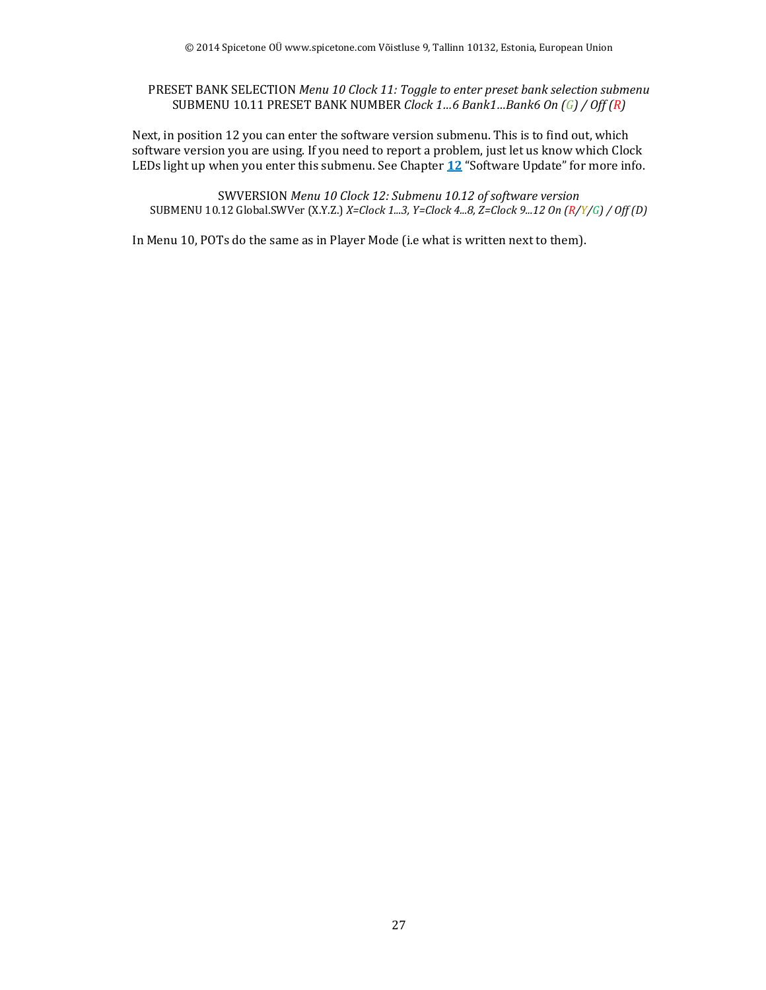PRESET BANK SELECTION *Menu 10 Clock 11: Toggle to enter preset bank selection submenu* SUBMENU 10.11 PRESET BANK NUMBER *Clock 1…6 Bank1…Bank6 On (G) / Off (R)*

Next, in position 12 you can enter the software version submenu. This is to find out, which software version you are using. If you need to report a problem, just let us know which Clock LEDs light up when you enter this submenu. See Chapter **12** "Software Update" for more info.

SWVERSION *Menu 10 Clock 12: Submenu 10.12 of software version* SUBMENU 10.12 Global.SWVer (X.Y.Z.) *X=Clock 1...3, Y=Clock 4...8, Z=Clock 9...12 On (R/Y/G) / Off (D)*

In Menu 10, POTs do the same as in Player Mode (i.e what is written next to them).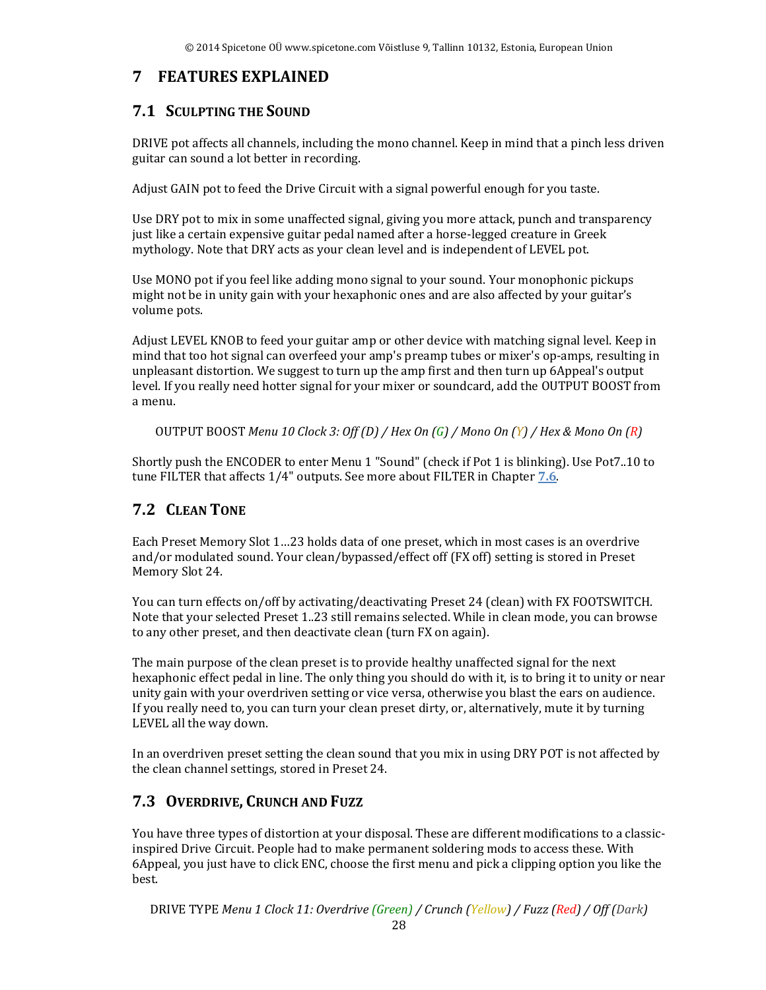## **7 FEATURES EXPLAINED**

## **7.1 SCULPTING THE SOUND**

DRIVE pot affects all channels, including the mono channel. Keep in mind that a pinch less driven guitar can sound a lot better in recording.

Adjust GAIN pot to feed the Drive Circuit with a signal powerful enough for you taste.

Use DRY pot to mix in some unaffected signal, giving you more attack, punch and transparency just like a certain expensive guitar pedal named after a horse-legged creature in Greek mythology. Note that DRY acts as your clean level and is independent of LEVEL pot.

Use MONO pot if you feel like adding mono signal to your sound. Your monophonic pickups might not be in unity gain with your hexaphonic ones and are also affected by your guitar's volume pots.

Adjust LEVEL KNOB to feed your guitar amp or other device with matching signal level. Keep in mind that too hot signal can overfeed your amp's preamp tubes or mixer's op-amps, resulting in unpleasant distortion. We suggest to turn up the amp first and then turn up 6Appeal's output level. If you really need hotter signal for your mixer or soundcard, add the OUTPUT BOOST from a menu.

OUTPUT BOOST *Menu 10 Clock 3: Off (D) / Hex On (G) / Mono On (Y) / Hex & Mono On (R)*

Shortly push the ENCODER to enter Menu 1 "Sound" (check if Pot 1 is blinking). Use Pot7..10 to tune FILTER that affects 1/4" outputs. See more about FILTER in Chapter **7.6**.

#### **7.2 CLEAN TONE**

Each Preset Memory Slot 1…23 holds data of one preset, which in most cases is an overdrive and/or modulated sound. Your clean/bypassed/effect off (FX off) setting is stored in Preset Memory Slot 24.

You can turn effects on/off by activating/deactivating Preset 24 (clean) with FX FOOTSWITCH. Note that your selected Preset 1..23 still remains selected. While in clean mode, you can browse to any other preset, and then deactivate clean (turn FX on again).

The main purpose of the clean preset is to provide healthy unaffected signal for the next hexaphonic effect pedal in line. The only thing you should do with it, is to bring it to unity or near unity gain with your overdriven setting or vice versa, otherwise you blast the ears on audience. If you really need to, you can turn your clean preset dirty, or, alternatively, mute it by turning LEVEL all the way down.

In an overdriven preset setting the clean sound that you mix in using DRY POT is not affected by the clean channel settings, stored in Preset 24.

## **7.3 OVERDRIVE, CRUNCH AND FUZZ**

You have three types of distortion at your disposal. These are different modifications to a classicinspired Drive Circuit. People had to make permanent soldering mods to access these. With 6Appeal, you just have to click ENC, choose the first menu and pick a clipping option you like the best.

DRIVE TYPE *Menu 1 Clock 11: Overdrive (Green) / Crunch (Yellow) / Fuzz (Red) / Off (Dark)*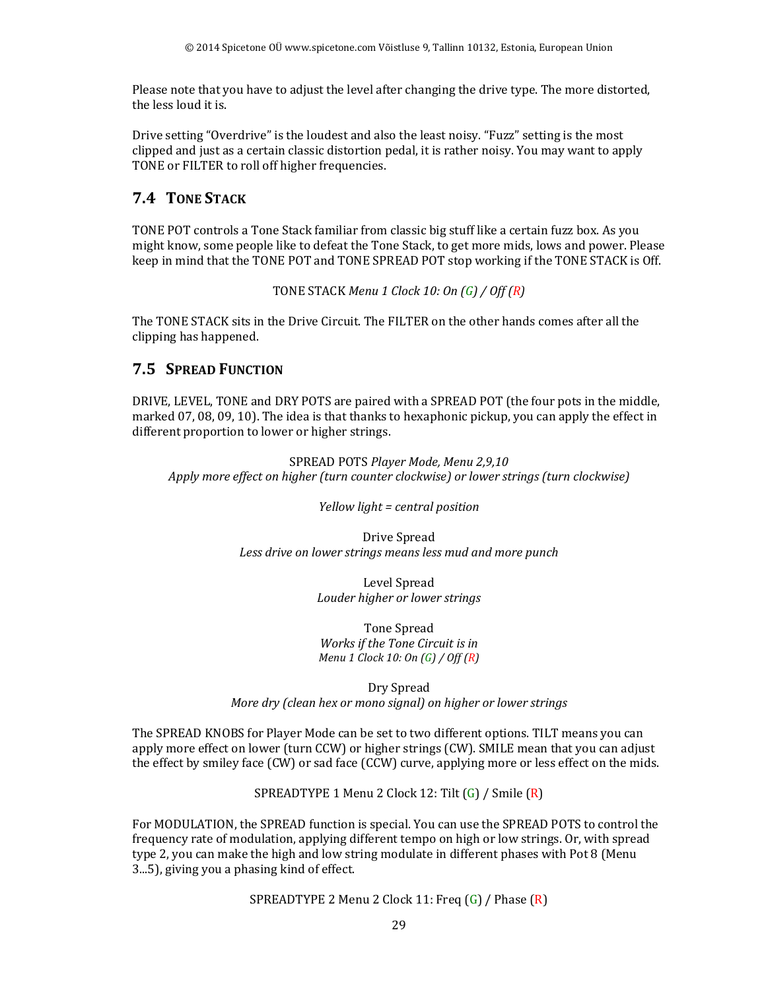Please note that you have to adjust the level after changing the drive type. The more distorted, the less loud it is.

Drive setting "Overdrive" is the loudest and also the least noisy. "Fuzz" setting is the most clipped and just as a certain classic distortion pedal, it is rather noisy. You may want to apply TONE or FILTER to roll off higher frequencies.

## **7.4 TONE STACK**

TONE POT controls a Tone Stack familiar from classic big stuff like a certain fuzz box. As you might know, some people like to defeat the Tone Stack, to get more mids, lows and power. Please keep in mind that the TONE POT and TONE SPREAD POT stop working if the TONE STACK is Off.

TONE STACK *Menu 1 Clock 10: On (G) / Off (R)*

The TONE STACK sits in the Drive Circuit. The FILTER on the other hands comes after all the clipping has happened.

#### **7.5 SPREAD FUNCTION**

DRIVE, LEVEL, TONE and DRY POTS are paired with a SPREAD POT (the four pots in the middle, marked 07, 08, 09, 10). The idea is that thanks to hexaphonic pickup, you can apply the effect in different proportion to lower or higher strings.

SPREAD POTS *Player Mode, Menu 2,9,10 Apply more effect on higher (turn counter clockwise) or lower strings (turn clockwise)* 

*Yellow light = central position*

Drive Spread *Less drive on lower strings means less mud and more punch* 

> Level Spread *Louder higher or lower strings*

Tone Spread *Works if the Tone Circuit is in Menu 1 Clock 10: On (G) / Off (R)* 

Dry Spread *More dry (clean hex or mono signal) on higher or lower strings* 

The SPREAD KNOBS for Player Mode can be set to two different options. TILT means you can apply more effect on lower (turn CCW) or higher strings (CW). SMILE mean that you can adjust the effect by smiley face (CW) or sad face (CCW) curve, applying more or less effect on the mids.

SPREADTYPE 1 Menu 2 Clock 12: Tilt (G) / Smile (R)

For MODULATION, the SPREAD function is special. You can use the SPREAD POTS to control the frequency rate of modulation, applying different tempo on high or low strings. Or, with spread type 2, you can make the high and low string modulate in different phases with Pot 8 (Menu 3...5), giving you a phasing kind of effect.

SPREADTYPE 2 Menu 2 Clock 11: Freq (G) / Phase (R)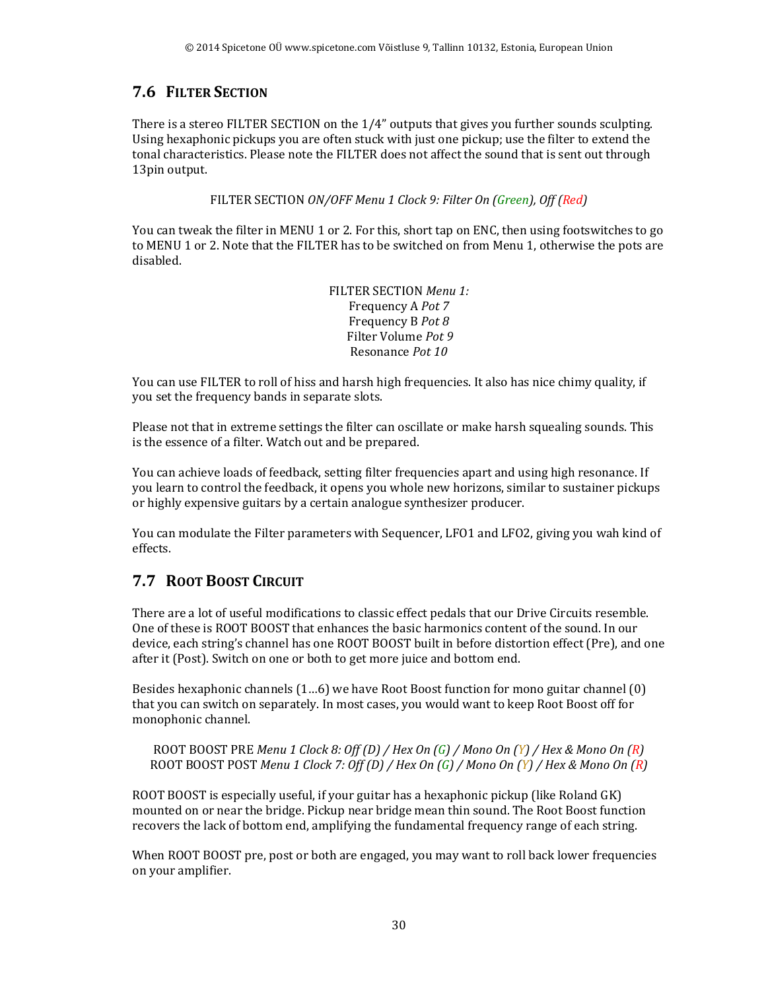## **7.6 FILTER SECTION**

There is a stereo FILTER SECTION on the 1/4" outputs that gives you further sounds sculpting. Using hexaphonic pickups you are often stuck with just one pickup; use the filter to extend the tonal characteristics. Please note the FILTER does not affect the sound that is sent out through 13pin output.

FILTER SECTION *ON/OFF Menu 1 Clock 9: Filter On (Green), Off (Red)*

You can tweak the filter in MENU 1 or 2. For this, short tap on ENC, then using footswitches to go to MENU 1 or 2. Note that the FILTER has to be switched on from Menu 1, otherwise the pots are disabled.

> FILTER SECTION *Menu 1:* Frequency A *Pot 7* Frequency B *Pot 8*  Filter Volume *Pot 9*  Resonance *Pot 10*

You can use FILTER to roll of hiss and harsh high frequencies. It also has nice chimy quality, if you set the frequency bands in separate slots.

Please not that in extreme settings the filter can oscillate or make harsh squealing sounds. This is the essence of a filter. Watch out and be prepared.

You can achieve loads of feedback, setting filter frequencies apart and using high resonance. If you learn to control the feedback, it opens you whole new horizons, similar to sustainer pickups or highly expensive guitars by a certain analogue synthesizer producer.

You can modulate the Filter parameters with Sequencer, LFO1 and LFO2, giving you wah kind of effects.

## **7.7 ROOT BOOST CIRCUIT**

There are a lot of useful modifications to classic effect pedals that our Drive Circuits resemble. One of these is ROOT BOOST that enhances the basic harmonics content of the sound. In our device, each string's channel has one ROOT BOOST built in before distortion effect (Pre), and one after it (Post). Switch on one or both to get more juice and bottom end.

Besides hexaphonic channels (1…6) we have Root Boost function for mono guitar channel (0) that you can switch on separately. In most cases, you would want to keep Root Boost off for monophonic channel.

ROOT BOOST PRE *Menu 1 Clock 8: Off (D) / Hex On (G) / Mono On (Y) / Hex & Mono On (R)* ROOT BOOST POST *Menu 1 Clock 7: Off (D) / Hex On (G) / Mono On (Y) / Hex & Mono On (R)*

ROOT BOOST is especially useful, if your guitar has a hexaphonic pickup (like Roland GK) mounted on or near the bridge. Pickup near bridge mean thin sound. The Root Boost function recovers the lack of bottom end, amplifying the fundamental frequency range of each string.

When ROOT BOOST pre, post or both are engaged, you may want to roll back lower frequencies on your amplifier.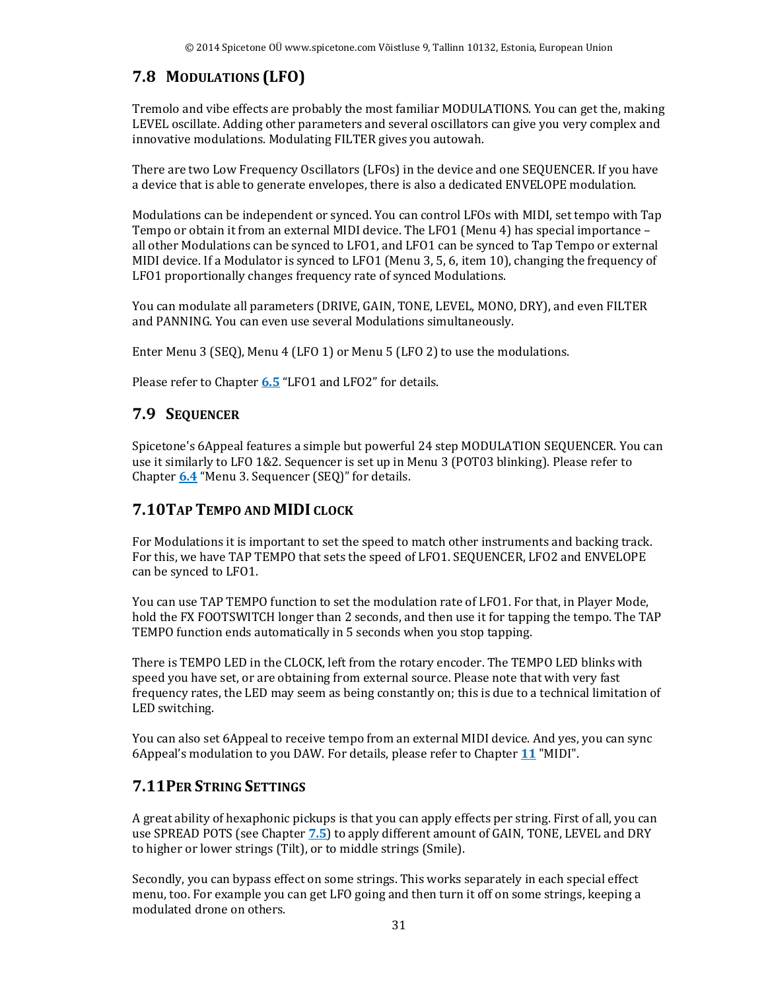## **7.8 MODULATIONS (LFO)**

Tremolo and vibe effects are probably the most familiar MODULATIONS. You can get the, making LEVEL oscillate. Adding other parameters and several oscillators can give you very complex and innovative modulations. Modulating FILTER gives you autowah.

There are two Low Frequency Oscillators (LFOs) in the device and one SEQUENCER. If you have a device that is able to generate envelopes, there is also a dedicated ENVELOPE modulation.

Modulations can be independent or synced. You can control LFOs with MIDI, set tempo with Tap Tempo or obtain it from an external MIDI device. The LFO1 (Menu 4) has special importance – all other Modulations can be synced to LFO1, and LFO1 can be synced to Tap Tempo or external MIDI device. If a Modulator is synced to LFO1 (Menu 3, 5, 6, item 10), changing the frequency of LFO1 proportionally changes frequency rate of synced Modulations.

You can modulate all parameters (DRIVE, GAIN, TONE, LEVEL, MONO, DRY), and even FILTER and PANNING. You can even use several Modulations simultaneously.

Enter Menu 3 (SEQ), Menu 4 (LFO 1) or Menu 5 (LFO 2) to use the modulations.

Please refer to Chapter **6.5** "LFO1 and LFO2" for details.

#### **7.9 SEQUENCER**

Spicetone's 6Appeal features a simple but powerful 24 step MODULATION SEQUENCER. You can use it similarly to LFO 1&2. Sequencer is set up in Menu 3 (POT03 blinking). Please refer to Chapter **6.4** "Menu 3. Sequencer (SEQ)" for details.

#### **7.10TAP TEMPO AND MIDI CLOCK**

For Modulations it is important to set the speed to match other instruments and backing track. For this, we have TAP TEMPO that sets the speed of LFO1. SEQUENCER, LFO2 and ENVELOPE can be synced to LFO1.

You can use TAP TEMPO function to set the modulation rate of LFO1. For that, in Player Mode, hold the FX FOOTSWITCH longer than 2 seconds, and then use it for tapping the tempo. The TAP TEMPO function ends automatically in 5 seconds when you stop tapping.

There is TEMPO LED in the CLOCK, left from the rotary encoder. The TEMPO LED blinks with speed you have set, or are obtaining from external source. Please note that with very fast frequency rates, the LED may seem as being constantly on; this is due to a technical limitation of LED switching.

You can also set 6Appeal to receive tempo from an external MIDI device. And yes, you can sync 6Appeal's modulation to you DAW. For details, please refer to Chapter **11** "MIDI".

#### **7.11PER STRING SETTINGS**

A great ability of hexaphonic pickups is that you can apply effects per string. First of all, you can use SPREAD POTS (see Chapter **7.5**) to apply different amount of GAIN, TONE, LEVEL and DRY to higher or lower strings (Tilt), or to middle strings (Smile).

Secondly, you can bypass effect on some strings. This works separately in each special effect menu, too. For example you can get LFO going and then turn it off on some strings, keeping a modulated drone on others.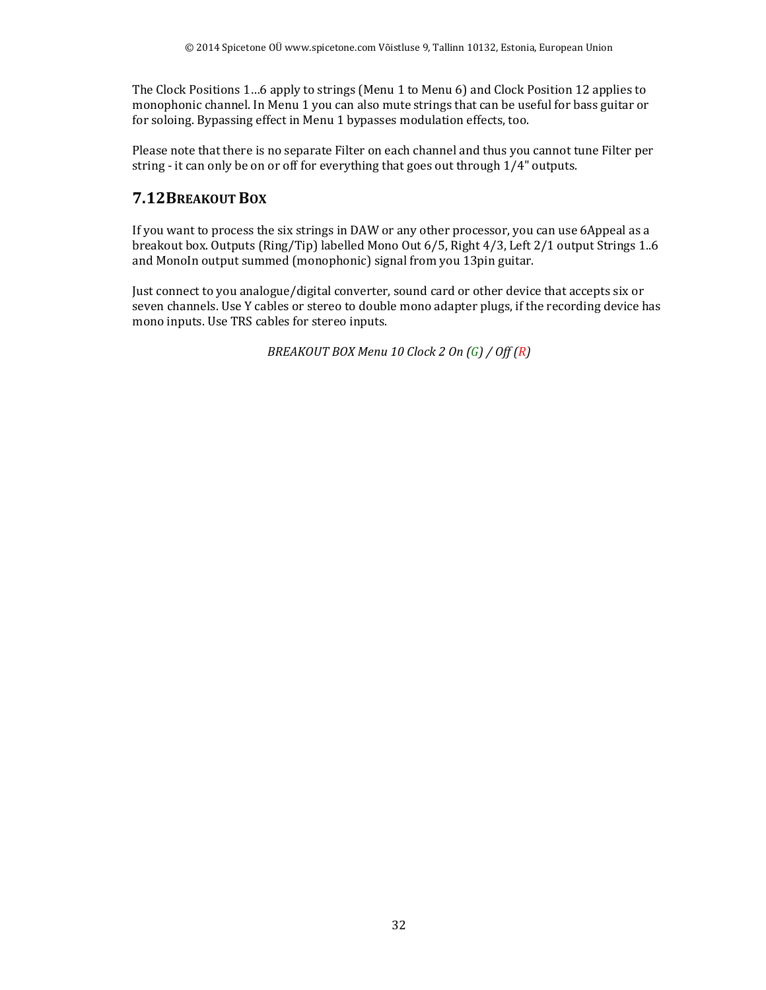The Clock Positions 1…6 apply to strings (Menu 1 to Menu 6) and Clock Position 12 applies to monophonic channel. In Menu 1 you can also mute strings that can be useful for bass guitar or for soloing. Bypassing effect in Menu 1 bypasses modulation effects, too.

Please note that there is no separate Filter on each channel and thus you cannot tune Filter per string - it can only be on or off for everything that goes out through 1/4" outputs.

## **7.12BREAKOUT BOX**

If you want to process the six strings in DAW or any other processor, you can use 6Appeal as a breakout box. Outputs (Ring/Tip) labelled Mono Out 6/5, Right 4/3, Left 2/1 output Strings 1..6 and MonoIn output summed (monophonic) signal from you 13pin guitar.

Just connect to you analogue/digital converter, sound card or other device that accepts six or seven channels. Use Y cables or stereo to double mono adapter plugs, if the recording device has mono inputs. Use TRS cables for stereo inputs.

*BREAKOUT BOX Menu 10 Clock 2 On (G) / Off (R)*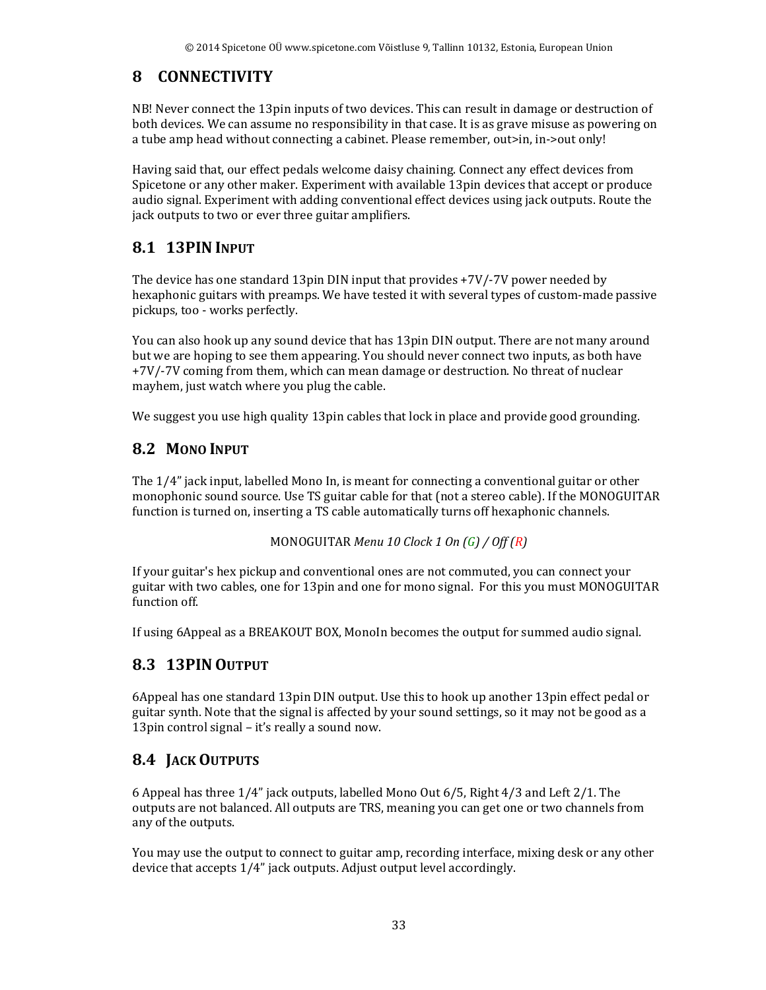## **8 CONNECTIVITY**

NB! Never connect the 13pin inputs of two devices. This can result in damage or destruction of both devices. We can assume no responsibility in that case. It is as grave misuse as powering on a tube amp head without connecting a cabinet. Please remember, out>in, in->out only!

Having said that, our effect pedals welcome daisy chaining. Connect any effect devices from Spicetone or any other maker. Experiment with available 13pin devices that accept or produce audio signal. Experiment with adding conventional effect devices using jack outputs. Route the jack outputs to two or ever three guitar amplifiers.

## **8.1 13PIN INPUT**

The device has one standard 13pin DIN input that provides +7V/-7V power needed by hexaphonic guitars with preamps. We have tested it with several types of custom-made passive pickups, too - works perfectly.

You can also hook up any sound device that has 13pin DIN output. There are not many around but we are hoping to see them appearing. You should never connect two inputs, as both have +7V/-7V coming from them, which can mean damage or destruction. No threat of nuclear mayhem, just watch where you plug the cable.

We suggest you use high quality 13pin cables that lock in place and provide good grounding.

## **8.2 MONO INPUT**

The 1/4" jack input, labelled Mono In, is meant for connecting a conventional guitar or other monophonic sound source. Use TS guitar cable for that (not a stereo cable). If the MONOGUITAR function is turned on, inserting a TS cable automatically turns off hexaphonic channels.

```
MONOGUITAR Menu 10 Clock 1 On (G) / Off (R)
```
If your guitar's hex pickup and conventional ones are not commuted, you can connect your guitar with two cables, one for 13pin and one for mono signal. For this you must MONOGUITAR function off.

If using 6Appeal as a BREAKOUT BOX, MonoIn becomes the output for summed audio signal.

## **8.3 13PIN OUTPUT**

6Appeal has one standard 13pin DIN output. Use this to hook up another 13pin effect pedal or guitar synth. Note that the signal is affected by your sound settings, so it may not be good as a 13pin control signal – it's really a sound now.

## **8.4 JACK OUTPUTS**

6 Appeal has three 1/4" jack outputs, labelled Mono Out 6/5, Right 4/3 and Left 2/1. The outputs are not balanced. All outputs are TRS, meaning you can get one or two channels from any of the outputs.

You may use the output to connect to guitar amp, recording interface, mixing desk or any other device that accepts 1/4" jack outputs. Adjust output level accordingly.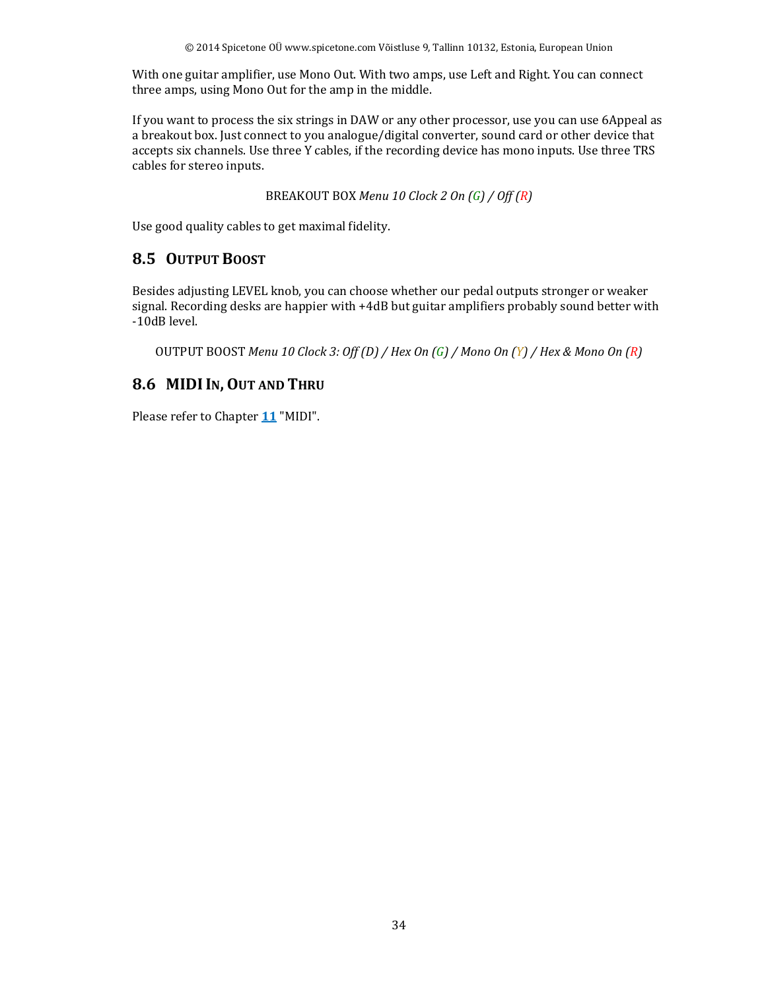With one guitar amplifier, use Mono Out. With two amps, use Left and Right. You can connect three amps, using Mono Out for the amp in the middle.

If you want to process the six strings in DAW or any other processor, use you can use 6Appeal as a breakout box. Just connect to you analogue/digital converter, sound card or other device that accepts six channels. Use three Y cables, if the recording device has mono inputs. Use three TRS cables for stereo inputs.

BREAKOUT BOX *Menu 10 Clock 2 On (G) / Off (R)*

Use good quality cables to get maximal fidelity.

## **8.5 OUTPUT BOOST**

Besides adjusting LEVEL knob, you can choose whether our pedal outputs stronger or weaker signal. Recording desks are happier with +4dB but guitar amplifiers probably sound better with -10dB level.

OUTPUT BOOST *Menu 10 Clock 3: Off (D) / Hex On (G) / Mono On (Y) / Hex & Mono On (R)*

## **8.6 MIDIIN, OUT AND THRU**

Please refer to Chapter **11** "MIDI".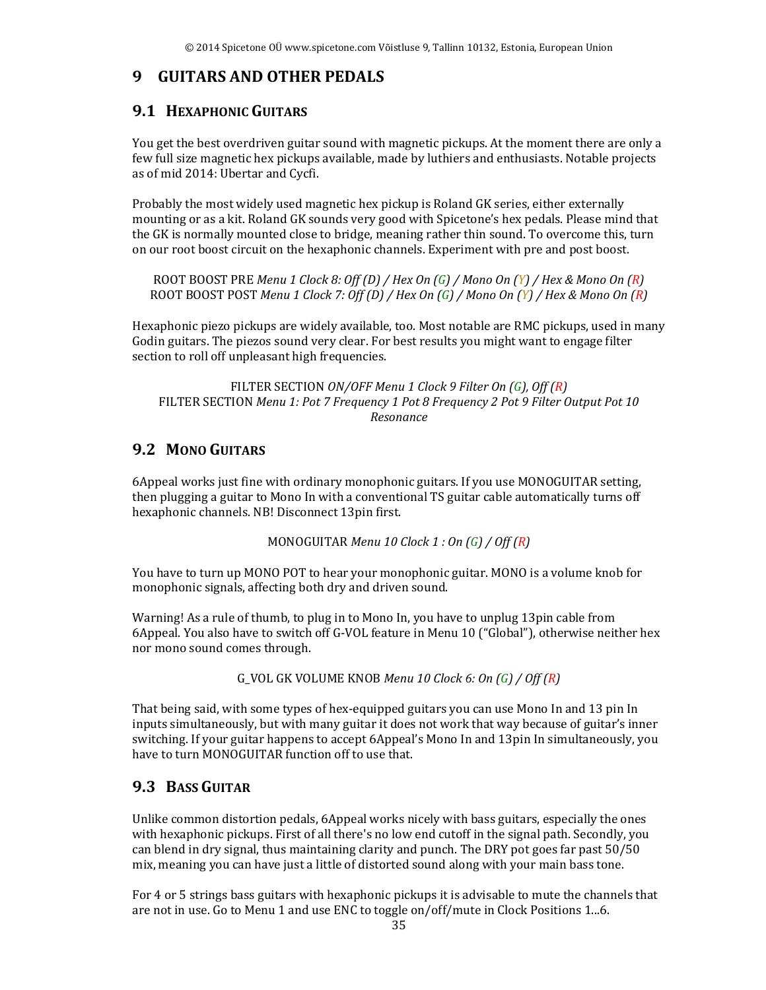#### **9 GUITARS AND OTHER PEDALS**

#### **9.1 HEXAPHONIC GUITARS**

You get the best overdriven guitar sound with magnetic pickups. At the moment there are only a few full size magnetic hex pickups available, made by luthiers and enthusiasts. Notable projects as of mid 2014: Ubertar and Cycfi.

Probably the most widely used magnetic hex pickup is Roland GK series, either externally mounting or as a kit. Roland GK sounds very good with Spicetone's hex pedals. Please mind that the GK is normally mounted close to bridge, meaning rather thin sound. To overcome this, turn on our root boost circuit on the hexaphonic channels. Experiment with pre and post boost.

ROOT BOOST PRE *Menu 1 Clock 8: Off (D) / Hex On (G) / Mono On (Y) / Hex & Mono On (R)* ROOT BOOST POST *Menu 1 Clock 7: Off (D) / Hex On (G) / Mono On (Y) / Hex & Mono On (R)*

Hexaphonic piezo pickups are widely available, too. Most notable are RMC pickups, used in many Godin guitars. The piezos sound very clear. For best results you might want to engage filter section to roll off unpleasant high frequencies.

#### FILTER SECTION *ON/OFF Menu 1 Clock 9 Filter On (G), Off (R)* FILTER SECTION *Menu 1: Pot 7 Frequency 1 Pot 8 Frequency 2 Pot 9 Filter Output Pot 10 Resonance*

## **9.2 MONO GUITARS**

6Appeal works just fine with ordinary monophonic guitars. If you use MONOGUITAR setting, then plugging a guitar to Mono In with a conventional TS guitar cable automatically turns off hexaphonic channels. NB! Disconnect 13pin first.

MONOGUITAR *Menu 10 Clock 1 : On (G) / Off (R)*

You have to turn up MONO POT to hear your monophonic guitar. MONO is a volume knob for monophonic signals, affecting both dry and driven sound.

Warning! As a rule of thumb, to plug in to Mono In, you have to unplug 13pin cable from 6Appeal. You also have to switch off G-VOL feature in Menu 10 ("Global"), otherwise neither hex nor mono sound comes through.

G\_VOL GK VOLUME KNOB *Menu 10 Clock 6: On (G) / Off (R)*

That being said, with some types of hex-equipped guitars you can use Mono In and 13 pin In inputs simultaneously, but with many guitar it does not work that way because of guitar's inner switching. If your guitar happens to accept 6Appeal's Mono In and 13pin In simultaneously, you have to turn MONOGUITAR function off to use that.

#### **9.3 BASS GUITAR**

Unlike common distortion pedals, 6Appeal works nicely with bass guitars, especially the ones with hexaphonic pickups. First of all there's no low end cutoff in the signal path. Secondly, you can blend in dry signal, thus maintaining clarity and punch. The DRY pot goes far past 50/50 mix, meaning you can have just a little of distorted sound along with your main bass tone.

For 4 or 5 strings bass guitars with hexaphonic pickups it is advisable to mute the channels that are not in use. Go to Menu 1 and use ENC to toggle on/off/mute in Clock Positions 1...6.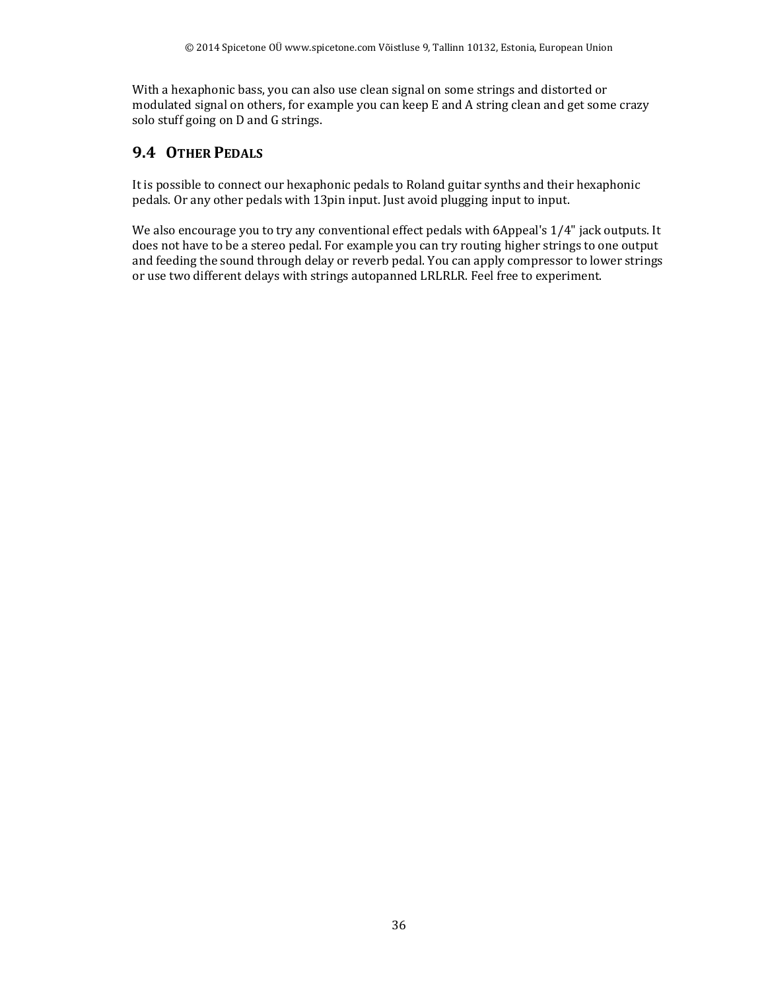With a hexaphonic bass, you can also use clean signal on some strings and distorted or modulated signal on others, for example you can keep E and A string clean and get some crazy solo stuff going on D and G strings.

## **9.4 OTHER PEDALS**

It is possible to connect our hexaphonic pedals to Roland guitar synths and their hexaphonic pedals. Or any other pedals with 13pin input. Just avoid plugging input to input.

We also encourage you to try any conventional effect pedals with 6Appeal's 1/4" jack outputs. It does not have to be a stereo pedal. For example you can try routing higher strings to one output and feeding the sound through delay or reverb pedal. You can apply compressor to lower strings or use two different delays with strings autopanned LRLRLR. Feel free to experiment.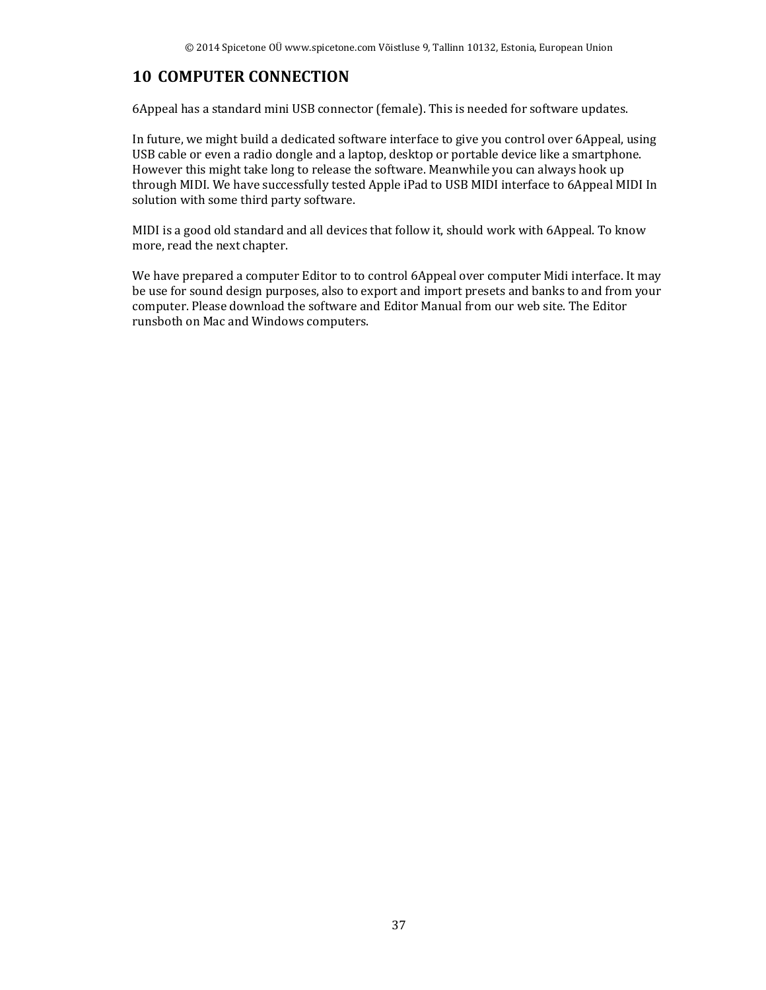## **10 COMPUTER CONNECTION**

6Appeal has a standard mini USB connector (female). This is needed for software updates.

In future, we might build a dedicated software interface to give you control over 6Appeal, using USB cable or even a radio dongle and a laptop, desktop or portable device like a smartphone. However this might take long to release the software. Meanwhile you can always hook up through MIDI. We have successfully tested Apple iPad to USB MIDI interface to 6Appeal MIDI In solution with some third party software.

MIDI is a good old standard and all devices that follow it, should work with 6Appeal. To know more, read the next chapter.

We have prepared a computer Editor to to control 6Appeal over computer Midi interface. It may be use for sound design purposes, also to export and import presets and banks to and from your computer. Please download the software and Editor Manual from our web site. The Editor runsboth on Mac and Windows computers.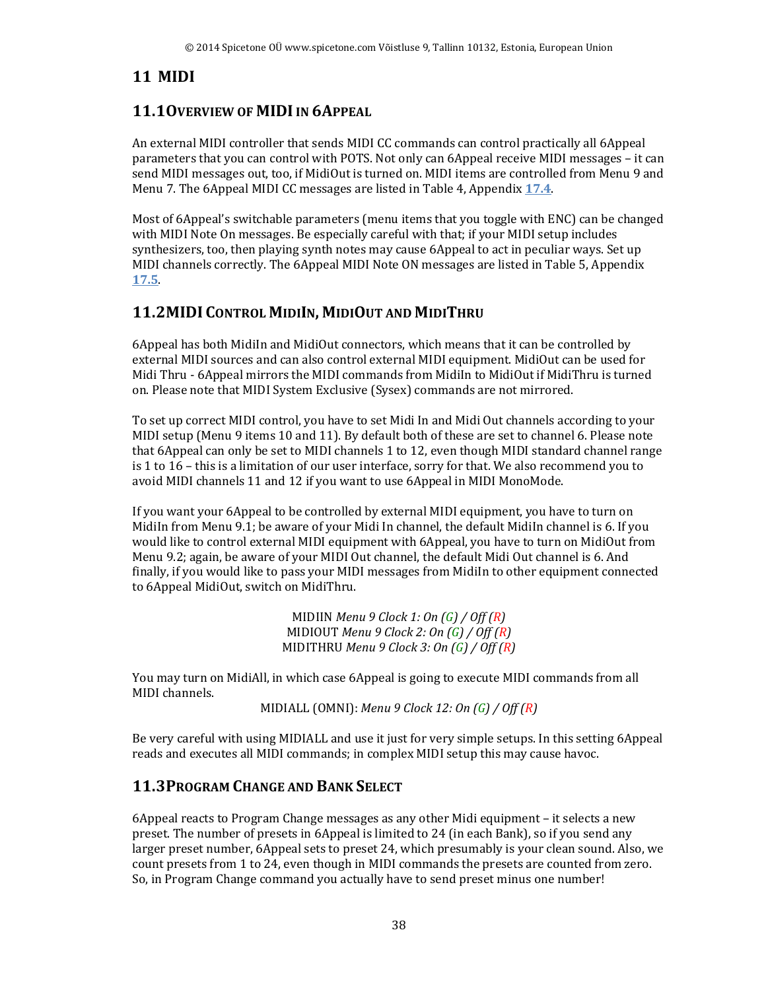## **11 MIDI**

## **11.1OVERVIEW OF MIDI IN 6APPEAL**

An external MIDI controller that sends MIDI CC commands can control practically all 6Appeal parameters that you can control with POTS. Not only can 6Appeal receive MIDI messages – it can send MIDI messages out, too, if MidiOut is turned on. MIDI items are controlled from Menu 9 and Menu 7. The 6Appeal MIDI CC messages are listed in Table 4, Appendix **17.4**.

Most of 6Appeal's switchable parameters (menu items that you toggle with ENC) can be changed with MIDI Note On messages. Be especially careful with that; if your MIDI setup includes synthesizers, too, then playing synth notes may cause 6Appeal to act in peculiar ways. Set up MIDI channels correctly. The 6Appeal MIDI Note ON messages are listed in Table 5, Appendix **17.5**.

## **11.2MIDI CONTROL MIDIIN, MIDIOUT AND MIDITHRU**

6Appeal has both MidiIn and MidiOut connectors, which means that it can be controlled by external MIDI sources and can also control external MIDI equipment. MidiOut can be used for Midi Thru - 6Appeal mirrors the MIDI commands from MidiIn to MidiOut if MidiThru is turned on. Please note that MIDI System Exclusive (Sysex) commands are not mirrored.

To set up correct MIDI control, you have to set Midi In and Midi Out channels according to your MIDI setup (Menu 9 items 10 and 11). By default both of these are set to channel 6. Please note that 6Appeal can only be set to MIDI channels 1 to 12, even though MIDI standard channel range is 1 to 16 – this is a limitation of our user interface, sorry for that. We also recommend you to avoid MIDI channels 11 and 12 if you want to use 6Appeal in MIDI MonoMode.

If you want your 6Appeal to be controlled by external MIDI equipment, you have to turn on MidiIn from Menu 9.1; be aware of your Midi In channel, the default MidiIn channel is 6. If you would like to control external MIDI equipment with 6Appeal, you have to turn on MidiOut from Menu 9.2; again, be aware of your MIDI Out channel, the default Midi Out channel is 6. And finally, if you would like to pass your MIDI messages from MidiIn to other equipment connected to 6Appeal MidiOut, switch on MidiThru.

> MIDIIN *Menu 9 Clock 1: On (G) / Off (R)* MIDIOUT *Menu 9 Clock 2: On (G) / Off (R)* MIDITHRU *Menu 9 Clock 3: On (G) / Off (R)*

You may turn on MidiAll, in which case 6Appeal is going to execute MIDI commands from all MIDI channels.

MIDIALL (OMNI): *Menu 9 Clock 12: On (G) / Off (R)*

Be very careful with using MIDIALL and use it just for very simple setups. In this setting 6Appeal reads and executes all MIDI commands; in complex MIDI setup this may cause havoc.

#### **11.3PROGRAM CHANGE AND BANK SELECT**

6Appeal reacts to Program Change messages as any other Midi equipment – it selects a new preset. The number of presets in 6Appeal is limited to 24 (in each Bank), so if you send any larger preset number, 6Appeal sets to preset 24, which presumably is your clean sound. Also, we count presets from 1 to 24, even though in MIDI commands the presets are counted from zero. So, in Program Change command you actually have to send preset minus one number!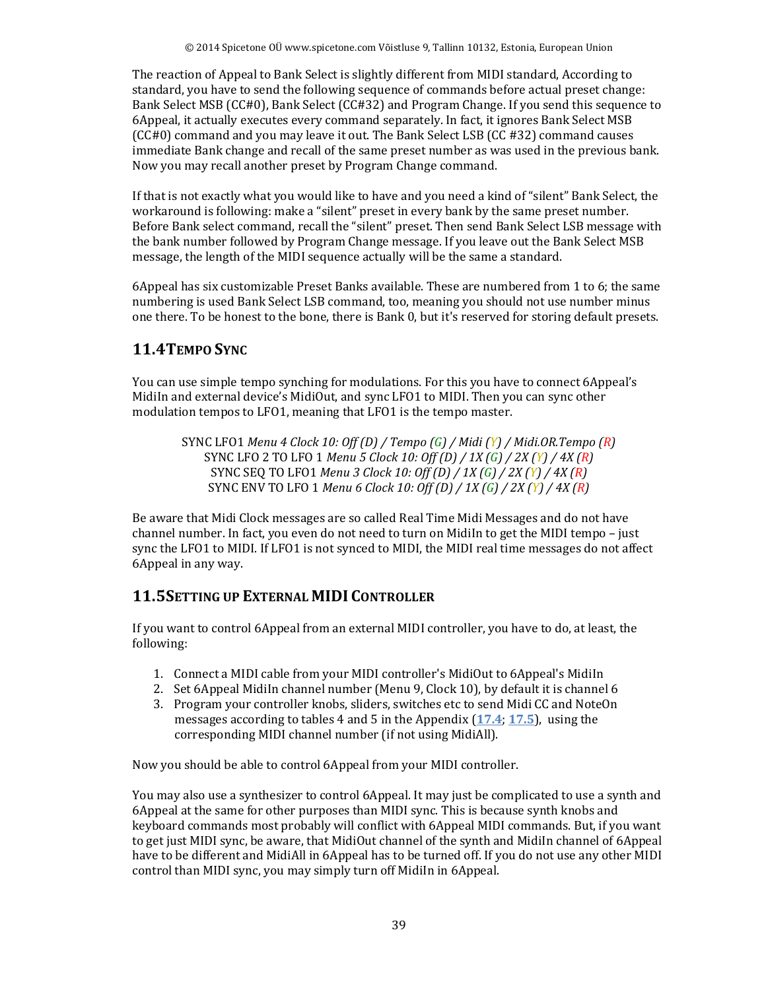The reaction of Appeal to Bank Select is slightly different from MIDI standard, According to standard, you have to send the following sequence of commands before actual preset change: Bank Select MSB (CC#0), Bank Select (CC#32) and Program Change. If you send this sequence to 6Appeal, it actually executes every command separately. In fact, it ignores Bank Select MSB (CC#0) command and you may leave it out. The Bank Select LSB (CC #32) command causes immediate Bank change and recall of the same preset number as was used in the previous bank. Now you may recall another preset by Program Change command.

If that is not exactly what you would like to have and you need a kind of "silent" Bank Select, the workaround is following: make a "silent" preset in every bank by the same preset number. Before Bank select command, recall the "silent" preset. Then send Bank Select LSB message with the bank number followed by Program Change message. If you leave out the Bank Select MSB message, the length of the MIDI sequence actually will be the same a standard.

6Appeal has six customizable Preset Banks available. These are numbered from 1 to 6; the same numbering is used Bank Select LSB command, too, meaning you should not use number minus one there. To be honest to the bone, there is Bank 0, but it's reserved for storing default presets.

## **11.4TEMPO SYNC**

You can use simple tempo synching for modulations. For this you have to connect 6Appeal's MidiIn and external device's MidiOut, and sync LFO1 to MIDI. Then you can sync other modulation tempos to LFO1, meaning that LFO1 is the tempo master.

SYNC LFO1 *Menu 4 Clock 10: Off (D) / Tempo (G) / Midi (Y) / Midi.OR.Tempo (R)* SYNC LFO 2 TO LFO 1 *Menu 5 Clock 10: Off (D) / 1X (G) / 2X (Y) / 4X (R)* SYNC SEQ TO LFO1 *Menu 3 Clock 10: Off (D) / 1X (G) / 2X (Y) / 4X (R)* SYNC ENV TO LFO 1 *Menu 6 Clock 10: Off (D) / 1X (G) / 2X (Y) / 4X (R)*

Be aware that Midi Clock messages are so called Real Time Midi Messages and do not have channel number. In fact, you even do not need to turn on MidiIn to get the MIDI tempo – just sync the LFO1 to MIDI. If LFO1 is not synced to MIDI, the MIDI real time messages do not affect 6Appeal in any way.

## **11.5SETTING UP EXTERNAL MIDI CONTROLLER**

If you want to control 6Appeal from an external MIDI controller, you have to do, at least, the following:

- 1. Connect a MIDI cable from your MIDI controller's MidiOut to 6Appeal's MidiIn
- 2. Set 6Appeal MidiIn channel number (Menu 9, Clock 10), by default it is channel 6
- 3. Program your controller knobs, sliders, switches etc to send Midi CC and NoteOn messages according to tables 4 and 5 in the Appendix (**17.4**; **17.5**), using the corresponding MIDI channel number (if not using MidiAll).

Now you should be able to control 6Appeal from your MIDI controller.

You may also use a synthesizer to control 6Appeal. It may just be complicated to use a synth and 6Appeal at the same for other purposes than MIDI sync. This is because synth knobs and keyboard commands most probably will conflict with 6Appeal MIDI commands. But, if you want to get just MIDI sync, be aware, that MidiOut channel of the synth and MidiIn channel of 6Appeal have to be different and MidiAll in 6Appeal has to be turned off. If you do not use any other MIDI control than MIDI sync, you may simply turn off MidiIn in 6Appeal.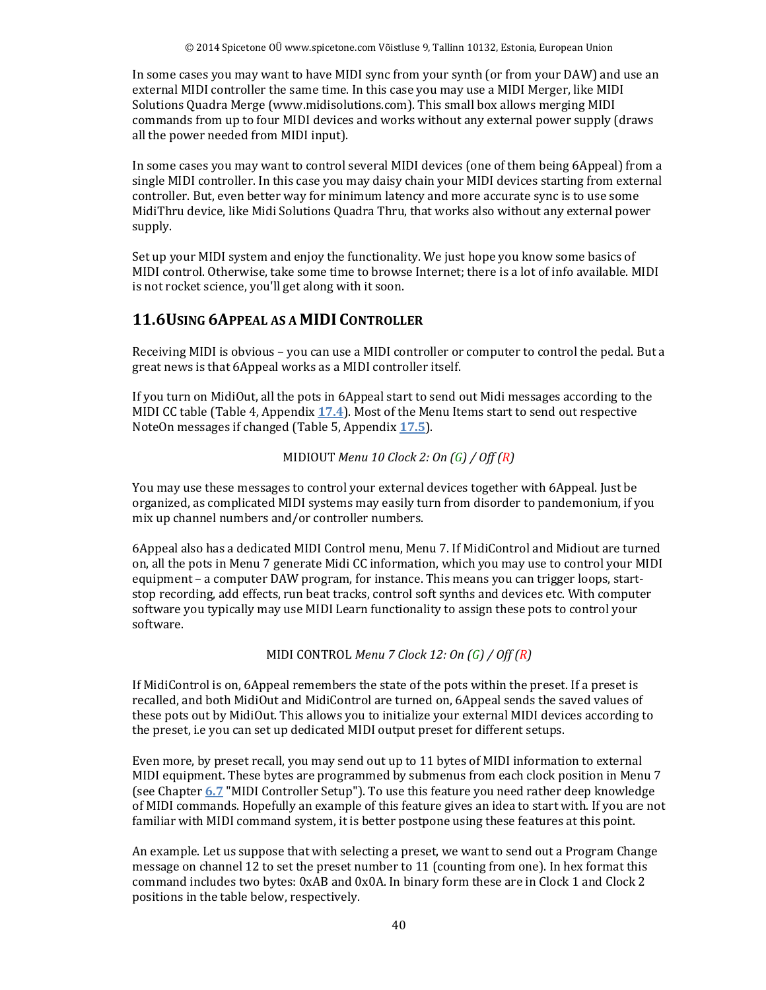In some cases you may want to have MIDI sync from your synth (or from your DAW) and use an external MIDI controller the same time. In this case you may use a MIDI Merger, like MIDI Solutions Quadra Merge (www.midisolutions.com). This small box allows merging MIDI commands from up to four MIDI devices and works without any external power supply (draws all the power needed from MIDI input).

In some cases you may want to control several MIDI devices (one of them being 6Appeal) from a single MIDI controller. In this case you may daisy chain your MIDI devices starting from external controller. But, even better way for minimum latency and more accurate sync is to use some MidiThru device, like Midi Solutions Quadra Thru, that works also without any external power supply.

Set up your MIDI system and enjoy the functionality. We just hope you know some basics of MIDI control. Otherwise, take some time to browse Internet; there is a lot of info available. MIDI is not rocket science, you'll get along with it soon.

#### **11.6USING 6APPEAL AS A MIDI CONTROLLER**

Receiving MIDI is obvious – you can use a MIDI controller or computer to control the pedal. But a great news is that 6Appeal works as a MIDI controller itself.

If you turn on MidiOut, all the pots in 6Appeal start to send out Midi messages according to the MIDI CC table (Table 4, Appendix **17.4**). Most of the Menu Items start to send out respective NoteOn messages if changed (Table 5, Appendix **17.5**).

```
MIDIOUT Menu 10 Clock 2: On (G) / Off (R)
```
You may use these messages to control your external devices together with 6Appeal. Just be organized, as complicated MIDI systems may easily turn from disorder to pandemonium, if you mix up channel numbers and/or controller numbers.

6Appeal also has a dedicated MIDI Control menu, Menu 7. If MidiControl and Midiout are turned on, all the pots in Menu 7 generate Midi CC information, which you may use to control your MIDI equipment – a computer DAW program, for instance. This means you can trigger loops, startstop recording, add effects, run beat tracks, control soft synths and devices etc. With computer software you typically may use MIDI Learn functionality to assign these pots to control your software.

MIDI CONTROL *Menu 7 Clock 12: On (G) / Off (R)*

If MidiControl is on, 6Appeal remembers the state of the pots within the preset. If a preset is recalled, and both MidiOut and MidiControl are turned on, 6Appeal sends the saved values of these pots out by MidiOut. This allows you to initialize your external MIDI devices according to the preset, i.e you can set up dedicated MIDI output preset for different setups.

Even more, by preset recall, you may send out up to 11 bytes of MIDI information to external MIDI equipment. These bytes are programmed by submenus from each clock position in Menu 7 (see Chapter **6.7** "MIDI Controller Setup"). To use this feature you need rather deep knowledge of MIDI commands. Hopefully an example of this feature gives an idea to start with. If you are not familiar with MIDI command system, it is better postpone using these features at this point.

An example. Let us suppose that with selecting a preset, we want to send out a Program Change message on channel 12 to set the preset number to 11 (counting from one). In hex format this command includes two bytes: 0xAB and 0x0A. In binary form these are in Clock 1 and Clock 2 positions in the table below, respectively.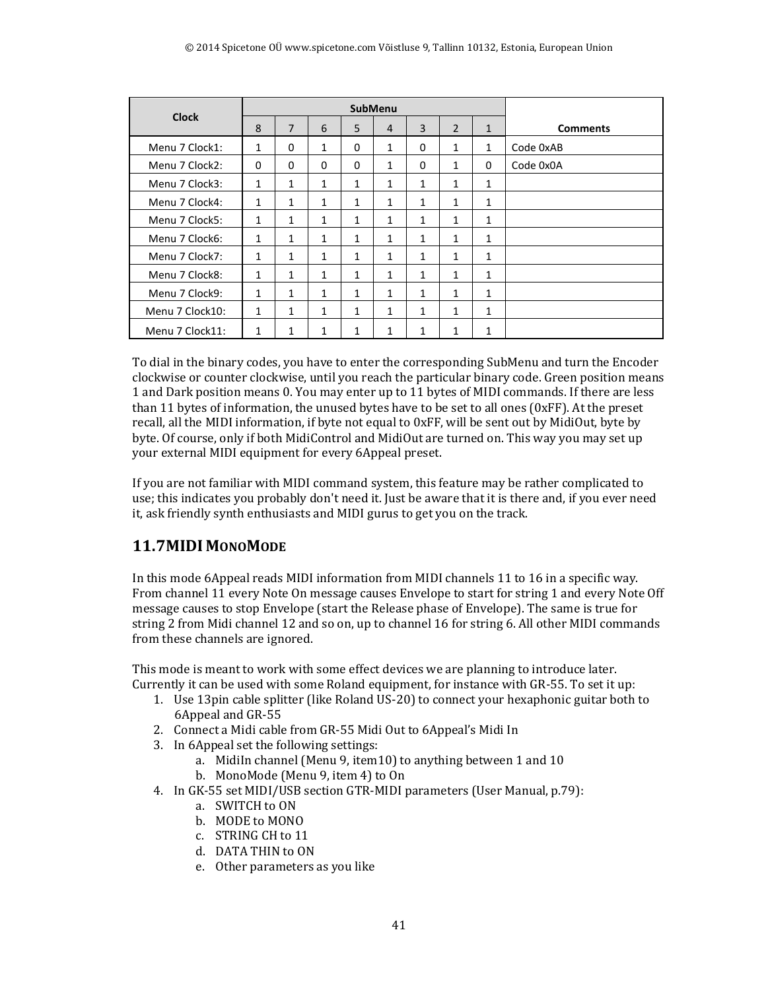| <b>Clock</b>    |              |                |              | <b>SubMenu</b> |                |              |                |              |                 |
|-----------------|--------------|----------------|--------------|----------------|----------------|--------------|----------------|--------------|-----------------|
|                 | 8            | $\overline{7}$ | 6            | 5              | $\overline{4}$ | 3            | $\overline{2}$ | $\mathbf{1}$ | <b>Comments</b> |
| Menu 7 Clock1:  | 1            | $\Omega$       | 1            | $\Omega$       | 1              | 0            | 1              | $\mathbf{1}$ | Code 0xAB       |
| Menu 7 Clock2:  | 0            | $\Omega$       | $\Omega$     | 0              | $\mathbf{1}$   | $\Omega$     | $\mathbf{1}$   | $\Omega$     | Code 0x0A       |
| Menu 7 Clock3:  | 1            | $\mathbf{1}$   | $\mathbf{1}$ | 1              | 1              | $\mathbf{1}$ | $\mathbf{1}$   | $\mathbf{1}$ |                 |
| Menu 7 Clock4:  | 1            | $\mathbf{1}$   | 1            | 1              | 1              | 1            | 1              | 1            |                 |
| Menu 7 Clock5:  | 1            | $\mathbf{1}$   | $\mathbf{1}$ | 1              | $\mathbf{1}$   | 1            | 1              | $\mathbf{1}$ |                 |
| Menu 7 Clock6:  | 1            | $\mathbf{1}$   | 1            | 1              | 1              | 1            | 1              | 1            |                 |
| Menu 7 Clock7:  | 1            | $\mathbf{1}$   | 1            | 1              | $\mathbf{1}$   | 1            | $\mathbf{1}$   | 1            |                 |
| Menu 7 Clock8:  | $\mathbf{1}$ | $\mathbf{1}$   | $\mathbf{1}$ | 1              | 1              | 1            | $\mathbf{1}$   | $\mathbf{1}$ |                 |
| Menu 7 Clock9:  | $\mathbf{1}$ | $\mathbf{1}$   | $\mathbf{1}$ | 1              | $\mathbf{1}$   | $\mathbf{1}$ | 1              | $\mathbf{1}$ |                 |
| Menu 7 Clock10: | 1            | $\mathbf{1}$   | $\mathbf{1}$ | $\mathbf{1}$   | $\mathbf{1}$   | 1            | $\mathbf{1}$   | $\mathbf{1}$ |                 |
| Menu 7 Clock11: | $\mathbf{1}$ | 1              | 1            | 1              | $\mathbf{1}$   | $\mathbf{1}$ | 1              | $\mathbf{1}$ |                 |

To dial in the binary codes, you have to enter the corresponding SubMenu and turn the Encoder clockwise or counter clockwise, until you reach the particular binary code. Green position means 1 and Dark position means 0. You may enter up to 11 bytes of MIDI commands. If there are less than 11 bytes of information, the unused bytes have to be set to all ones (0xFF). At the preset recall, all the MIDI information, if byte not equal to 0xFF, will be sent out by MidiOut, byte by byte. Of course, only if both MidiControl and MidiOut are turned on. This way you may set up your external MIDI equipment for every 6Appeal preset.

If you are not familiar with MIDI command system, this feature may be rather complicated to use; this indicates you probably don't need it. Just be aware that it is there and, if you ever need it, ask friendly synth enthusiasts and MIDI gurus to get you on the track.

#### **11.7MIDI MONOMODE**

In this mode 6Appeal reads MIDI information from MIDI channels 11 to 16 in a specific way. From channel 11 every Note On message causes Envelope to start for string 1 and every Note Off message causes to stop Envelope (start the Release phase of Envelope). The same is true for string 2 from Midi channel 12 and so on, up to channel 16 for string 6. All other MIDI commands from these channels are ignored.

This mode is meant to work with some effect devices we are planning to introduce later. Currently it can be used with some Roland equipment, for instance with GR-55. To set it up:

- 1. Use 13pin cable splitter (like Roland US-20) to connect your hexaphonic guitar both to 6Appeal and GR-55
- 2. Connect a Midi cable from GR-55 Midi Out to 6Appeal's Midi In
- 3. In 6Appeal set the following settings:
	- a. MidiIn channel (Menu 9, item10) to anything between 1 and 10
	- b. MonoMode (Menu 9, item 4) to On
- 4. In GK-55 set MIDI/USB section GTR-MIDI parameters (User Manual, p.79):
	- a. SWITCH to ON
	- b. MODE to MONO
	- c. STRING CH to 11
	- d. DATA THIN to ON
	- e. Other parameters as you like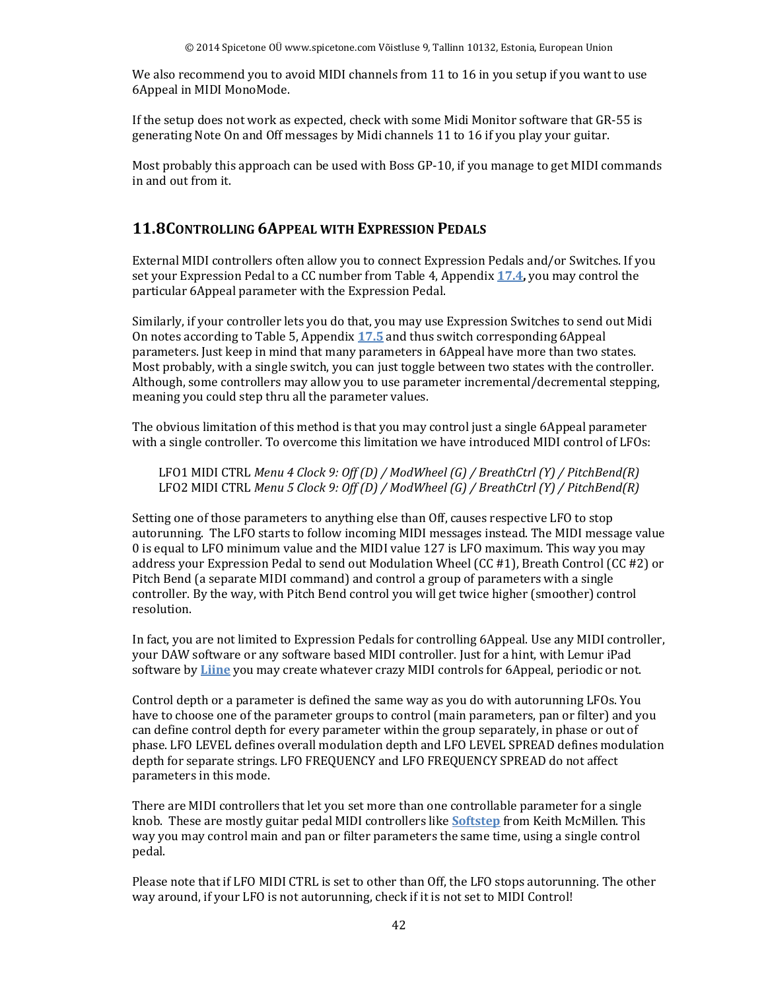We also recommend you to avoid MIDI channels from 11 to 16 in you setup if you want to use 6Appeal in MIDI MonoMode.

If the setup does not work as expected, check with some Midi Monitor software that GR-55 is generating Note On and Off messages by Midi channels 11 to 16 if you play your guitar.

Most probably this approach can be used with Boss GP-10, if you manage to get MIDI commands in and out from it.

#### **11.8CONTROLLING 6APPEAL WITH EXPRESSION PEDALS**

External MIDI controllers often allow you to connect Expression Pedals and/or Switches. If you set your Expression Pedal to a CC number from Table 4, Appendix **17.4,** you may control the particular 6Appeal parameter with the Expression Pedal.

Similarly, if your controller lets you do that, you may use Expression Switches to send out Midi On notes according to Table 5, Appendix **17.5** and thus switch corresponding 6Appeal parameters. Just keep in mind that many parameters in 6Appeal have more than two states. Most probably, with a single switch, you can just toggle between two states with the controller. Although, some controllers may allow you to use parameter incremental/decremental stepping, meaning you could step thru all the parameter values.

The obvious limitation of this method is that you may control just a single 6Appeal parameter with a single controller. To overcome this limitation we have introduced MIDI control of LFOs:

LFO1 MIDI CTRL *Menu 4 Clock 9: Off (D) / ModWheel (G) / BreathCtrl (Y) / PitchBend(R)* LFO2 MIDI CTRL *Menu 5 Clock 9: Off (D) / ModWheel (G) / BreathCtrl (Y) / PitchBend(R)*

Setting one of those parameters to anything else than Off, causes respective LFO to stop autorunning. The LFO starts to follow incoming MIDI messages instead. The MIDI message value 0 is equal to LFO minimum value and the MIDI value 127 is LFO maximum. This way you may address your Expression Pedal to send out Modulation Wheel (CC #1), Breath Control (CC #2) or Pitch Bend (a separate MIDI command) and control a group of parameters with a single controller. By the way, with Pitch Bend control you will get twice higher (smoother) control resolution.

In fact, you are not limited to Expression Pedals for controlling 6Appeal. Use any MIDI controller, your DAW software or any software based MIDI controller. Just for a hint, with Lemur iPad software by **Liine** you may create whatever crazy MIDI controls for 6Appeal, periodic or not.

Control depth or a parameter is defined the same way as you do with autorunning LFOs. You have to choose one of the parameter groups to control (main parameters, pan or filter) and you can define control depth for every parameter within the group separately, in phase or out of phase. LFO LEVEL defines overall modulation depth and LFO LEVEL SPREAD defines modulation depth for separate strings. LFO FREQUENCY and LFO FREQUENCY SPREAD do not affect parameters in this mode.

There are MIDI controllers that let you set more than one controllable parameter for a single knob. These are mostly guitar pedal MIDI controllers like **Softstep** from Keith McMillen. This way you may control main and pan or filter parameters the same time, using a single control pedal.

Please note that if LFO MIDI CTRL is set to other than Off, the LFO stops autorunning. The other way around, if your LFO is not autorunning, check if it is not set to MIDI Control!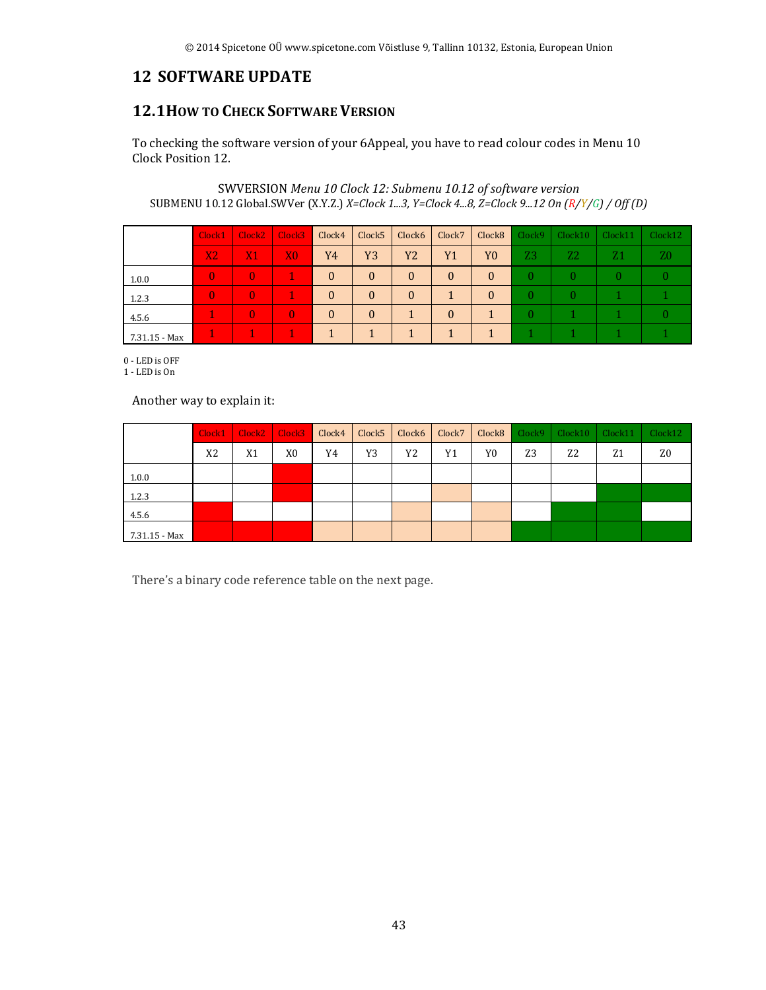## **12 SOFTWARE UPDATE**

## **12.1HOW TO CHECK SOFTWARE VERSION**

To checking the software version of your 6Appeal, you have to read colour codes in Menu 10 Clock Position 12.

SWVERSION *Menu 10 Clock 12: Submenu 10.12 of software version* SUBMENU 10.12 Global.SWVer (X.Y.Z.) *X=Clock 1...3, Y=Clock 4...8, Z=Clock 9...12 On (R/Y/G) / Off (D)*

|               | Clock1         | Clock <sub>2</sub> | Clock <sub>3</sub> | Clock4   | Clock <sub>5</sub> | Clock6   | Clock7       | Clock <sub>8</sub> | Clock9         | Clock10        | Clock11 | Clock12 |
|---------------|----------------|--------------------|--------------------|----------|--------------------|----------|--------------|--------------------|----------------|----------------|---------|---------|
|               | X <sub>2</sub> | X1                 | X <sub>0</sub>     | Y4       | Y3                 | Y2       | <b>Y1</b>    | Y <sub>0</sub>     | Z <sub>3</sub> | Z <sub>2</sub> | Z1      | Z0      |
| 1.0.0         | $\mathbf{0}$   | $\Omega$           |                    | $\theta$ | $\mathbf{0}$       | $\Omega$ | $\mathbf{0}$ | $\mathbf{0}$       | $\theta$       | $\theta$       | 0       |         |
| 1.2.3         | $\mathbf{0}$   | $\Omega$           |                    | $\theta$ | $\mathbf{0}$       | $\Omega$ |              | $\theta$           | $\theta$       | $\theta$       |         |         |
| 4.5.6         |                | $\mathbf{0}$       | $\mathbf{0}$       | $\theta$ | $\mathbf{0}$       |          | $\theta$     |                    | $\theta$       |                |         |         |
| 7.31.15 - Max |                |                    |                    |          |                    |          |              |                    |                |                |         |         |

0 - LED is OFF

1 - LED is On

Another way to explain it:

|               | Clock1         | Clock <sub>2</sub> | $\vert$ Clock3 | Clock4 | Clock5 | Clock6 | Clock7 | Clock <sub>8</sub> | Clock9         | Clock10        | Clock11        | Clock12 |
|---------------|----------------|--------------------|----------------|--------|--------|--------|--------|--------------------|----------------|----------------|----------------|---------|
|               | X <sub>2</sub> | X <sub>1</sub>     | X0             | Y4     | Y3     | Y2     | Y1     | Y0                 | Z <sub>3</sub> | Z <sub>2</sub> | Z <sub>1</sub> | Z0      |
| 1.0.0         |                |                    |                |        |        |        |        |                    |                |                |                |         |
| 1.2.3         |                |                    |                |        |        |        |        |                    |                |                |                |         |
| 4.5.6         |                |                    |                |        |        |        |        |                    |                |                |                |         |
| 7.31.15 - Max |                |                    |                |        |        |        |        |                    |                |                |                |         |

There's a binary code reference table on the next page.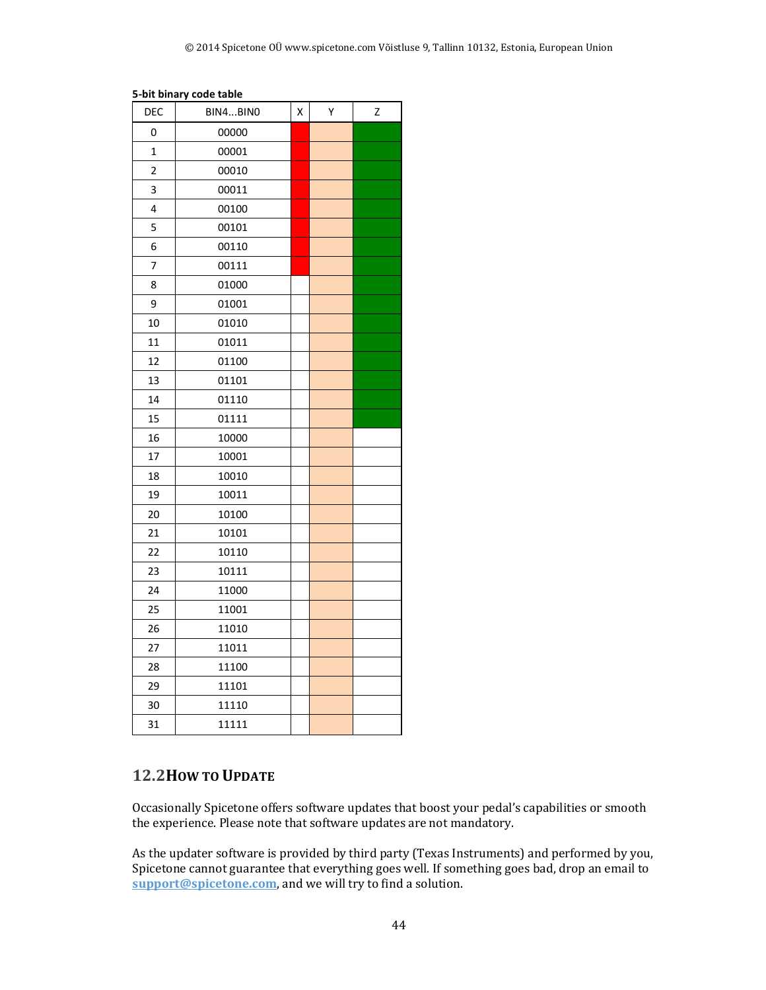#### **5-bit binary code table**

| DEC            | BIN4BINO | Χ | Υ | Z |
|----------------|----------|---|---|---|
| 0              | 00000    |   |   |   |
| 1              | 00001    |   |   |   |
| $\overline{c}$ | 00010    |   |   |   |
| 3              | 00011    |   |   |   |
| 4              | 00100    |   |   |   |
| 5              | 00101    |   |   |   |
| 6              | 00110    |   |   |   |
| 7              | 00111    |   |   |   |
| 8              | 01000    |   |   |   |
| 9              | 01001    |   |   |   |
| 10             | 01010    |   |   |   |
| 11             | 01011    |   |   |   |
| 12             | 01100    |   |   |   |
| 13             | 01101    |   |   |   |
| 14             | 01110    |   |   |   |
| 15             | 01111    |   |   |   |
| 16             | 10000    |   |   |   |
| 17             | 10001    |   |   |   |
| 18             | 10010    |   |   |   |
| 19             | 10011    |   |   |   |
| 20             | 10100    |   |   |   |
| 21             | 10101    |   |   |   |
| 22             | 10110    |   |   |   |
| 23             | 10111    |   |   |   |
| 24             | 11000    |   |   |   |
| 25             | 11001    |   |   |   |
| 26             | 11010    |   |   |   |
| 27             | 11011    |   |   |   |
| 28             | 11100    |   |   |   |
| 29             | 11101    |   |   |   |
| 30             | 11110    |   |   |   |
| 31             | 11111    |   |   |   |

#### **12.2HOW TO UPDATE**

Occasionally Spicetone offers software updates that boost your pedal's capabilities or smooth the experience. Please note that software updates are not mandatory.

As the updater software is provided by third party (Texas Instruments) and performed by you, Spicetone cannot guarantee that everything goes well. If something goes bad, drop an email to **support@spicetone.com**, and we will try to find a solution.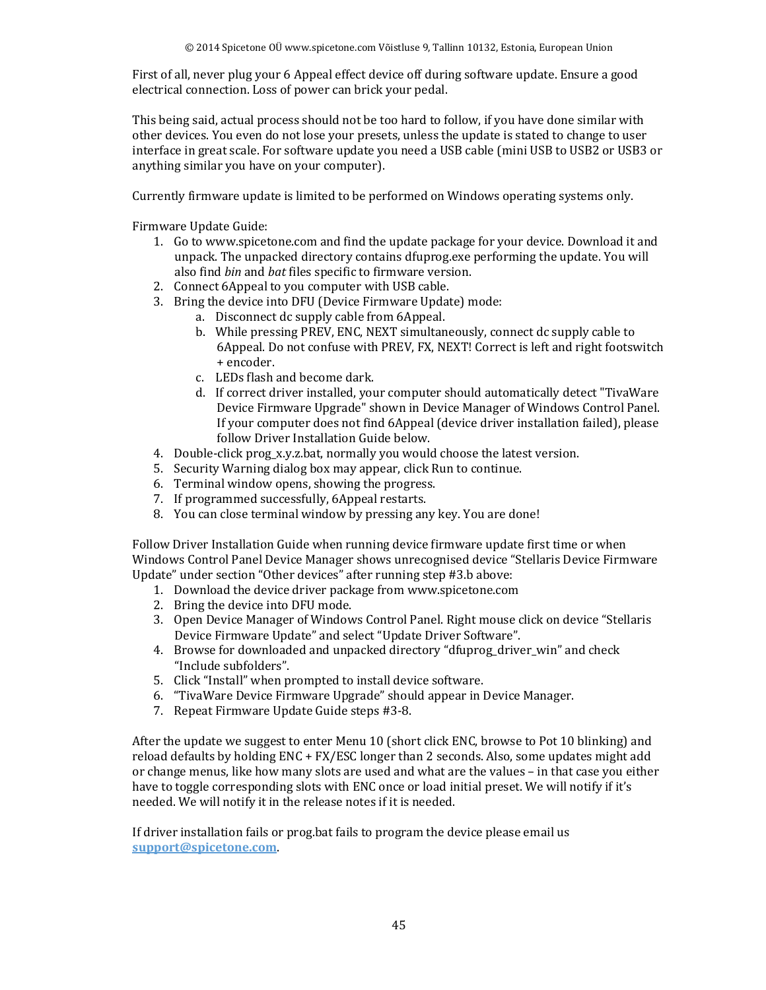First of all, never plug your 6 Appeal effect device off during software update. Ensure a good electrical connection. Loss of power can brick your pedal.

This being said, actual process should not be too hard to follow, if you have done similar with other devices. You even do not lose your presets, unless the update is stated to change to user interface in great scale. For software update you need a USB cable (mini USB to USB2 or USB3 or anything similar you have on your computer).

Currently firmware update is limited to be performed on Windows operating systems only.

Firmware Update Guide:

- 1. Go to www.spicetone.com and find the update package for your device. Download it and unpack. The unpacked directory contains dfuprog.exe performing the update. You will also find *bin* and *bat* files specific to firmware version.
- 2. Connect 6Appeal to you computer with USB cable.
- 3. Bring the device into DFU (Device Firmware Update) mode:
	- a. Disconnect dc supply cable from 6Appeal.
		- b. While pressing PREV, ENC, NEXT simultaneously, connect dc supply cable to 6Appeal. Do not confuse with PREV, FX, NEXT! Correct is left and right footswitch + encoder.
		- c. LEDs flash and become dark.
		- d. If correct driver installed, your computer should automatically detect "TivaWare Device Firmware Upgrade" shown in Device Manager of Windows Control Panel. If your computer does not find 6Appeal (device driver installation failed), please follow Driver Installation Guide below.
- 4. Double-click prog\_x.y.z.bat, normally you would choose the latest version.
- 5. Security Warning dialog box may appear, click Run to continue.
- 6. Terminal window opens, showing the progress.
- 7. If programmed successfully, 6Appeal restarts.
- 8. You can close terminal window by pressing any key. You are done!

Follow Driver Installation Guide when running device firmware update first time or when Windows Control Panel Device Manager shows unrecognised device "Stellaris Device Firmware Update" under section "Other devices" after running step #3.b above:

- 1. Download the device driver package from www.spicetone.com
- 2. Bring the device into DFU mode.
- 3. Open Device Manager of Windows Control Panel. Right mouse click on device "Stellaris Device Firmware Update" and select "Update Driver Software".
- 4. Browse for downloaded and unpacked directory "dfuprog\_driver\_win" and check "Include subfolders".
- 5. Click "Install" when prompted to install device software.
- 6. "TivaWare Device Firmware Upgrade" should appear in Device Manager.
- 7. Repeat Firmware Update Guide steps #3-8.

After the update we suggest to enter Menu 10 (short click ENC, browse to Pot 10 blinking) and reload defaults by holding ENC + FX/ESC longer than 2 seconds. Also, some updates might add or change menus, like how many slots are used and what are the values – in that case you either have to toggle corresponding slots with ENC once or load initial preset. We will notify if it's needed. We will notify it in the release notes if it is needed.

If driver installation fails or prog.bat fails to program the device please email us **support@spicetone.com**.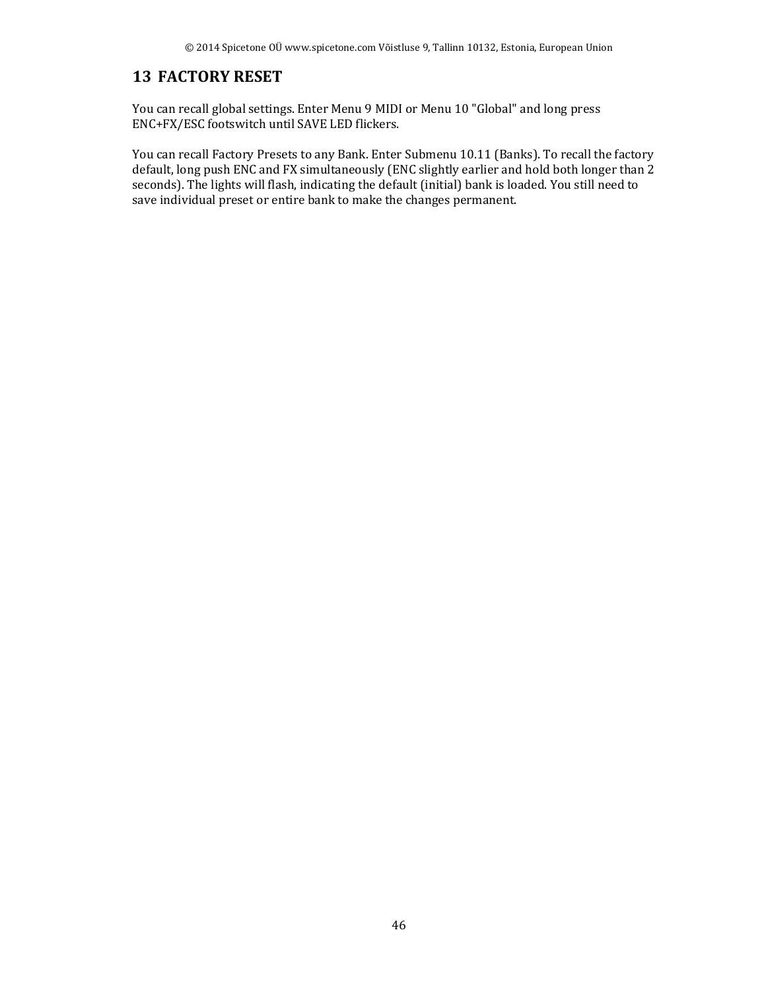## **13 FACTORY RESET**

You can recall global settings. Enter Menu 9 MIDI or Menu 10 "Global" and long press ENC+FX/ESC footswitch until SAVE LED flickers.

You can recall Factory Presets to any Bank. Enter Submenu 10.11 (Banks). To recall the factory default, long push ENC and FX simultaneously (ENC slightly earlier and hold both longer than 2 seconds). The lights will flash, indicating the default (initial) bank is loaded. You still need to save individual preset or entire bank to make the changes permanent.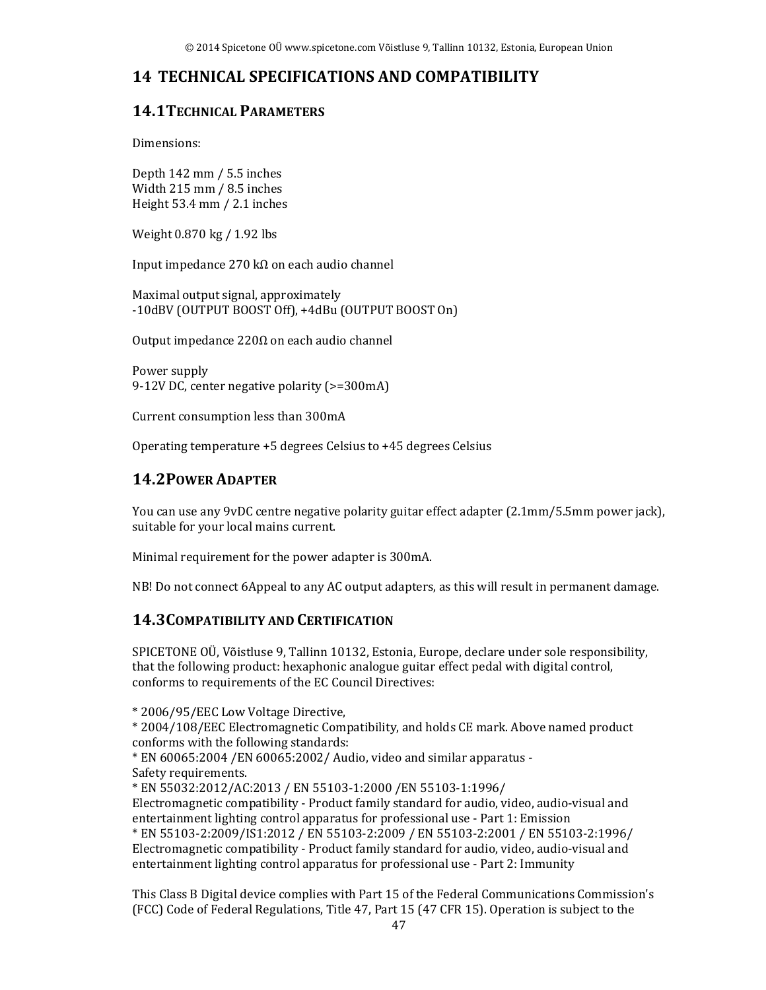## **14 TECHNICAL SPECIFICATIONS AND COMPATIBILITY**

## **14.1TECHNICAL PARAMETERS**

Dimensions:

Depth 142 mm / 5.5 inches Width 215 mm / 8.5 inches Height 53.4 mm / 2.1 inches

Weight 0.870 kg / 1.92 lbs

Input impedance 270 kΩ on each audio channel

Maximal output signal, approximately -10dBV (OUTPUT BOOST Off), +4dBu (OUTPUT BOOST On)

Output impedance 220Ω on each audio channel

Power supply 9-12V DC, center negative polarity (>=300mA)

Current consumption less than 300mA

Operating temperature +5 degrees Celsius to +45 degrees Celsius

#### **14.2POWER ADAPTER**

You can use any 9vDC centre negative polarity guitar effect adapter (2.1mm/5.5mm power jack), suitable for your local mains current.

Minimal requirement for the power adapter is 300mA.

NB! Do not connect 6Appeal to any AC output adapters, as this will result in permanent damage.

#### **14.3COMPATIBILITY AND CERTIFICATION**

SPICETONE OÜ, Võistluse 9, Tallinn 10132, Estonia, Europe, declare under sole responsibility, that the following product: hexaphonic analogue guitar effect pedal with digital control, conforms to requirements of the EC Council Directives:

\* 2006/95/EEC Low Voltage Directive,

\* 2004/108/EEC Electromagnetic Compatibility, and holds CE mark. Above named product conforms with the following standards:

\* EN 60065:2004 /EN 60065:2002/ Audio, video and similar apparatus - Safety requirements.

\* EN 55032:2012/AC:2013 / EN 55103-1:2000 /EN 55103-1:1996/

Electromagnetic compatibility - Product family standard for audio, video, audio-visual and entertainment lighting control apparatus for professional use - Part 1: Emission \* EN 55103-2:2009/IS1:2012 / EN 55103-2:2009 / EN 55103-2:2001 / EN 55103-2:1996/ Electromagnetic compatibility - Product family standard for audio, video, audio-visual and entertainment lighting control apparatus for professional use - Part 2: Immunity

This Class B Digital device complies with Part 15 of the Federal Communications Commission's (FCC) Code of Federal Regulations, Title 47, Part 15 (47 CFR 15). Operation is subject to the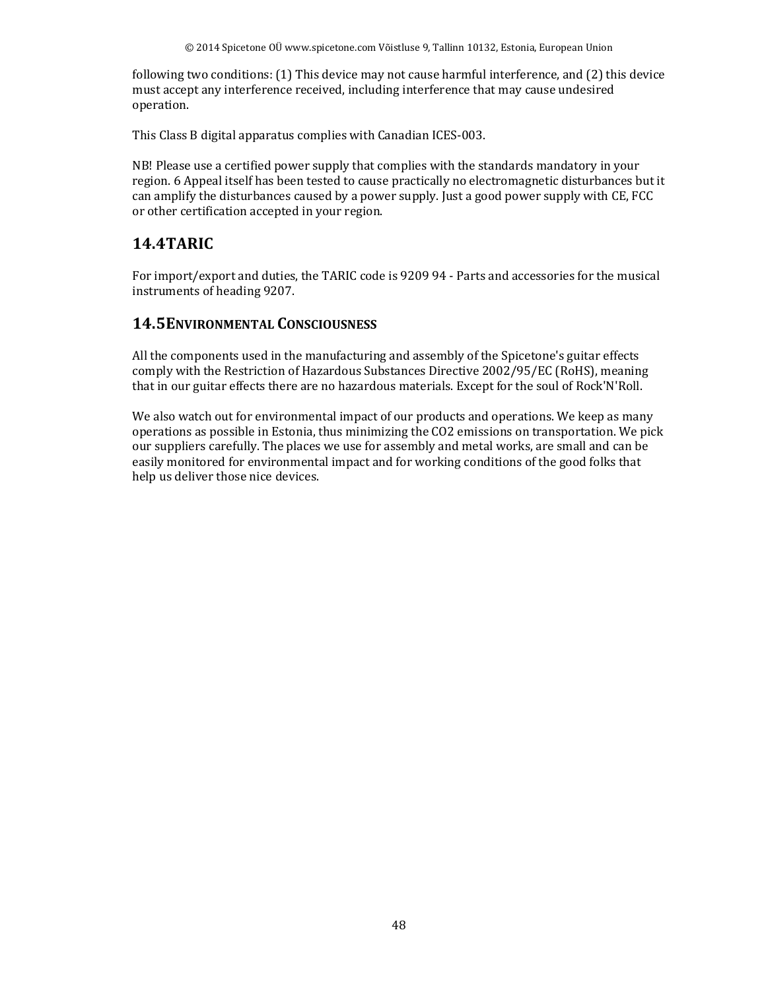following two conditions: (1) This device may not cause harmful interference, and (2) this device must accept any interference received, including interference that may cause undesired operation.

This Class B digital apparatus complies with Canadian ICES-003.

NB! Please use a certified power supply that complies with the standards mandatory in your region. 6 Appeal itself has been tested to cause practically no electromagnetic disturbances but it can amplify the disturbances caused by a power supply. Just a good power supply with CE, FCC or other certification accepted in your region.

## **14.4TARIC**

For import/export and duties, the TARIC code is 9209 94 - Parts and accessories for the musical instruments of heading 9207.

#### **14.5ENVIRONMENTAL CONSCIOUSNESS**

All the components used in the manufacturing and assembly of the Spicetone's guitar effects comply with the Restriction of Hazardous Substances Directive 2002/95/EC (RoHS), meaning that in our guitar effects there are no hazardous materials. Except for the soul of Rock'N'Roll.

We also watch out for environmental impact of our products and operations. We keep as many operations as possible in Estonia, thus minimizing the CO2 emissions on transportation. We pick our suppliers carefully. The places we use for assembly and metal works, are small and can be easily monitored for environmental impact and for working conditions of the good folks that help us deliver those nice devices.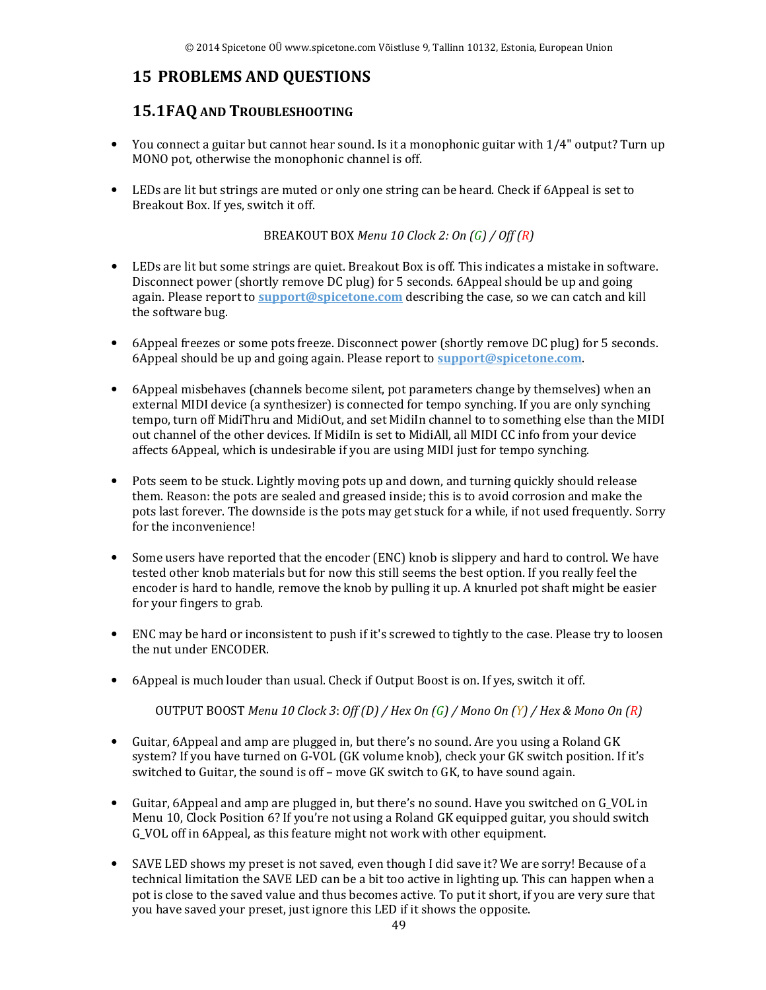# **15 PROBLEMS AND QUESTIONS**

## **15.1FAQ AND TROUBLESHOOTING**

- You connect a guitar but cannot hear sound. Is it a monophonic guitar with 1/4" output? Turn up MONO pot, otherwise the monophonic channel is off.
- LEDs are lit but strings are muted or only one string can be heard. Check if 6Appeal is set to Breakout Box. If yes, switch it off.

BREAKOUT BOX *Menu 10 Clock 2: On (G) / Off (R)* 

- LEDs are lit but some strings are quiet. Breakout Box is off. This indicates a mistake in software. Disconnect power (shortly remove DC plug) for 5 seconds. 6Appeal should be up and going again. Please report to **support@spicetone.com** describing the case, so we can catch and kill the software bug.
- 6Appeal freezes or some pots freeze. Disconnect power (shortly remove DC plug) for 5 seconds. 6Appeal should be up and going again. Please report to **support@spicetone.com**.
- 6Appeal misbehaves (channels become silent, pot parameters change by themselves) when an external MIDI device (a synthesizer) is connected for tempo synching. If you are only synching tempo, turn off MidiThru and MidiOut, and set MidiIn channel to to something else than the MIDI out channel of the other devices. If MidiIn is set to MidiAll, all MIDI CC info from your device affects 6Appeal, which is undesirable if you are using MIDI just for tempo synching.
- Pots seem to be stuck. Lightly moving pots up and down, and turning quickly should release them. Reason: the pots are sealed and greased inside; this is to avoid corrosion and make the pots last forever. The downside is the pots may get stuck for a while, if not used frequently. Sorry for the inconvenience!
- Some users have reported that the encoder (ENC) knob is slippery and hard to control. We have tested other knob materials but for now this still seems the best option. If you really feel the encoder is hard to handle, remove the knob by pulling it up. A knurled pot shaft might be easier for your fingers to grab.
- ENC may be hard or inconsistent to push if it's screwed to tightly to the case. Please try to loosen the nut under ENCODER.
- 6Appeal is much louder than usual. Check if Output Boost is on. If yes, switch it off.

OUTPUT BOOST *Menu 10 Clock 3*: *Off (D) / Hex On (G) / Mono On (Y) / Hex & Mono On (R)*

- Guitar, 6Appeal and amp are plugged in, but there's no sound. Are you using a Roland GK system? If you have turned on G-VOL (GK volume knob), check your GK switch position. If it's switched to Guitar, the sound is off – move GK switch to GK, to have sound again.
- Guitar, 6Appeal and amp are plugged in, but there's no sound. Have you switched on G\_VOL in Menu 10, Clock Position 6? If you're not using a Roland GK equipped guitar, you should switch G\_VOL off in 6Appeal, as this feature might not work with other equipment.
- SAVE LED shows my preset is not saved, even though I did save it? We are sorry! Because of a technical limitation the SAVE LED can be a bit too active in lighting up. This can happen when a pot is close to the saved value and thus becomes active. To put it short, if you are very sure that you have saved your preset, just ignore this LED if it shows the opposite.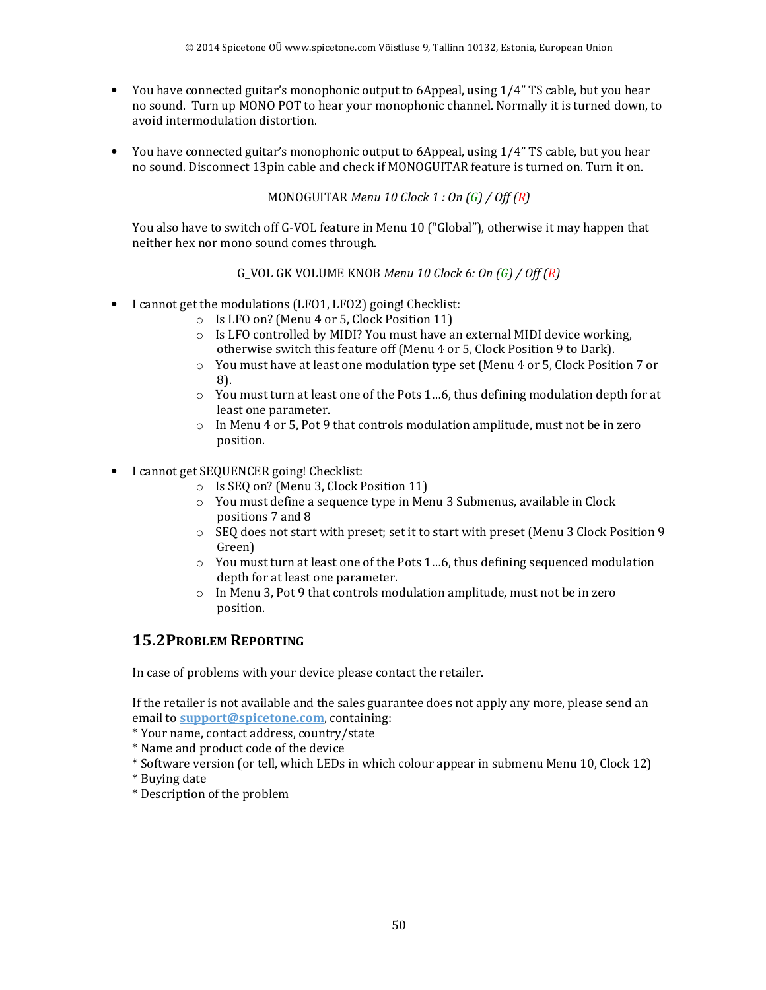- You have connected guitar's monophonic output to 6Appeal, using 1/4" TS cable, but you hear no sound. Turn up MONO POT to hear your monophonic channel. Normally it is turned down, to avoid intermodulation distortion.
- You have connected guitar's monophonic output to 6Appeal, using 1/4" TS cable, but you hear no sound. Disconnect 13pin cable and check if MONOGUITAR feature is turned on. Turn it on.

MONOGUITAR *Menu 10 Clock 1 : On (G) / Off (R)*

You also have to switch off G-VOL feature in Menu 10 ("Global"), otherwise it may happen that neither hex nor mono sound comes through.

G\_VOL GK VOLUME KNOB *Menu 10 Clock 6: On (G) / Off (R)*

- I cannot get the modulations (LFO1, LFO2) going! Checklist:
	- o Is LFO on? (Menu 4 or 5, Clock Position 11)
		- $\circ$  Is LFO controlled by MIDI? You must have an external MIDI device working, otherwise switch this feature off (Menu 4 or 5, Clock Position 9 to Dark).
		- o You must have at least one modulation type set (Menu 4 or 5, Clock Position 7 or 8).
		- $\circ$  You must turn at least one of the Pots 1...6, thus defining modulation depth for at least one parameter.
		- $\circ$  In Menu 4 or 5, Pot 9 that controls modulation amplitude, must not be in zero position.
- I cannot get SEQUENCER going! Checklist:
	- o Is SEQ on? (Menu 3, Clock Position 11)
	- o You must define a sequence type in Menu 3 Submenus, available in Clock positions 7 and 8
	- $\circ$  SEQ does not start with preset; set it to start with preset (Menu 3 Clock Position 9 Green)
	- $\circ$  You must turn at least one of the Pots 1...6, thus defining sequenced modulation depth for at least one parameter.
	- o In Menu 3, Pot 9 that controls modulation amplitude, must not be in zero position.

#### **15.2PROBLEM REPORTING**

In case of problems with your device please contact the retailer.

If the retailer is not available and the sales guarantee does not apply any more, please send an email to **support@spicetone.com**, containing:

- \* Your name, contact address, country/state
- \* Name and product code of the device
- \* Software version (or tell, which LEDs in which colour appear in submenu Menu 10, Clock 12)
- \* Buying date
- \* Description of the problem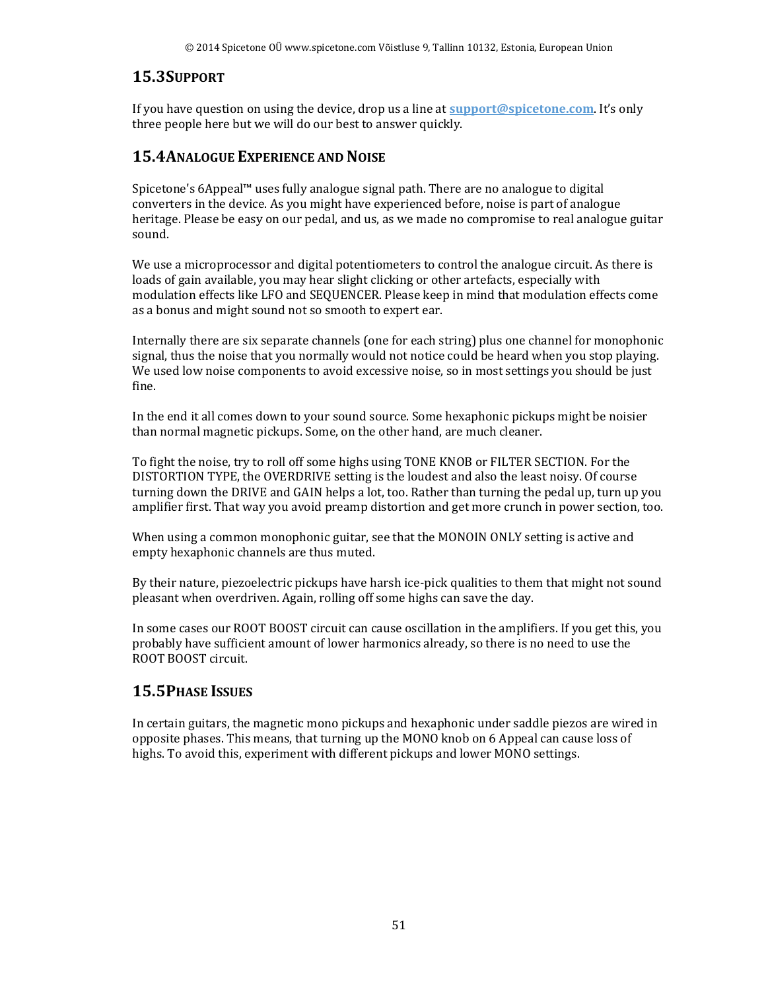#### **15.3SUPPORT**

If you have question on using the device, drop us a line at **support@spicetone.com**. It's only three people here but we will do our best to answer quickly.

## **15.4ANALOGUE EXPERIENCE AND NOISE**

Spicetone's 6Appeal™ uses fully analogue signal path. There are no analogue to digital converters in the device. As you might have experienced before, noise is part of analogue heritage. Please be easy on our pedal, and us, as we made no compromise to real analogue guitar sound.

We use a microprocessor and digital potentiometers to control the analogue circuit. As there is loads of gain available, you may hear slight clicking or other artefacts, especially with modulation effects like LFO and SEQUENCER. Please keep in mind that modulation effects come as a bonus and might sound not so smooth to expert ear.

Internally there are six separate channels (one for each string) plus one channel for monophonic signal, thus the noise that you normally would not notice could be heard when you stop playing. We used low noise components to avoid excessive noise, so in most settings you should be just fine.

In the end it all comes down to your sound source. Some hexaphonic pickups might be noisier than normal magnetic pickups. Some, on the other hand, are much cleaner.

To fight the noise, try to roll off some highs using TONE KNOB or FILTER SECTION. For the DISTORTION TYPE, the OVERDRIVE setting is the loudest and also the least noisy. Of course turning down the DRIVE and GAIN helps a lot, too. Rather than turning the pedal up, turn up you amplifier first. That way you avoid preamp distortion and get more crunch in power section, too.

When using a common monophonic guitar, see that the MONOIN ONLY setting is active and empty hexaphonic channels are thus muted.

By their nature, piezoelectric pickups have harsh ice-pick qualities to them that might not sound pleasant when overdriven. Again, rolling off some highs can save the day.

In some cases our ROOT BOOST circuit can cause oscillation in the amplifiers. If you get this, you probably have sufficient amount of lower harmonics already, so there is no need to use the ROOT BOOST circuit.

## **15.5PHASE ISSUES**

In certain guitars, the magnetic mono pickups and hexaphonic under saddle piezos are wired in opposite phases. This means, that turning up the MONO knob on 6 Appeal can cause loss of highs. To avoid this, experiment with different pickups and lower MONO settings.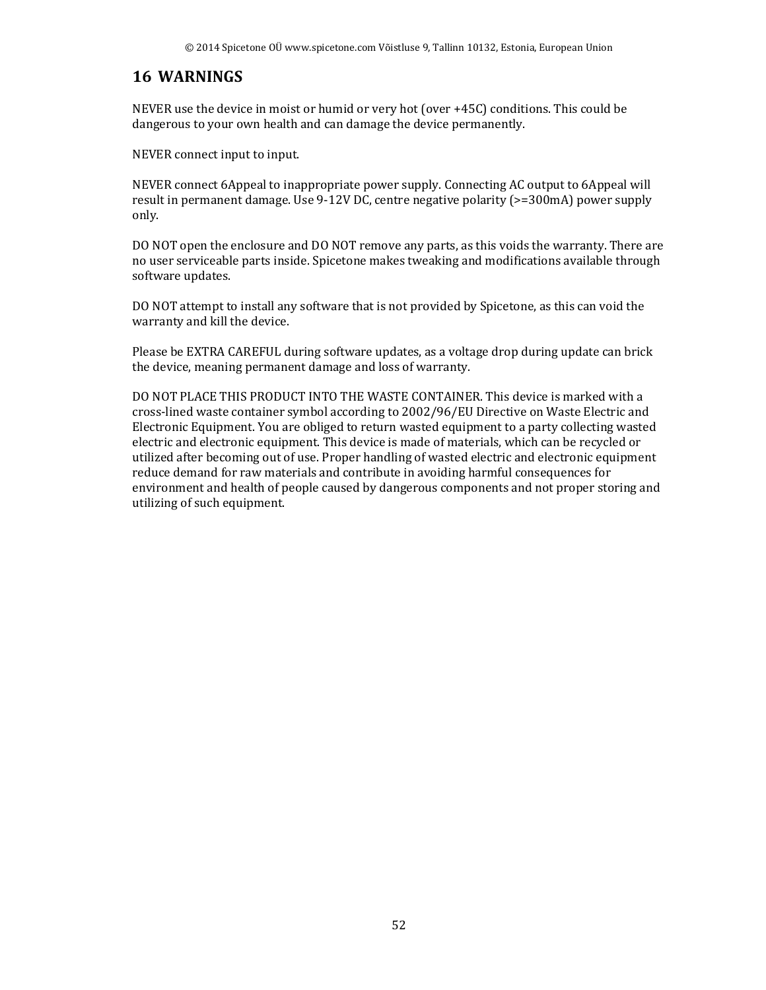## **16 WARNINGS**

NEVER use the device in moist or humid or very hot (over +45C) conditions. This could be dangerous to your own health and can damage the device permanently.

NEVER connect input to input.

NEVER connect 6Appeal to inappropriate power supply. Connecting AC output to 6Appeal will result in permanent damage. Use 9-12V DC, centre negative polarity (>=300mA) power supply only.

DO NOT open the enclosure and DO NOT remove any parts, as this voids the warranty. There are no user serviceable parts inside. Spicetone makes tweaking and modifications available through software updates.

DO NOT attempt to install any software that is not provided by Spicetone, as this can void the warranty and kill the device.

Please be EXTRA CAREFUL during software updates, as a voltage drop during update can brick the device, meaning permanent damage and loss of warranty.

DO NOT PLACE THIS PRODUCT INTO THE WASTE CONTAINER. This device is marked with a cross-lined waste container symbol according to 2002/96/EU Directive on Waste Electric and Electronic Equipment. You are obliged to return wasted equipment to a party collecting wasted electric and electronic equipment. This device is made of materials, which can be recycled or utilized after becoming out of use. Proper handling of wasted electric and electronic equipment reduce demand for raw materials and contribute in avoiding harmful consequences for environment and health of people caused by dangerous components and not proper storing and utilizing of such equipment.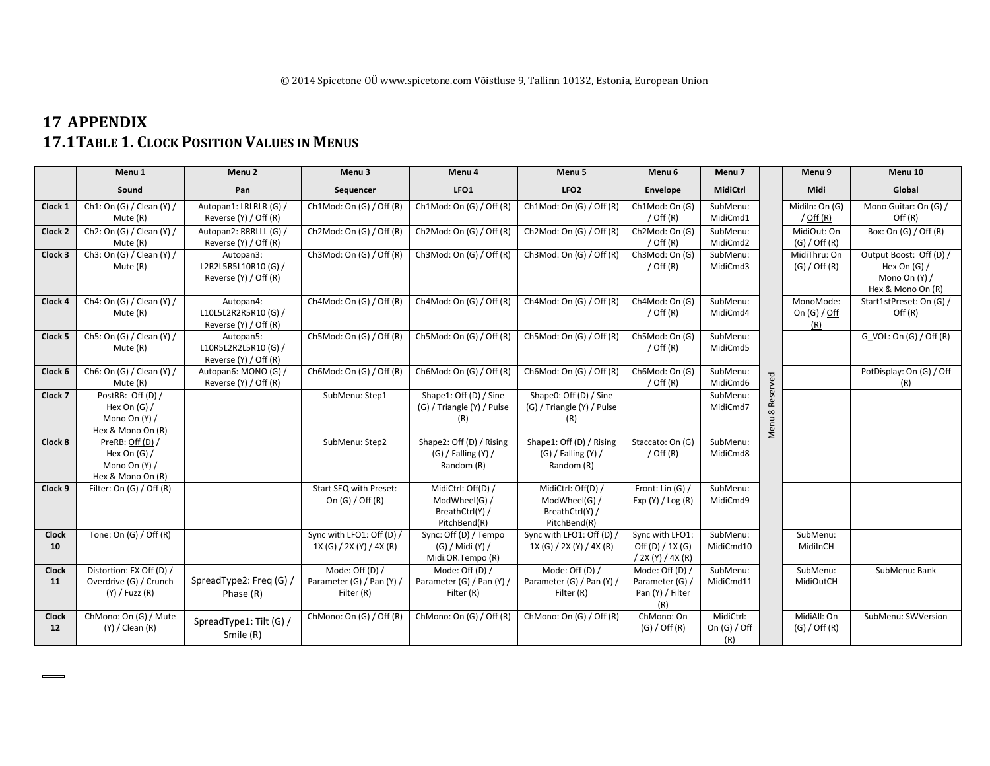# **17 APPENDIX 17.1TABLE 1. CLOCK POSITION VALUES IN MENUS**

|              | Menu <sub>1</sub>               | Menu <sub>2</sub>       | Menu <sub>3</sub>            | Menu <sub>4</sub>                     | Menu <sub>5</sub>                     | Menu <sub>6</sub>       | Menu 7         |          | Menu <sub>9</sub> | Menu 10                            |
|--------------|---------------------------------|-------------------------|------------------------------|---------------------------------------|---------------------------------------|-------------------------|----------------|----------|-------------------|------------------------------------|
|              | Sound                           | Pan                     | Sequencer                    | LFO <sub>1</sub>                      | LFO <sub>2</sub>                      | Envelope                | MidiCtrl       |          | Midi              | Global                             |
| Clock 1      | Ch1: On (G) / Clean (Y) /       | Autopan1: LRLRLR (G) /  | Ch1Mod: On $(G)$ / Off $(R)$ | Ch1Mod: On $(G)$ / Off $(R)$          | Ch1Mod: On $(G)$ / Off $(R)$          | Ch1Mod: On (G)          | SubMenu:       |          | Midiln: On (G)    | Mono Guitar: On (G) /              |
|              | Mute (R)                        | Reverse (Y) / Off (R)   |                              |                                       |                                       | / Off $(R)$             | MidiCmd1       |          | $/$ Off $(R)$     | Off(R)                             |
| Clock 2      | Ch2: On (G) / Clean (Y) /       | Autopan2: RRRLLL (G) /  | Ch2Mod: On (G) / Off (R)     | Ch2Mod: On (G) / Off (R)              | Ch2Mod: On (G) / Off (R)              | Ch2Mod: On (G)          | SubMenu:       |          | MidiOut: On       | Box: On (G) / Off (R)              |
|              | Mute (R)                        | Reverse (Y) / Off (R)   |                              |                                       |                                       | / Off $(R)$             | MidiCmd2       |          | $(G) /$ Off $(R)$ |                                    |
| Clock 3      | Ch3: On (G) / Clean (Y) /       | Autopan3:               | Ch3Mod: On (G) / Off (R)     | Ch3Mod: On (G) / Off (R)              | Ch3Mod: On $(G)$ / Off $(R)$          | Ch3Mod: On (G)          | SubMenu:       |          | MidiThru: On      | Output Boost: Off (D) /            |
|              | Mute (R)                        | L2R2L5R5L10R10(G)/      |                              |                                       |                                       | / Off $(R)$             | MidiCmd3       |          | $(G) /$ Off $(R)$ | Hex On $(G)$ /                     |
|              |                                 | Reverse (Y) / Off (R)   |                              |                                       |                                       |                         |                |          |                   | Mono On (Y) /                      |
| Clock 4      | Ch4: On (G) / Clean (Y) /       | Autopan4:               | Ch4Mod: On (G) / Off (R)     | Ch4Mod: On (G) / Off (R)              | Ch4Mod: On $(G)$ / Off $(R)$          | Ch4Mod: On (G)          | SubMenu:       |          | MonoMode:         | Hex & Mono On (R)                  |
|              | Mute (R)                        | L10L5L2R2R5R10 (G) /    |                              |                                       |                                       | / Off $(R)$             | MidiCmd4       |          | On $(G) / Off$    | Start1stPreset: On (G) /<br>Off(R) |
|              |                                 | Reverse (Y) / Off (R)   |                              |                                       |                                       |                         |                |          | (R)               |                                    |
| Clock 5      | Ch5: On (G) / Clean (Y) /       | Autopan5:               | Ch5Mod: On (G) / Off (R)     | Ch5Mod: On (G) / Off (R)              | Ch5Mod: On (G) / Off (R)              | Ch5Mod: On (G)          | SubMenu:       |          |                   | G VOL: On (G) / Off (R)            |
|              | Mute (R)                        | L10R5L2R2L5R10(G)/      |                              |                                       |                                       | / Off $(R)$             | MidiCmd5       |          |                   |                                    |
|              |                                 | Reverse (Y) / Off (R)   |                              |                                       |                                       |                         |                |          |                   |                                    |
| Clock 6      | Ch6: On (G) / Clean (Y) /       | Autopan6: MONO (G) /    | Ch6Mod: On (G) / Off (R)     | Ch6Mod: On (G) / Off (R)              | Ch6Mod: On $(G)$ / Off $(R)$          | Ch6Mod: On (G)          | SubMenu:       |          |                   | PotDisplay: On (G) / Off           |
|              | Mute (R)                        | Reverse (Y) / Off (R)   |                              |                                       |                                       | $/$ Off $(R)$           | MidiCmd6       | Reserved |                   | (R)                                |
| Clock 7      | PostRB: Off (D) /               |                         | SubMenu: Step1               | Shape1: Off (D) / Sine                | Shape0: Off (D) / Sine                |                         | SubMenu:       |          |                   |                                    |
|              | Hex On $(G)$ /                  |                         |                              | (G) / Triangle (Y) / Pulse            | (G) / Triangle (Y) / Pulse            |                         | MidiCmd7       | $\infty$ |                   |                                    |
|              | Mono On (Y) /                   |                         |                              | (R)                                   | (R)                                   |                         |                | Menu     |                   |                                    |
|              | Hex & Mono On (R)               |                         |                              |                                       |                                       |                         |                |          |                   |                                    |
| Clock 8      | PreRB: Off (D) /                |                         | SubMenu: Step2               | Shape2: Off (D) / Rising              | Shape1: Off (D) / Rising              | Staccato: On (G)        | SubMenu:       |          |                   |                                    |
|              | Hex On $(G)$ /<br>Mono On (Y) / |                         |                              | $(G)$ / Falling $(Y)$ /<br>Random (R) | $(G)$ / Falling $(Y)$ /<br>Random (R) | $/$ Off $(R)$           | MidiCmd8       |          |                   |                                    |
|              | Hex & Mono On (R)               |                         |                              |                                       |                                       |                         |                |          |                   |                                    |
| Clock 9      | Filter: On (G) / Off (R)        |                         | Start SEQ with Preset:       | MidiCtrl: Off(D) /                    | MidiCtrl: Off(D) /                    | Front: Lin (G) /        | SubMenu:       |          |                   |                                    |
|              |                                 |                         | On $(G)$ / Off $(R)$         | ModWheel(G) /                         | ModWheel(G) /                         | Exp(Y) / Log(R)         | MidiCmd9       |          |                   |                                    |
|              |                                 |                         |                              | BreathCtrl(Y) /                       | BreathCtrl(Y) /                       |                         |                |          |                   |                                    |
|              |                                 |                         |                              | PitchBend(R)                          | PitchBend(R)                          |                         |                |          |                   |                                    |
| <b>Clock</b> | Tone: On $(G)$ / Off $(R)$      |                         | Sync with LFO1: Off (D) /    | Sync: Off (D) / Tempo                 | Sync with LFO1: Off (D) /             | Sync with LFO1:         | SubMenu:       |          | SubMenu:          |                                    |
| 10           |                                 |                         | 1X (G) / 2X (Y) / 4X (R)     | (G) / Midi (Y) /                      | 1X (G) / 2X (Y) / 4X (R)              | Off $(D) / 1X$ $(G)$    | MidiCmd10      |          | MidilnCH          |                                    |
|              |                                 |                         |                              | Midi.OR.Tempo (R)                     |                                       | / 2X (Y) / 4X (R)       |                |          |                   |                                    |
| Clock        | Distortion: FX Off (D) /        |                         | Mode: Off (D) /              | Mode: Off $(D) /$                     | Mode: Off (D) /                       | Mode: Off (D) /         | SubMenu:       |          | SubMenu:          | SubMenu: Bank                      |
| 11           | Overdrive (G) / Crunch          | SpreadType2: Freq (G) / | Parameter (G) / Pan (Y) /    | Parameter (G) / Pan (Y)               | Parameter (G) / Pan (Y) /             | Parameter (G) /         | MidiCmd11      |          | MidiOutCH         |                                    |
|              | $(Y)$ / Fuzz $(R)$              | Phase (R)               | Filter (R)                   | Filter (R)                            | Filter (R)                            | Pan (Y) / Filter<br>(R) |                |          |                   |                                    |
| <b>Clock</b> | ChMono: On (G) / Mute           |                         | ChMono: On (G) / Off (R)     | ChMono: On (G) / Off (R)              | ChMono: On (G) / Off (R)              | ChMono: On              | MidiCtrl:      |          | MidiAll: On       | SubMenu: SWVersion                 |
| 12           | $(Y) /$ Clean $(R)$             | SpreadType1: Tilt (G) / |                              |                                       |                                       | $(G) /$ Off $(R)$       | On $(G)$ / Off |          | (G) / Off (R)     |                                    |
|              |                                 | Smile (R)               |                              |                                       |                                       |                         | (R)            |          |                   |                                    |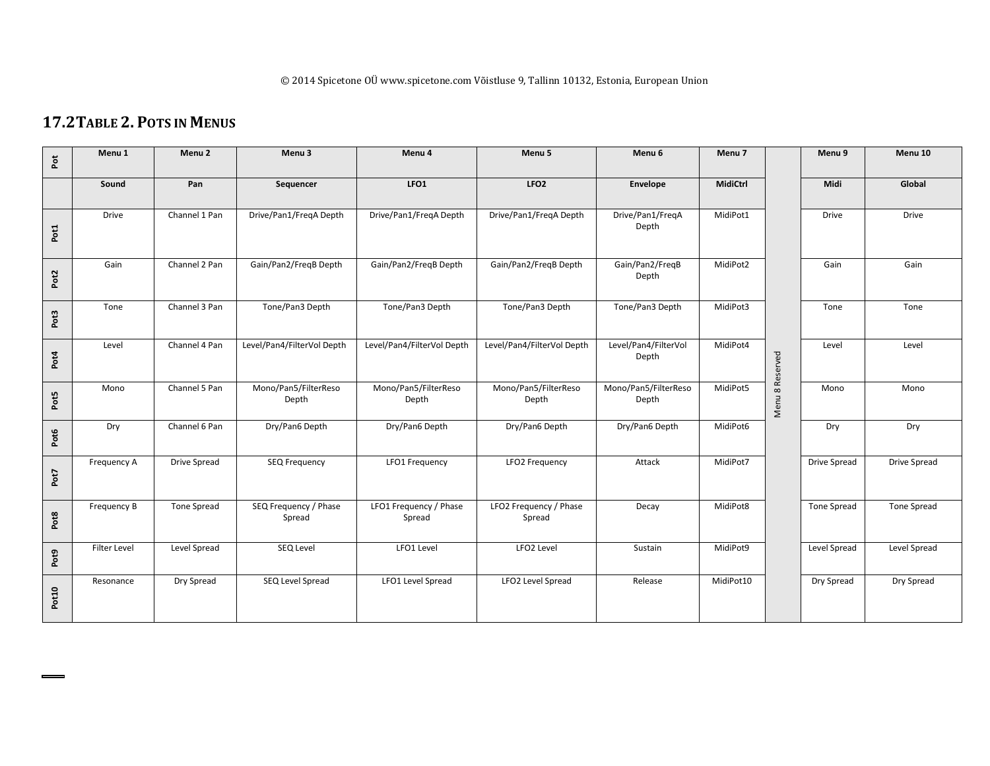## **17.2TABLE 2. POTS IN MENUS**

| Pot   | Menu <sub>1</sub> | Menu <sub>2</sub>   | Menu <sub>3</sub>               | Menu 4                           | Menu <sub>5</sub>                | Menu <sub>6</sub>             | Menu 7    |                 | Menu <sub>9</sub>   | Menu 10      |
|-------|-------------------|---------------------|---------------------------------|----------------------------------|----------------------------------|-------------------------------|-----------|-----------------|---------------------|--------------|
|       | Sound             | Pan                 | Sequencer                       | LFO1                             | LFO <sub>2</sub>                 | Envelope                      | MidiCtrl  |                 | Midi                | Global       |
| Pot1  | <b>Drive</b>      | Channel 1 Pan       | Drive/Pan1/FreqA Depth          | Drive/Pan1/FreqA Depth           | Drive/Pan1/FreqA Depth           | Drive/Pan1/FreqA<br>Depth     | MidiPot1  |                 | Drive               | Drive        |
| Pot2  | Gain              | Channel 2 Pan       | Gain/Pan2/FreqB Depth           | Gain/Pan2/FreqB Depth            | Gain/Pan2/FregB Depth            | Gain/Pan2/FreqB<br>Depth      | MidiPot2  |                 | Gain                | Gain         |
| Pot3  | Tone              | Channel 3 Pan       | Tone/Pan3 Depth                 | Tone/Pan3 Depth                  | Tone/Pan3 Depth                  | Tone/Pan3 Depth               | MidiPot3  |                 | Tone                | Tone         |
| Pot4  | Level             | Channel 4 Pan       | Level/Pan4/FilterVol Depth      | Level/Pan4/FilterVol Depth       | Level/Pan4/FilterVol Depth       | Level/Pan4/FilterVol<br>Depth | MidiPot4  |                 | Level               | Level        |
| Pot5  | Mono              | Channel 5 Pan       | Mono/Pan5/FilterReso<br>Depth   | Mono/Pan5/FilterReso<br>Depth    | Mono/Pan5/FilterReso<br>Depth    | Mono/Pan5/FilterReso<br>Depth | MidiPot5  | Menu 8 Reserved | Mono                | Mono         |
| Pot6  | Dry               | Channel 6 Pan       | Dry/Pan6 Depth                  | Dry/Pan6 Depth                   | Dry/Pan6 Depth                   | Dry/Pan6 Depth                | MidiPot6  |                 | Dry                 | Dry          |
| Pot7  | Frequency A       | <b>Drive Spread</b> | <b>SEQ Frequency</b>            | <b>LFO1 Frequency</b>            | LFO2 Frequency                   | Attack                        | MidiPot7  |                 | <b>Drive Spread</b> | Drive Spread |
| Pot8  | Frequency B       | <b>Tone Spread</b>  | SEQ Frequency / Phase<br>Spread | LFO1 Frequency / Phase<br>Spread | LFO2 Frequency / Phase<br>Spread | Decay                         | MidiPot8  |                 | Tone Spread         | Tone Spread  |
| Pot9  | Filter Level      | Level Spread        | SEQ Level                       | LFO1 Level                       | LFO2 Level                       | Sustain                       | MidiPot9  |                 | Level Spread        | Level Spread |
| Pot10 | Resonance         | Dry Spread          | SEQ Level Spread                | LFO1 Level Spread                | LFO2 Level Spread                | Release                       | MidiPot10 |                 | Dry Spread          | Dry Spread   |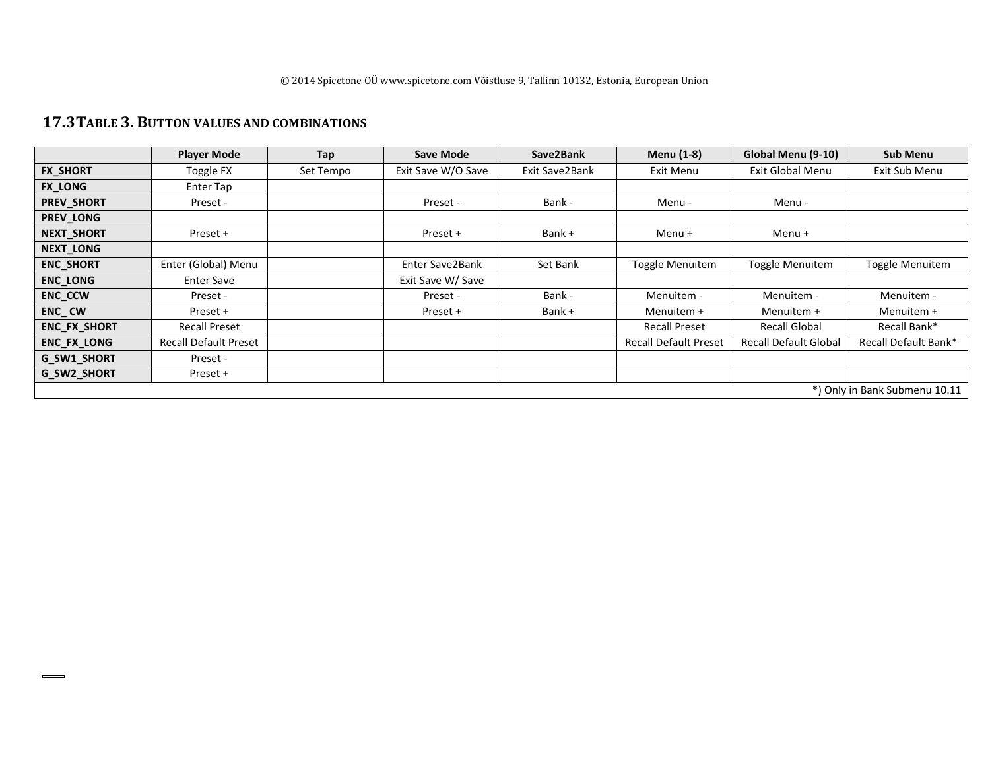#### **17.3TABLE 3. BUTTON VALUES AND COMBINATIONS**

|                    | <b>Player Mode</b>           | Tap       | <b>Save Mode</b>   | Save2Bank      | Menu (1-8)                   | Global Menu (9-10)           | <b>Sub Menu</b>               |
|--------------------|------------------------------|-----------|--------------------|----------------|------------------------------|------------------------------|-------------------------------|
| <b>FX SHORT</b>    | Toggle FX                    | Set Tempo | Exit Save W/O Save | Exit Save2Bank | Exit Menu                    | Exit Global Menu             | Exit Sub Menu                 |
| <b>FX_LONG</b>     | Enter Tap                    |           |                    |                |                              |                              |                               |
| PREV_SHORT         | Preset -                     |           | Preset -           | Bank -         | Menu -                       | Menu -                       |                               |
| PREV_LONG          |                              |           |                    |                |                              |                              |                               |
| NEXT_SHORT         | Preset +                     |           | Preset +           | Bank +         | Menu $+$                     | Menu $+$                     |                               |
| NEXT_LONG          |                              |           |                    |                |                              |                              |                               |
| <b>ENC_SHORT</b>   | Enter (Global) Menu          |           | Enter Save2Bank    | Set Bank       | Toggle Menuitem              | Toggle Menuitem              | Toggle Menuitem               |
| <b>ENC_LONG</b>    | <b>Enter Save</b>            |           | Exit Save W/ Save  |                |                              |                              |                               |
| <b>ENC_CCW</b>     | Preset -                     |           | Preset -           | Bank -         | Menuitem -                   | Menuitem -                   | Menuitem -                    |
| ENC_CW             | Preset +                     |           | Preset +           | Bank +         | Menuitem +                   | Menuitem +                   | Menuitem +                    |
| ENC_FX_SHORT       | <b>Recall Preset</b>         |           |                    |                | <b>Recall Preset</b>         | <b>Recall Global</b>         | Recall Bank*                  |
| ENC_FX_LONG        | <b>Recall Default Preset</b> |           |                    |                | <b>Recall Default Preset</b> | <b>Recall Default Global</b> | Recall Default Bank*          |
| <b>G SW1 SHORT</b> | Preset -                     |           |                    |                |                              |                              |                               |
| G_SW2_SHORT        | Preset +                     |           |                    |                |                              |                              |                               |
|                    |                              |           |                    |                |                              |                              | *) Only in Bank Submenu 10.11 |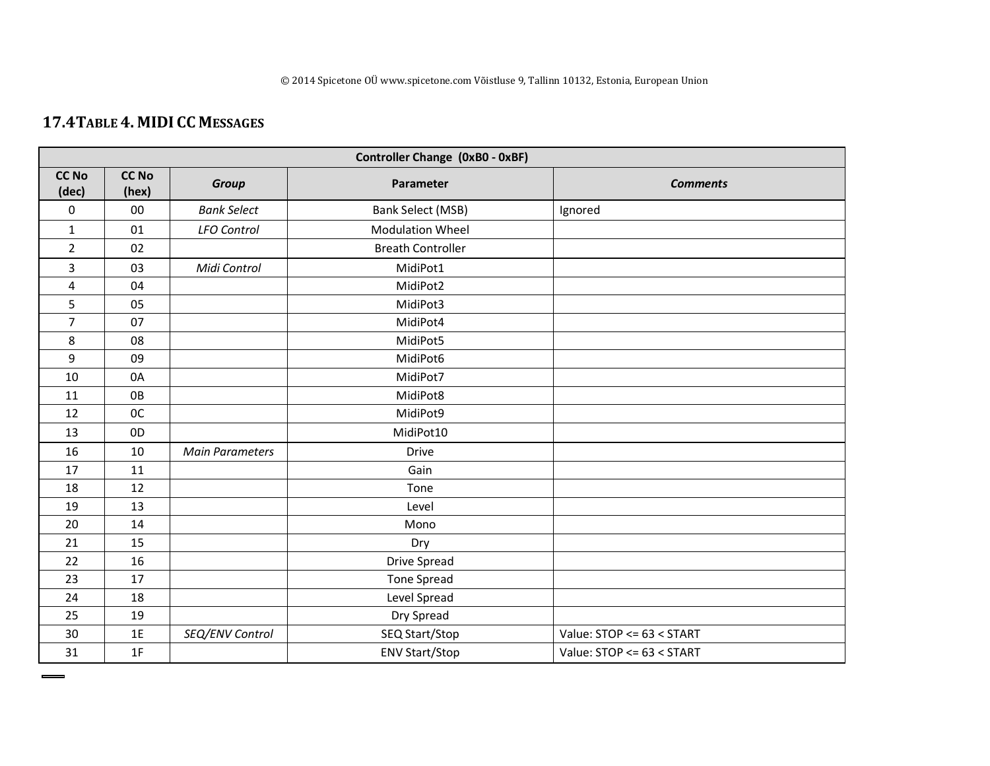# **17.4TABLE 4. MIDI CC <sup>M</sup>ESSAGES**

|                       | <b>Controller Change (OxBO - OxBF)</b> |                        |                          |                           |  |  |  |  |  |  |  |
|-----------------------|----------------------------------------|------------------------|--------------------------|---------------------------|--|--|--|--|--|--|--|
| <b>CC No</b><br>(dec) | <b>CC No</b><br>(hex)                  | <b>Group</b>           | Parameter                | <b>Comments</b>           |  |  |  |  |  |  |  |
| 0                     | 00                                     | <b>Bank Select</b>     | <b>Bank Select (MSB)</b> | Ignored                   |  |  |  |  |  |  |  |
| $\mathbf{1}$          | 01                                     | <b>LFO Control</b>     | <b>Modulation Wheel</b>  |                           |  |  |  |  |  |  |  |
| $\overline{2}$        | 02                                     |                        | <b>Breath Controller</b> |                           |  |  |  |  |  |  |  |
| $\overline{3}$        | 03                                     | Midi Control           | MidiPot1                 |                           |  |  |  |  |  |  |  |
| $\overline{4}$        | 04                                     |                        | MidiPot2                 |                           |  |  |  |  |  |  |  |
| 5                     | 05                                     |                        | MidiPot3                 |                           |  |  |  |  |  |  |  |
| 7                     | 07                                     |                        | MidiPot4                 |                           |  |  |  |  |  |  |  |
| 8                     | 08                                     |                        | MidiPot5                 |                           |  |  |  |  |  |  |  |
| $\boldsymbol{9}$      | 09                                     |                        | MidiPot6                 |                           |  |  |  |  |  |  |  |
| 10                    | 0A                                     |                        | MidiPot7                 |                           |  |  |  |  |  |  |  |
| 11                    | 0B                                     |                        | MidiPot8                 |                           |  |  |  |  |  |  |  |
| 12                    | 0C                                     |                        | MidiPot9                 |                           |  |  |  |  |  |  |  |
| 13                    | 0 <sub>D</sub>                         |                        | MidiPot10                |                           |  |  |  |  |  |  |  |
| 16                    | 10                                     | <b>Main Parameters</b> | <b>Drive</b>             |                           |  |  |  |  |  |  |  |
| 17                    | 11                                     |                        | Gain                     |                           |  |  |  |  |  |  |  |
| 18                    | 12                                     |                        | Tone                     |                           |  |  |  |  |  |  |  |
| 19                    | 13                                     |                        | Level                    |                           |  |  |  |  |  |  |  |
| 20                    | 14                                     |                        | Mono                     |                           |  |  |  |  |  |  |  |
| 21                    | 15                                     |                        | Dry                      |                           |  |  |  |  |  |  |  |
| 22                    | 16                                     |                        | Drive Spread             |                           |  |  |  |  |  |  |  |
| 23                    | 17                                     |                        | Tone Spread              |                           |  |  |  |  |  |  |  |
| 24                    | 18                                     |                        | Level Spread             |                           |  |  |  |  |  |  |  |
| 25                    | 19                                     |                        | Dry Spread               |                           |  |  |  |  |  |  |  |
| 30                    | 1E                                     | SEQ/ENV Control        | SEQ Start/Stop           | Value: STOP <= 63 < START |  |  |  |  |  |  |  |
| 31                    | 1F                                     |                        | <b>ENV Start/Stop</b>    | Value: STOP <= 63 < START |  |  |  |  |  |  |  |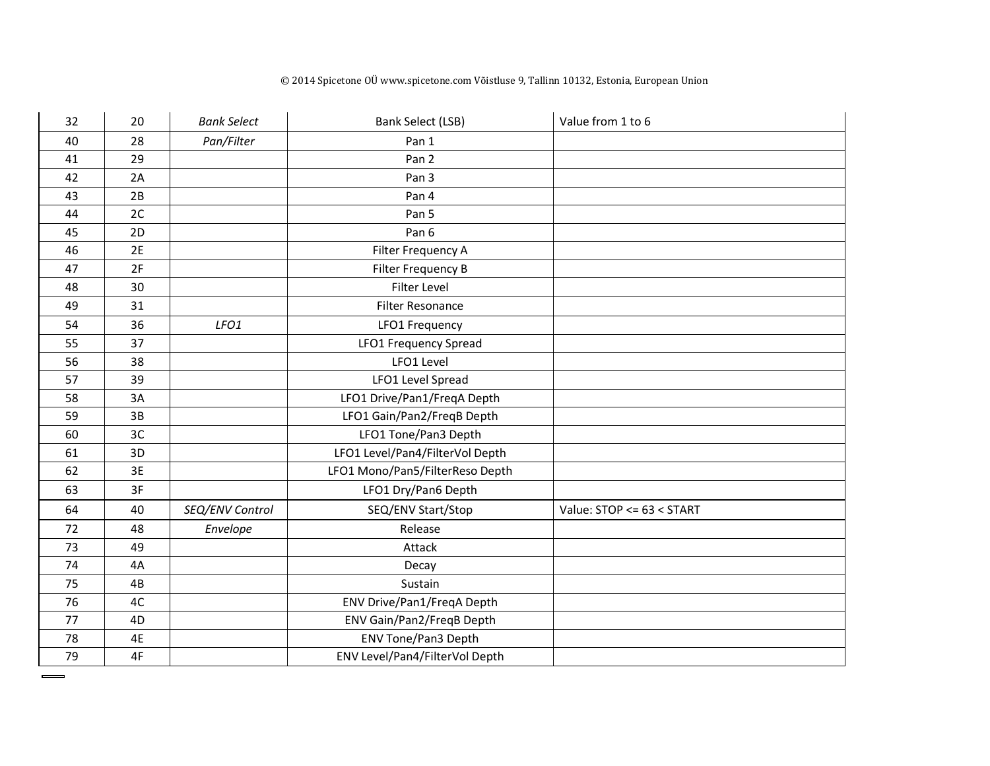#### © 2014 Spicetone OÜ www.spicetone.com Võistluse 9, Tallinn 10132, Estonia, European Union

| 32 | 20 | <b>Bank Select</b> | <b>Bank Select (LSB)</b>        | Value from 1 to 6         |
|----|----|--------------------|---------------------------------|---------------------------|
| 40 | 28 | Pan/Filter         | Pan 1                           |                           |
| 41 | 29 |                    | Pan <sub>2</sub>                |                           |
| 42 | 2A |                    | Pan 3                           |                           |
| 43 | 2B |                    | Pan 4                           |                           |
| 44 | 2C |                    | Pan 5                           |                           |
| 45 | 2D |                    | Pan 6                           |                           |
| 46 | 2E |                    | Filter Frequency A              |                           |
| 47 | 2F |                    | Filter Frequency B              |                           |
| 48 | 30 |                    | <b>Filter Level</b>             |                           |
| 49 | 31 |                    | Filter Resonance                |                           |
| 54 | 36 | LFO1               | LFO1 Frequency                  |                           |
| 55 | 37 |                    | LFO1 Frequency Spread           |                           |
| 56 | 38 |                    | LFO1 Level                      |                           |
| 57 | 39 |                    | LFO1 Level Spread               |                           |
| 58 | 3A |                    | LFO1 Drive/Pan1/FreqA Depth     |                           |
| 59 | 3B |                    | LFO1 Gain/Pan2/FreqB Depth      |                           |
| 60 | 3C |                    | LFO1 Tone/Pan3 Depth            |                           |
| 61 | 3D |                    | LFO1 Level/Pan4/FilterVol Depth |                           |
| 62 | 3E |                    | LFO1 Mono/Pan5/FilterReso Depth |                           |
| 63 | 3F |                    | LFO1 Dry/Pan6 Depth             |                           |
| 64 | 40 | SEQ/ENV Control    | SEQ/ENV Start/Stop              | Value: STOP <= 63 < START |
| 72 | 48 | Envelope           | Release                         |                           |
| 73 | 49 |                    | Attack                          |                           |
| 74 | 4A |                    | Decay                           |                           |
| 75 | 4B |                    | Sustain                         |                           |
| 76 | 4C |                    | ENV Drive/Pan1/FreqA Depth      |                           |
| 77 | 4D |                    | ENV Gain/Pan2/FreqB Depth       |                           |
| 78 | 4E |                    | ENV Tone/Pan3 Depth             |                           |
| 79 | 4F |                    | ENV Level/Pan4/FilterVol Depth  |                           |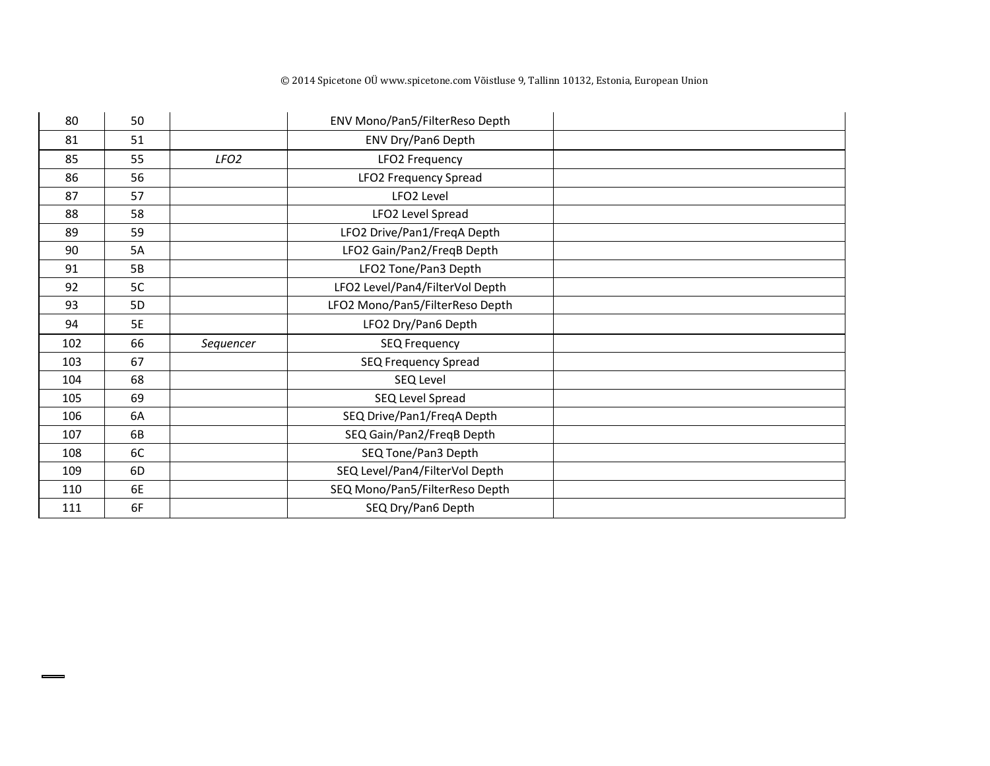| 80  | 50             |                  | ENV Mono/Pan5/FilterReso Depth  |  |
|-----|----------------|------------------|---------------------------------|--|
| 81  | 51             |                  | ENV Dry/Pan6 Depth              |  |
| 85  | 55             | LFO <sub>2</sub> | LFO2 Frequency                  |  |
| 86  | 56             |                  | LFO2 Frequency Spread           |  |
| 87  | 57             |                  | LFO <sub>2</sub> Level          |  |
| 88  | 58             |                  | LFO2 Level Spread               |  |
| 89  | 59             |                  | LFO2 Drive/Pan1/FreqA Depth     |  |
| 90  | 5A             |                  | LFO2 Gain/Pan2/FreqB Depth      |  |
| 91  | 5B             |                  | LFO2 Tone/Pan3 Depth            |  |
| 92  | 5C             |                  | LFO2 Level/Pan4/FilterVol Depth |  |
| 93  | 5 <sub>D</sub> |                  | LFO2 Mono/Pan5/FilterReso Depth |  |
| 94  | <b>5E</b>      |                  | LFO2 Dry/Pan6 Depth             |  |
| 102 | 66             | Sequencer        | <b>SEQ Frequency</b>            |  |
| 103 | 67             |                  | SEQ Frequency Spread            |  |
| 104 | 68             |                  | SEQ Level                       |  |
| 105 | 69             |                  | SEQ Level Spread                |  |
| 106 | 6A             |                  | SEQ Drive/Pan1/FreqA Depth      |  |
| 107 | 6B             |                  | SEQ Gain/Pan2/FreqB Depth       |  |
| 108 | 6C             |                  | SEQ Tone/Pan3 Depth             |  |
| 109 | 6D             |                  | SEQ Level/Pan4/FilterVol Depth  |  |
| 110 | 6E             |                  | SEQ Mono/Pan5/FilterReso Depth  |  |
| 111 | 6F             |                  | SEQ Dry/Pan6 Depth              |  |

 $\qquad \qquad$ 

#### © 2014 Spicetone OÜ www.spicetone.com Võistluse 9, Tallinn 10132, Estonia, European Union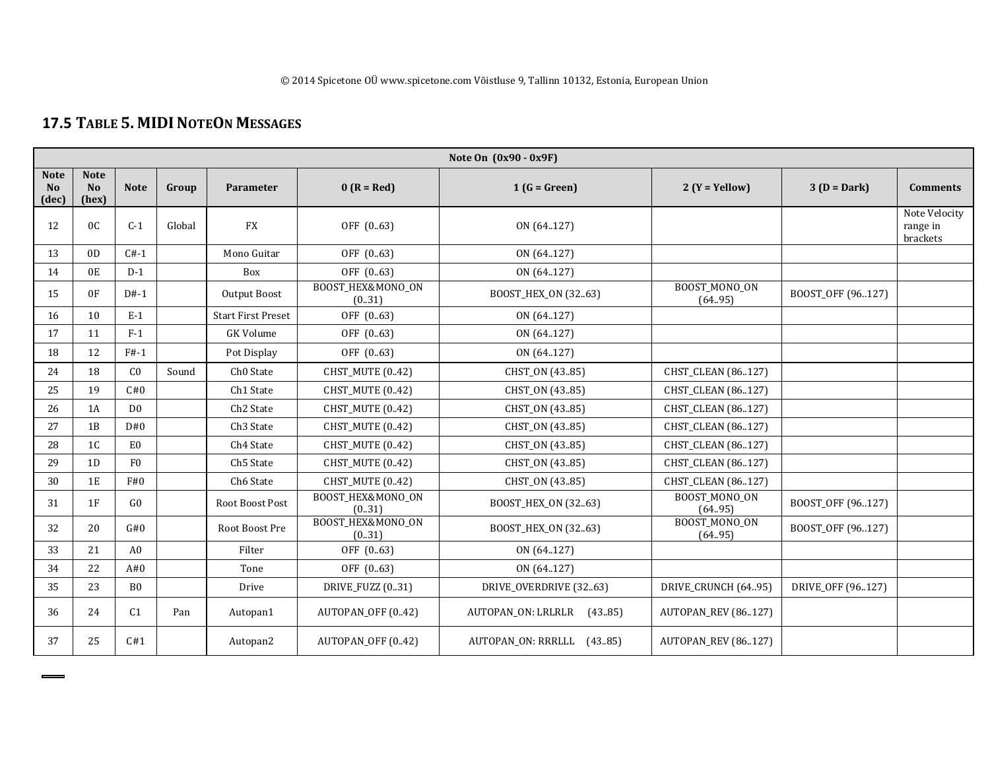# **17.5 <sup>T</sup>ABLE 5. MIDINOTEON MESSAGES**

| Note On $(0x90 - 0x9F)$                |                                        |                |        |                           |                             |                               |                                 |                   |                                       |  |
|----------------------------------------|----------------------------------------|----------------|--------|---------------------------|-----------------------------|-------------------------------|---------------------------------|-------------------|---------------------------------------|--|
| <b>Note</b><br>N <sub>o</sub><br>(dec) | <b>Note</b><br>N <sub>o</sub><br>(hex) | <b>Note</b>    | Group  | Parameter                 | $0 (R = Red)$               | $1(G = Green)$                | $2(Y = Yellow)$                 | $3(D = Dark)$     | <b>Comments</b>                       |  |
| 12                                     | 0 <sup>C</sup>                         | $C-1$          | Global | <b>FX</b>                 | OFF (0.63)                  | ON (64.127)                   |                                 |                   | Note Velocity<br>range in<br>brackets |  |
| 13                                     | 0 <sub>D</sub>                         | $C#-1$         |        | Mono Guitar               | OFF (0.63)                  | ON (64.127)                   |                                 |                   |                                       |  |
| 14                                     | 0E                                     | $D-1$          |        | Box                       | OFF (0.63)                  | ON (64127)                    |                                 |                   |                                       |  |
| 15                                     | 0F                                     | $D#-1$         |        | Output Boost              | BOOST_HEX&MONO_ON<br>(0.31) | BOOST_HEX_ON (3263)           | BOOST_MONO_ON<br>(64.95)        | BOOST_OFF (96127) |                                       |  |
| 16                                     | 10                                     | $E-1$          |        | <b>Start First Preset</b> | OFF (063)                   | ON (64.127)                   |                                 |                   |                                       |  |
| 17                                     | 11                                     | $F-1$          |        | <b>GK Volume</b>          | OFF (0.63)                  | ON (64127)                    |                                 |                   |                                       |  |
| 18                                     | 12                                     | $F#-1$         |        | Pot Display               | OFF (0.63)                  | ON (64.127)                   |                                 |                   |                                       |  |
| 24                                     | 18                                     | C <sub>0</sub> | Sound  | Ch <sub>0</sub> State     | CHST_MUTE (0.42)            | CHST_ON (4385)                | CHST_CLEAN (86127)              |                   |                                       |  |
| 25                                     | 19                                     | C#0            |        | Ch1 State                 | CHST_MUTE (0.42)            | CHST_ON (4385)                | CHST_CLEAN (86127)              |                   |                                       |  |
| 26                                     | 1A                                     | D <sub>0</sub> |        | Ch <sub>2</sub> State     | <b>CHST MUTE (0.42)</b>     | CHST_ON (4385)                | <b>CHST CLEAN (86127)</b>       |                   |                                       |  |
| 27                                     | 1B                                     | D#0            |        | Ch <sub>3</sub> State     | CHST_MUTE (0.42)            | CHST_ON (4385)                | CHST_CLEAN (86127)              |                   |                                       |  |
| 28                                     | 1 <sup>C</sup>                         | E <sub>0</sub> |        | Ch <sub>4</sub> State     | CHST_MUTE (0.42)            | CHST_ON (4385)                | CHST_CLEAN (86127)              |                   |                                       |  |
| 29                                     | 1D                                     | F <sub>0</sub> |        | Ch5 State                 | <b>CHST MUTE (0.42)</b>     | CHST_ON (4385)                | <b>CHST CLEAN (86127)</b>       |                   |                                       |  |
| 30                                     | 1E                                     | F#0            |        | Ch6 State                 | <b>CHST MUTE (0.42)</b>     | CHST_ON (4385)                | <b>CHST CLEAN (86127)</b>       |                   |                                       |  |
| 31                                     | 1F                                     | GO.            |        | Root Boost Post           | BOOST_HEX&MONO_ON<br>(0.31) | BOOST_HEX_ON (3263)           | <b>BOOST MONO ON</b><br>(64.95) | BOOST_OFF (96127) |                                       |  |
| 32                                     | 20                                     | G#0            |        | Root Boost Pre            | BOOST_HEX&MONO_ON<br>(0.31) | BOOST_HEX_ON (3263)           | BOOST_MONO_ON<br>(64.95)        | BOOST_OFF (96127) |                                       |  |
| 33                                     | 21                                     | A <sub>0</sub> |        | Filter                    | OFF (0.63)                  | ON (64.127)                   |                                 |                   |                                       |  |
| 34                                     | 22                                     | A#0            |        | Tone                      | OFF (0.63)                  | ON (64.127)                   |                                 |                   |                                       |  |
| 35                                     | 23                                     | B <sub>0</sub> |        | Drive                     | <b>DRIVE FUZZ (031)</b>     | DRIVE OVERDRIVE (3263)        | DRIVE CRUNCH (64.95)            | DRIVE OFF (96127) |                                       |  |
| 36                                     | 24                                     | C1             | Pan    | Autopan1                  | AUTOPAN_OFF (0.42)          | AUTOPAN ON: LRLRLR<br>(43.85) | AUTOPAN_REV (86127)             |                   |                                       |  |
| 37                                     | 25                                     | C#1            |        | Autopan2                  | AUTOPAN OFF (0.42)          | AUTOPAN ON: RRRLLL (43.85)    | <b>AUTOPAN_REV (86127)</b>      |                   |                                       |  |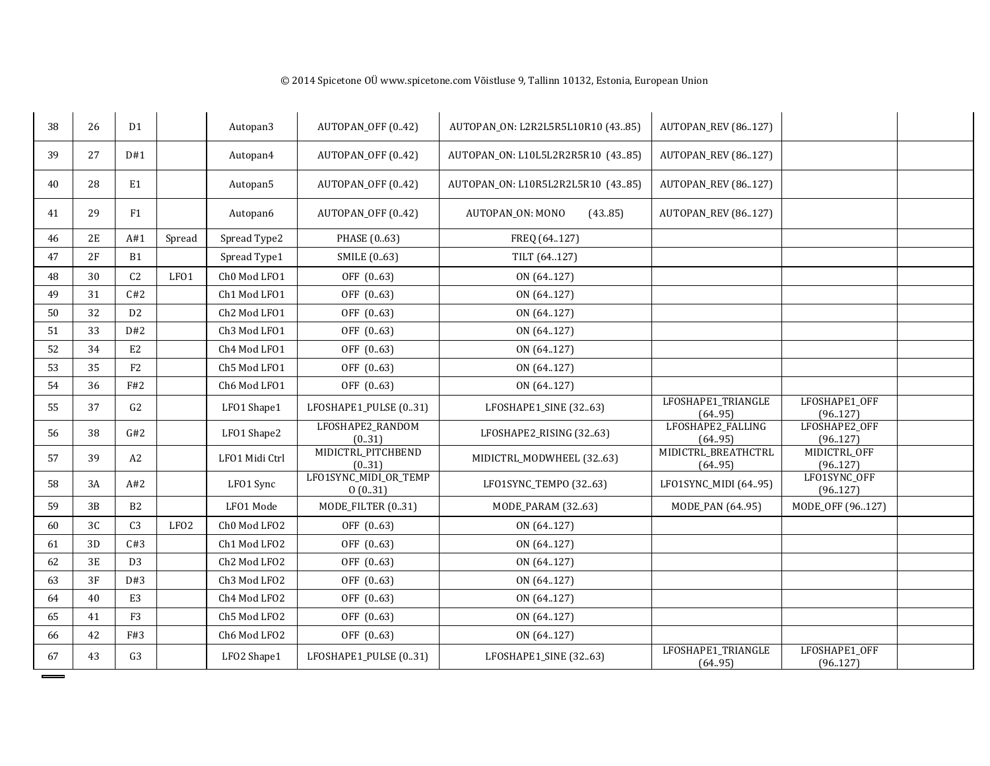| 38 | 26             | D <sub>1</sub> |                  | Autopan3       | AUTOPAN_OFF (0.42)               | AUTOPAN_ON: L2R2L5R5L10R10 (4385) | AUTOPAN_REV (86127)            |                           |  |
|----|----------------|----------------|------------------|----------------|----------------------------------|-----------------------------------|--------------------------------|---------------------------|--|
| 39 | 27             | D#1            |                  | Autopan4       | AUTOPAN_OFF (0.42)               | AUTOPAN_ON: L10L5L2R2R5R10 (4385) | <b>AUTOPAN_REV (86127)</b>     |                           |  |
| 40 | 28             | E1             |                  | Autopan5       | AUTOPAN_OFF (0.42)               | AUTOPAN_ON: L10R5L2R2L5R10 (4385) | <b>AUTOPAN_REV (86127)</b>     |                           |  |
| 41 | 29             | F1             |                  | Autopan6       | AUTOPAN_OFF (0.42)               | AUTOPAN_ON: MONO<br>(43.85)       | <b>AUTOPAN_REV (86127)</b>     |                           |  |
| 46 | 2E             | A#1            | Spread           | Spread Type2   | PHASE (063)                      | FREQ (64.127)                     |                                |                           |  |
| 47 | 2F             | B1             |                  | Spread Type1   | SMILE (063)                      | TILT (64127)                      |                                |                           |  |
| 48 | 30             | C <sub>2</sub> | LFO1             | Ch0 Mod LF01   | OFF (0.63)                       | ON (64.127)                       |                                |                           |  |
| 49 | 31             | C#2            |                  | Ch1 Mod LF01   | OFF (0.63)                       | ON (64.127)                       |                                |                           |  |
| 50 | 32             | D <sub>2</sub> |                  | Ch2 Mod LF01   | OFF (0.63)                       | ON (64.127)                       |                                |                           |  |
| 51 | 33             | D#2            |                  | Ch3 Mod LF01   | OFF (0.63)                       | ON (64.127)                       |                                |                           |  |
| 52 | 34             | E <sub>2</sub> |                  | Ch4 Mod LFO1   | OFF (0.63)                       | ON (64.127)                       |                                |                           |  |
| 53 | 35             | F2             |                  | Ch5 Mod LF01   | OFF (0.63)                       | ON (64.127)                       |                                |                           |  |
| 54 | 36             | F#2            |                  | Ch6 Mod LF01   | OFF (0.63)                       | ON (64127)                        |                                |                           |  |
| 55 | 37             | G2             |                  | LFO1 Shape1    | LFOSHAPE1_PULSE (031)            | LFOSHAPE1_SINE (3263)             | LFOSHAPE1_TRIANGLE<br>(64.95)  | LFOSHAPE1_OFF<br>(96.127) |  |
| 56 | 38             | G#2            |                  | LFO1 Shape2    | LFOSHAPE2_RANDOM<br>(0.31)       | LFOSHAPE2_RISING (3263)           | LFOSHAPE2_FALLING<br>(64.95)   | LFOSHAPE2_OFF<br>(96.127) |  |
| 57 | 39             | A <sub>2</sub> |                  | LF01 Midi Ctrl | MIDICTRL_PITCHBEND<br>(0.31)     | MIDICTRL_MODWHEEL (3263)          | MIDICTRL_BREATHCTRL<br>(64.95) | MIDICTRL_OFF<br>(96.127)  |  |
| 58 | 3A             | A#2            |                  | LF01 Sync      | LFO1SYNC_MIDI_OR_TEMP<br>0(0.31) | LFO1SYNC_TEMPO (3263)             | LFO1SYNC_MIDI (6495)           | LFO1SYNC_OFF<br>(96.127)  |  |
| 59 | 3B             | B2             |                  | LFO1 Mode      | MODE_FILTER (031)                | MODE_PARAM (3263)                 | MODE_PAN (64.95)               | MODE_OFF (96127)          |  |
| 60 | 3 <sub>C</sub> | C <sub>3</sub> | LFO <sub>2</sub> | Ch0 Mod LFO2   | OFF (0.63)                       | ON (64.127)                       |                                |                           |  |
| 61 | 3D             | C#3            |                  | Ch1 Mod LFO2   | OFF (0.63)                       | ON (64.127)                       |                                |                           |  |
| 62 | 3E             | D <sub>3</sub> |                  | Ch2 Mod LFO2   | OFF (0.63)                       | ON (64.127)                       |                                |                           |  |
| 63 | 3F             | D#3            |                  | Ch3 Mod LFO2   | OFF (0.63)                       | ON (64.127)                       |                                |                           |  |
| 64 | 40             | E <sub>3</sub> |                  | Ch4 Mod LFO2   | OFF (0.63)                       | ON (64.127)                       |                                |                           |  |
| 65 | 41             | F <sub>3</sub> |                  | Ch5 Mod LFO2   | OFF (0.63)                       | ON (64.127)                       |                                |                           |  |
| 66 | 42             | F#3            |                  | Ch6 Mod LFO2   | OFF (0.63)                       | ON (64.127)                       |                                |                           |  |
| 67 | 43             | G <sub>3</sub> |                  | LFO2 Shape1    | LFOSHAPE1_PULSE (031)            | LFOSHAPE1_SINE (3263)             | LFOSHAPE1_TRIANGLE<br>(64.95)  | LFOSHAPE1_OFF<br>(96.127) |  |

 $=$ =

#### © 2014 Spicetone OÜ www.spicetone.com Võistluse 9, Tallinn 10132, Estonia, European Union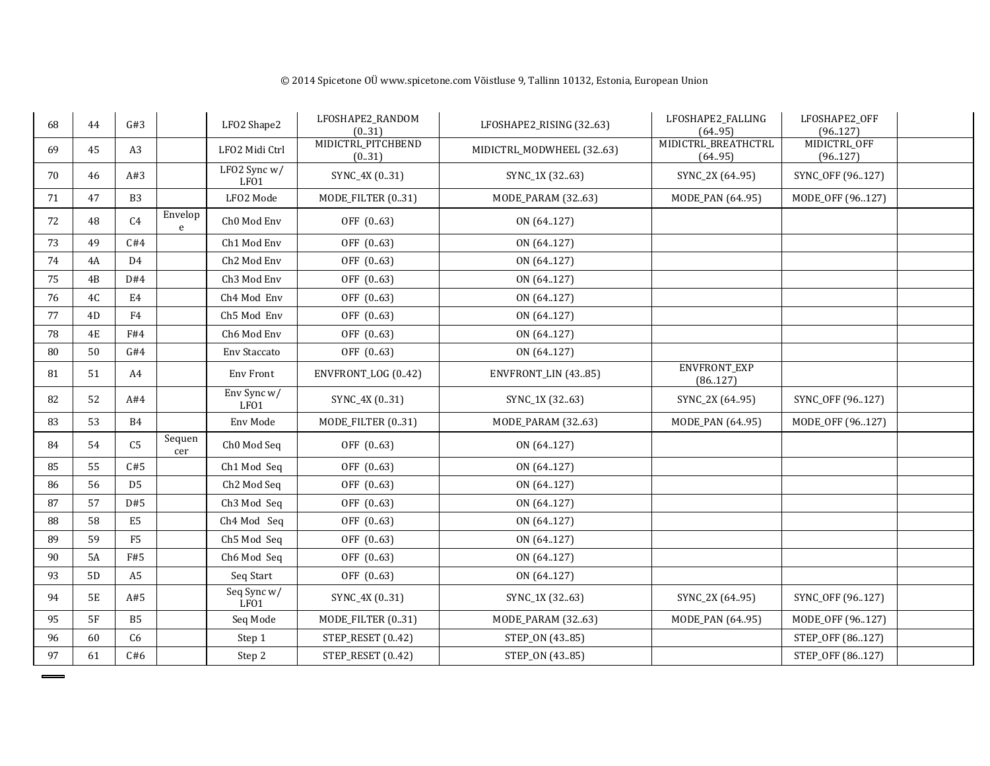| 68 | 44            | G#3            |               | LFO2 Shape2                     | LFOSHAPE2_RANDOM<br>(0.31)   | LFOSHAPE2_RISING (3263)  | LFOSHAPE2_FALLING<br>(64.95)   | LFOSHAPE2_OFF<br>(96.127) |  |
|----|---------------|----------------|---------------|---------------------------------|------------------------------|--------------------------|--------------------------------|---------------------------|--|
| 69 | 45            | A <sub>3</sub> |               | LFO2 Midi Ctrl                  | MIDICTRL_PITCHBEND<br>(0.31) | MIDICTRL MODWHEEL (3263) | MIDICTRL_BREATHCTRL<br>(64.95) | MIDICTRL_OFF<br>(96.127)  |  |
| 70 | 46            | A#3            |               | LFO2 Sync $w/$<br>LF01          | SYNC_4X (031)                | SYNC_1X (3263)           | SYNC_2X (64.95)                | SYNC_OFF (96127)          |  |
| 71 | 47            | <b>B3</b>      |               | LFO2 Mode                       | MODE_FILTER (031)            | MODE_PARAM (3263)        | MODE_PAN (6495)                | MODE_OFF (96127)          |  |
| 72 | 48            | C <sub>4</sub> | Envelop<br>e  | Ch <sub>0</sub> Mod Env         | OFF (0.63)                   | ON (64.127)              |                                |                           |  |
| 73 | 49            | C#4            |               | Ch1 Mod Env                     | OFF (0.63)                   | ON (64.127)              |                                |                           |  |
| 74 | 4A            | D4             |               | Ch <sub>2</sub> Mod Env         | OFF (0.63)                   | ON (64.127)              |                                |                           |  |
| 75 | 4B            | D#4            |               | Ch3 Mod Env                     | OFF (0.63)                   | ON (64.127)              |                                |                           |  |
| 76 | 4C            | E4             |               | Ch4 Mod Env                     | OFF (0.63)                   | ON (64.127)              |                                |                           |  |
| 77 | 4D            | F <sub>4</sub> |               | Ch5 Mod Env                     | OFF (0.63)                   | ON (64.127)              |                                |                           |  |
| 78 | $4\mathrm{E}$ | F#4            |               | Ch6 Mod Env                     | OFF (0.63)                   | ON (64.127)              |                                |                           |  |
| 80 | 50            | G#4            |               | <b>Env Staccato</b>             | OFF (0.63)                   | ON (64.127)              |                                |                           |  |
| 81 | 51            | A4             |               | Env Front                       | ENVFRONT_LOG (0.42)          | ENVFRONT_LIN (4385)      | ENVFRONT_EXP<br>(86.127)       |                           |  |
| 82 | 52            | A#4            |               | Env Sync w/<br>LFO1             | SYNC_4X (031)                | SYNC_1X (3263)           | SYNC_2X (64.95)                | SYNC_OFF (96127)          |  |
| 83 | 53            | <b>B4</b>      |               | Env Mode                        | MODE_FILTER (031)            | MODE_PARAM (3263)        | MODE_PAN (6495)                | MODE_OFF (96127)          |  |
| 84 | 54            | C <sub>5</sub> | Sequen<br>cer | Ch <sub>0</sub> Mod Seq         | OFF (0.63)                   | ON (64.127)              |                                |                           |  |
| 85 | 55            | C#5            |               | Ch1 Mod Seq                     | OFF (0.63)                   | ON (64.127)              |                                |                           |  |
| 86 | 56            | D <sub>5</sub> |               | Ch <sub>2</sub> Mod Seq         | OFF (0.63)                   | ON (64.127)              |                                |                           |  |
| 87 | 57            | D#5            |               | Ch3 Mod Seq                     | OFF (0.63)                   | ON (64.127)              |                                |                           |  |
| 88 | 58            | E <sub>5</sub> |               | Ch4 Mod Seq                     | OFF (0.63)                   | ON (64.127)              |                                |                           |  |
| 89 | 59            | F <sub>5</sub> |               | Ch5 Mod Seq                     | OFF (0.63)                   | ON (64.127)              |                                |                           |  |
| 90 | <b>5A</b>     | F#5            |               | Ch6 Mod Seq                     | OFF (0.63)                   | ON (64.127)              |                                |                           |  |
| 93 | 5D            | A <sub>5</sub> |               | Seq Start                       | OFF (0.63)                   | ON (64127)               |                                |                           |  |
| 94 | <b>5E</b>     | A#5            |               | Seq Sync w/<br>LFO <sub>1</sub> | SYNC_4X (031)                | SYNC_1X (3263)           | SYNC_2X (64.95)                | SYNC_OFF (96127)          |  |
| 95 | 5F            | B <sub>5</sub> |               | Seq Mode                        | MODE_FILTER (031)            | MODE_PARAM (3263)        | MODE_PAN (6495)                | MODE_OFF (96127)          |  |
| 96 | 60            | C6             |               | Step 1                          | STEP_RESET (0.42)            | STEP_ON (4385)           |                                | STEP_OFF (86127)          |  |
| 97 | 61            | C#6            |               | Step 2                          | STEP_RESET (0.42)            | STEP_ON (4385)           |                                | STEP_OFF (86127)          |  |

#### © 2014 Spicetone OÜ www.spicetone.com Võistluse 9, Tallinn 10132, Estonia, European Union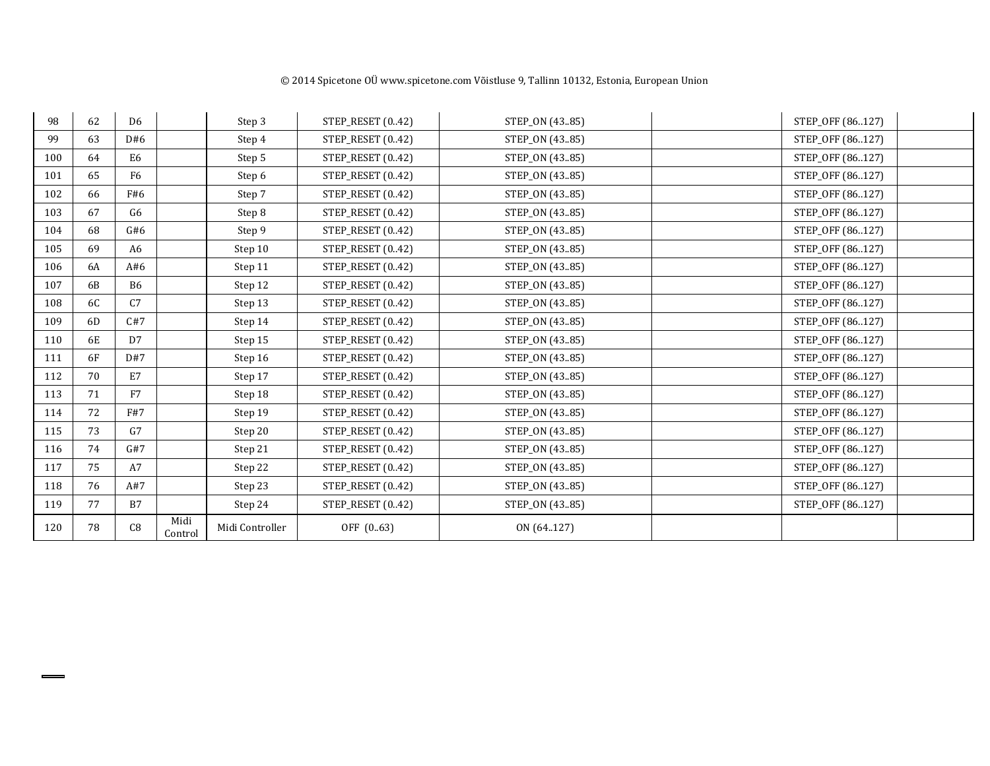| 98  | 62 | D <sub>6</sub> |                 | Step 3          | STEP_RESET (0.42) | STEP_ON (4385) | STEP_OFF (86127) |
|-----|----|----------------|-----------------|-----------------|-------------------|----------------|------------------|
| 99  | 63 | D#6            |                 | Step 4          | STEP_RESET (0.42) | STEP_ON (4385) | STEP_OFF (86127) |
| 100 | 64 | E <sub>6</sub> |                 | Step 5          | STEP_RESET (0.42) | STEP_ON (4385) | STEP_OFF (86127) |
| 101 | 65 | F <sub>6</sub> |                 | Step 6          | STEP_RESET (0.42) | STEP_ON (4385) | STEP_OFF (86127) |
| 102 | 66 | F#6            |                 | Step 7          | STEP_RESET (0.42) | STEP_ON (4385) | STEP_OFF (86127) |
| 103 | 67 | G6             |                 | Step 8          | STEP_RESET (0.42) | STEP_ON (4385) | STEP_OFF (86127) |
| 104 | 68 | G#6            |                 | Step 9          | STEP_RESET (0.42) | STEP_ON (4385) | STEP_OFF (86127) |
| 105 | 69 | A <sub>6</sub> |                 | Step 10         | STEP_RESET (0.42) | STEP_ON (4385) | STEP_OFF (86127) |
| 106 | 6A | A#6            |                 | Step 11         | STEP_RESET (0.42) | STEP_ON (4385) | STEP_OFF (86127) |
| 107 | 6B | <b>B6</b>      |                 | Step 12         | STEP_RESET (0.42) | STEP_ON (4385) | STEP_OFF (86127) |
| 108 | 6C | C <sub>7</sub> |                 | Step 13         | STEP_RESET (0.42) | STEP_ON (4385) | STEP_OFF (86127) |
| 109 | 6D | C#7            |                 | Step 14         | STEP_RESET (0.42) | STEP_ON (4385) | STEP_OFF (86127) |
| 110 | 6E | D7             |                 | Step 15         | STEP_RESET (0.42) | STEP_ON (4385) | STEP_OFF (86127) |
| 111 | 6F | D#7            |                 | Step 16         | STEP_RESET (0.42) | STEP_ON (4385) | STEP_OFF (86127) |
| 112 | 70 | E7             |                 | Step 17         | STEP_RESET (0.42) | STEP_ON (4385) | STEP_OFF (86127) |
| 113 | 71 | F7             |                 | Step 18         | STEP_RESET (0.42) | STEP_ON (4385) | STEP_OFF (86127) |
| 114 | 72 | F#7            |                 | Step 19         | STEP_RESET (0.42) | STEP_ON (4385) | STEP_OFF (86127) |
| 115 | 73 | G <sub>7</sub> |                 | Step 20         | STEP_RESET (0.42) | STEP_ON (4385) | STEP_OFF (86127) |
| 116 | 74 | G#7            |                 | Step 21         | STEP_RESET (0.42) | STEP_ON (4385) | STEP_OFF (86127) |
| 117 | 75 | A7             |                 | Step 22         | STEP_RESET (0.42) | STEP_ON (4385) | STEP_OFF (86127) |
| 118 | 76 | A#7            |                 | Step 23         | STEP_RESET (0.42) | STEP_ON (4385) | STEP_OFF (86127) |
| 119 | 77 | B7             |                 | Step 24         | STEP_RESET (0.42) | STEP_ON (4385) | STEP_OFF (86127) |
| 120 | 78 | C8             | Midi<br>Control | Midi Controller | OFF (0.63)        | ON (64127)     |                  |

 $\overline{\phantom{0}}$  $\equiv$ 

© 2014 Spicetone OÜ www.spicetone.com Võistluse 9, Tallinn 10132, Estonia, European Union